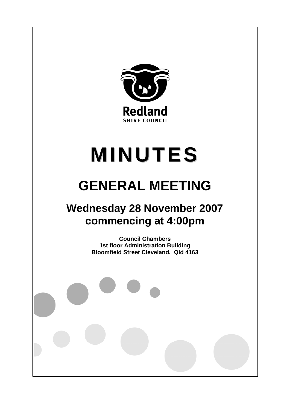

# **MINUTES**

# **GENERAL MEETING**

## **Wednesday 28 November 2007 commencing at 4:00pm**

**Council Chambers 1st floor Administration Building Bloomfield Street Cleveland. Qld 4163**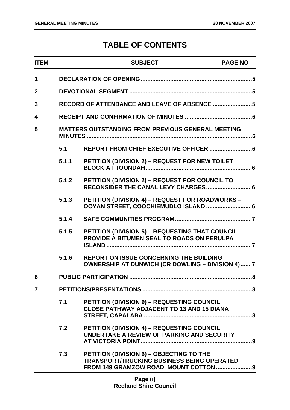### **TABLE OF CONTENTS**

| <b>ITEM</b>    |       | <b>SUBJECT</b>                                                                                            | <b>PAGE NO</b> |
|----------------|-------|-----------------------------------------------------------------------------------------------------------|----------------|
| 1              |       |                                                                                                           |                |
| $\overline{2}$ |       |                                                                                                           |                |
| 3              |       | RECORD OF ATTENDANCE AND LEAVE OF ABSENCE 5                                                               |                |
| 4              |       |                                                                                                           |                |
| 5              |       | <b>MATTERS OUTSTANDING FROM PREVIOUS GENERAL MEETING</b>                                                  |                |
|                | 5.1   |                                                                                                           |                |
|                | 5.1.1 | PETITION (DIVISION 2) - REQUEST FOR NEW TOILET                                                            |                |
|                | 5.1.2 | PETITION (DIVISION 2) - REQUEST FOR COUNCIL TO                                                            |                |
|                | 5.1.3 | <b>PETITION (DIVISION 4) - REQUEST FOR ROADWORKS -</b><br>OOYAN STREET, COOCHIEMUDLO ISLAND  6            |                |
|                | 5.1.4 |                                                                                                           |                |
|                | 5.1.5 | <b>PETITION (DIVISION 5) - REQUESTING THAT COUNCIL</b><br>PROVIDE A BITUMEN SEAL TO ROADS ON PERULPA      |                |
|                | 5.1.6 | <b>REPORT ON ISSUE CONCERNING THE BUILDING</b><br><b>OWNERSHIP AT DUNWICH (CR DOWLING - DIVISION 4) 7</b> |                |
| 6              |       |                                                                                                           |                |
| $\overline{7}$ |       |                                                                                                           |                |
|                | 7.1   | <b>PETITION (DIVISION 9) - REQUESTING COUNCIL</b><br><b>CLOSE PATHWAY ADJACENT TO 13 AND 15 DIANA</b>     |                |
|                | 7.2   | PETITION (DIVISION 4) - REQUESTING COUNCIL<br>UNDERTAKE A REVIEW OF PARKING AND SECURITY                  |                |
|                | 7.3   | PETITION (DIVISION 6) - OBJECTING TO THE<br><b>TRANSPORT/TRUCKING BUSINESS BEING OPERATED</b>             |                |
|                |       |                                                                                                           |                |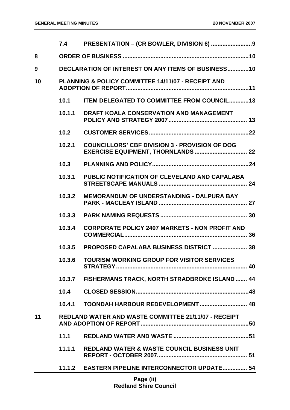|    | 7.4    |                                                               |
|----|--------|---------------------------------------------------------------|
| 8  |        |                                                               |
| 9  |        | <b>DECLARATION OF INTEREST ON ANY ITEMS OF BUSINESS10</b>     |
| 10 |        | <b>PLANNING &amp; POLICY COMMITTEE 14/11/07 - RECEIPT AND</b> |
|    | 10.1   | ITEM DELEGATED TO COMMITTEE FROM COUNCIL13                    |
|    | 10.1.1 | <b>DRAFT KOALA CONSERVATION AND MANAGEMENT</b>                |
|    | 10.2   |                                                               |
|    | 10.2.1 | <b>COUNCILLORS' CBF DIVISION 3 - PROVISION OF DOG</b>         |
|    | 10.3   |                                                               |
|    | 10.3.1 | PUBLIC NOTIFICATION OF CLEVELAND AND CAPALABA                 |
|    | 10.3.2 | <b>MEMORANDUM OF UNDERSTANDING - DALPURA BAY</b>              |
|    | 10.3.3 |                                                               |
|    | 10.3.4 | <b>CORPORATE POLICY 2407 MARKETS - NON PROFIT AND</b>         |
|    | 10.3.5 | <b>PROPOSED CAPALABA BUSINESS DISTRICT  38</b>                |
|    | 10.3.6 | <b>TOURISM WORKING GROUP FOR VISITOR SERVICES</b>             |
|    |        | 10.3.7 FISHERMANS TRACK, NORTH STRADBROKE ISLAND  44          |
|    |        |                                                               |
|    | 10.4.1 | TOONDAH HARBOUR REDEVELOPMENT 48                              |
| 11 |        | <b>REDLAND WATER AND WASTE COMMITTEE 21/11/07 - RECEIPT</b>   |
|    | 11.1   |                                                               |
|    | 11.1.1 | <b>REDLAND WATER &amp; WASTE COUNCIL BUSINESS UNIT</b>        |
|    |        | 11.1.2 EASTERN PIPELINE INTERCONNECTOR UPDATE 54              |
|    |        | Page (ii)                                                     |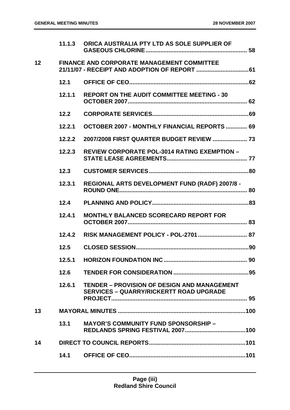|    | 11.1.3 | ORICA AUSTRALIA PTY LTD AS SOLE SUPPLIER OF                                                          |  |
|----|--------|------------------------------------------------------------------------------------------------------|--|
| 12 |        | <b>FINANCE AND CORPORATE MANAGEMENT COMMITTEE</b>                                                    |  |
|    | 12.1   |                                                                                                      |  |
|    | 12.1.1 | <b>REPORT ON THE AUDIT COMMITTEE MEETING - 30</b>                                                    |  |
|    | 12.2   |                                                                                                      |  |
|    | 12.2.1 | <b>OCTOBER 2007 - MONTHLY FINANCIAL REPORTS  69</b>                                                  |  |
|    | 12.2.2 | 2007/2008 FIRST QUARTER BUDGET REVIEW  73                                                            |  |
|    | 12.2.3 | <b>REVIEW CORPORATE POL-3014 RATING EXEMPTION -</b>                                                  |  |
|    | 12.3   |                                                                                                      |  |
|    | 12.3.1 | REGIONAL ARTS DEVELOPMENT FUND (RADF) 2007/8 -                                                       |  |
|    | 12.4   |                                                                                                      |  |
|    | 12.4.1 | <b>MONTHLY BALANCED SCORECARD REPORT FOR</b>                                                         |  |
|    | 12.4.2 |                                                                                                      |  |
|    | 12.5   |                                                                                                      |  |
|    | 12.5.1 |                                                                                                      |  |
|    | 12.6   |                                                                                                      |  |
|    | 12.6.1 | <b>TENDER - PROVISION OF DESIGN AND MANAGEMENT</b><br><b>SERVICES - QUARRY/RICKERTT ROAD UPGRADE</b> |  |
| 13 |        |                                                                                                      |  |
|    | 13.1   | <b>MAYOR'S COMMUNITY FUND SPONSORSHIP -</b>                                                          |  |
| 14 |        |                                                                                                      |  |
|    | 14.1   |                                                                                                      |  |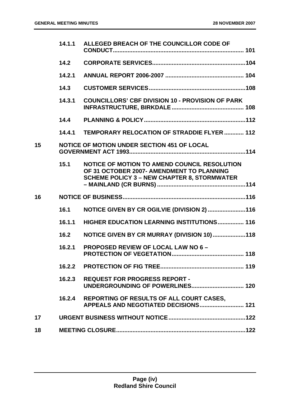|    | 14.1.1 | ALLEGED BREACH OF THE COUNCILLOR CODE OF                                                                                                        |  |
|----|--------|-------------------------------------------------------------------------------------------------------------------------------------------------|--|
|    | 14.2   |                                                                                                                                                 |  |
|    | 14.2.1 |                                                                                                                                                 |  |
|    | 14.3   |                                                                                                                                                 |  |
|    | 14.3.1 | <b>COUNCILLORS' CBF DIVISION 10 - PROVISION OF PARK</b>                                                                                         |  |
|    | 14.4   |                                                                                                                                                 |  |
|    | 14.4.1 | TEMPORARY RELOCATION OF STRADDIE FLYER 112                                                                                                      |  |
| 15 |        | <b>NOTICE OF MOTION UNDER SECTION 451 OF LOCAL</b>                                                                                              |  |
|    | 15.1   | NOTICE OF MOTION TO AMEND COUNCIL RESOLUTION<br>OF 31 OCTOBER 2007- AMENDMENT TO PLANNING<br><b>SCHEME POLICY 3 - NEW CHAPTER 8, STORMWATER</b> |  |
| 16 |        |                                                                                                                                                 |  |
|    | 16.1   | NOTICE GIVEN BY CR OGILVIE (DIVISION 2) 116                                                                                                     |  |
|    | 16.1.1 | <b>HIGHER EDUCATION LEARNING INSTITUTIONS 116</b>                                                                                               |  |
|    | 16.2   | NOTICE GIVEN BY CR MURRAY (DIVISION 10)118                                                                                                      |  |
|    | 16.2.1 | PROPOSED REVIEW OF LOCAL LAW NO 6 -                                                                                                             |  |
|    |        |                                                                                                                                                 |  |
|    | 16.2.3 | <b>REQUEST FOR PROGRESS REPORT -</b>                                                                                                            |  |
|    | 16.2.4 | REPORTING OF RESULTS OF ALL COURT CASES,<br>APPEALS AND NEGOTIATED DECISIONS 121                                                                |  |
| 17 |        |                                                                                                                                                 |  |
| 18 |        |                                                                                                                                                 |  |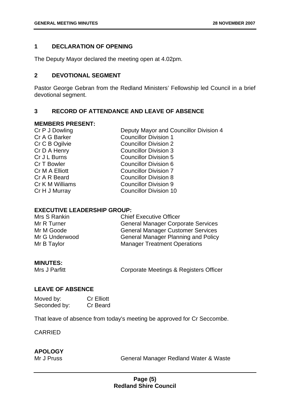#### **1 DECLARATION OF OPENING**

The Deputy Mayor declared the meeting open at 4.02pm.

#### **2 DEVOTIONAL SEGMENT**

Pastor George Gebran from the Redland Ministers' Fellowship led Council in a brief devotional segment.

#### **3 RECORD OF ATTENDANCE AND LEAVE OF ABSENCE**

#### **MEMBERS PRESENT:**

| Cr P J Dowling  |  |
|-----------------|--|
| Cr A G Barker   |  |
| Cr C B Ogilvie  |  |
| Cr D A Henry    |  |
| Cr J L Burns    |  |
| Cr T Bowler     |  |
| Cr M A Elliott  |  |
| Cr A R Beard    |  |
| Cr K M Williams |  |
| Cr H J Murray   |  |
|                 |  |

Deputy Mayor and Councillor Division 4 **Councillor Division 1** Councillor Division 2 Councillor Division 3 **Councillor Division 5** Councillor Division 6 **Councillor Division 7 Councillor Division 8** Councillor Division 9 **Councillor Division 10** 

#### **EXECUTIVE LEADERSHIP GROUP:**

| Mrs S Rankin   | <b>Chief Executive Officer</b>             |
|----------------|--------------------------------------------|
| Mr R Turner    | <b>General Manager Corporate Services</b>  |
| Mr M Goode     | <b>General Manager Customer Services</b>   |
| Mr G Underwood | <b>General Manager Planning and Policy</b> |
| Mr B Taylor    | <b>Manager Treatment Operations</b>        |

#### **MINUTES:**

Mrs J Parfitt **Corporate Meetings & Registers Officer** 

#### **LEAVE OF ABSENCE**

| Moved by:    | <b>Cr Elliott</b> |
|--------------|-------------------|
| Seconded by: | Cr Beard          |

That leave of absence from today's meeting be approved for Cr Seccombe.

CARRIED

#### **APOLOGY**

Mr J Pruss General Manager Redland Water & Waste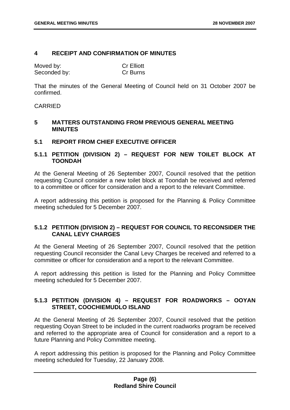#### **4 RECEIPT AND CONFIRMATION OF MINUTES**

| Moved by:    | <b>Cr Elliott</b> |
|--------------|-------------------|
| Seconded by: | <b>Cr Burns</b>   |

That the minutes of the General Meeting of Council held on 31 October 2007 be confirmed.

#### CARRIED

#### **5 MATTERS OUTSTANDING FROM PREVIOUS GENERAL MEETING MINUTES**

#### **5.1 REPORT FROM CHIEF EXECUTIVE OFFICER**

#### **5.1.1 PETITION (DIVISION 2) – REQUEST FOR NEW TOILET BLOCK AT TOONDAH**

At the General Meeting of 26 September 2007, Council resolved that the petition requesting Council consider a new toilet block at Toondah be received and referred to a committee or officer for consideration and a report to the relevant Committee.

A report addressing this petition is proposed for the Planning & Policy Committee meeting scheduled for 5 December 2007.

#### **5.1.2 PETITION (DIVISION 2) – REQUEST FOR COUNCIL TO RECONSIDER THE CANAL LEVY CHARGES**

At the General Meeting of 26 September 2007, Council resolved that the petition requesting Council reconsider the Canal Levy Charges be received and referred to a committee or officer for consideration and a report to the relevant Committee.

A report addressing this petition is listed for the Planning and Policy Committee meeting scheduled for 5 December 2007.

#### **5.1.3 PETITION (DIVISION 4) – REQUEST FOR ROADWORKS – OOYAN STREET, COOCHIEMUDLO ISLAND**

At the General Meeting of 26 September 2007, Council resolved that the petition requesting Ooyan Street to be included in the current roadworks program be received and referred to the appropriate area of Council for consideration and a report to a future Planning and Policy Committee meeting.

A report addressing this petition is proposed for the Planning and Policy Committee meeting scheduled for Tuesday, 22 January 2008.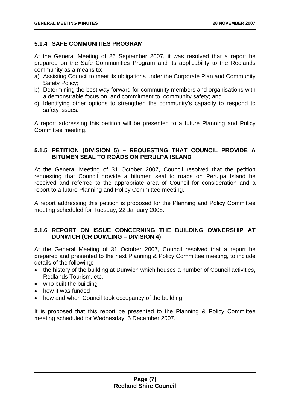#### **5.1.4 SAFE COMMUNITIES PROGRAM**

At the General Meeting of 26 September 2007, it was resolved that a report be prepared on the Safe Communities Program and its applicability to the Redlands community as a means to:

- a) Assisting Council to meet its obligations under the Corporate Plan and Community Safety Policy;
- b) Determining the best way forward for community members and organisations with a demonstrable focus on, and commitment to, community safety; and
- c) Identifying other options to strengthen the community's capacity to respond to safety issues.

A report addressing this petition will be presented to a future Planning and Policy Committee meeting.

#### **5.1.5 PETITION (DIVISION 5) – REQUESTING THAT COUNCIL PROVIDE A BITUMEN SEAL TO ROADS ON PERULPA ISLAND**

At the General Meeting of 31 October 2007, Council resolved that the petition requesting that Council provide a bitumen seal to roads on Perulpa Island be received and referred to the appropriate area of Council for consideration and a report to a future Planning and Policy Committee meeting.

A report addressing this petition is proposed for the Planning and Policy Committee meeting scheduled for Tuesday, 22 January 2008.

#### **5.1.6 REPORT ON ISSUE CONCERNING THE BUILDING OWNERSHIP AT DUNWICH (CR DOWLING – DIVISION 4)**

At the General Meeting of 31 October 2007, Council resolved that a report be prepared and presented to the next Planning & Policy Committee meeting, to include details of the following:

- the history of the building at Dunwich which houses a number of Council activities, Redlands Tourism, etc.
- who built the building
- how it was funded
- how and when Council took occupancy of the building

It is proposed that this report be presented to the Planning & Policy Committee meeting scheduled for Wednesday, 5 December 2007.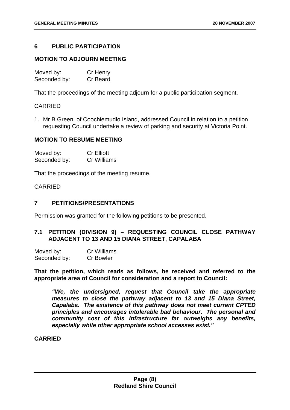#### **6 PUBLIC PARTICIPATION**

#### **MOTION TO ADJOURN MEETING**

| Moved by:    | Cr Henry |
|--------------|----------|
| Seconded by: | Cr Beard |

That the proceedings of the meeting adjourn for a public participation segment.

#### CARRIED

1. Mr B Green, of Coochiemudlo Island, addressed Council in relation to a petition requesting Council undertake a review of parking and security at Victoria Point.

#### **MOTION TO RESUME MEETING**

| Moved by:    | <b>Cr Elliott</b> |
|--------------|-------------------|
| Seconded by: | Cr Williams       |

That the proceedings of the meeting resume.

#### CARRIED

#### **7 PETITIONS/PRESENTATIONS**

Permission was granted for the following petitions to be presented.

#### **7.1 PETITION (DIVISION 9) – REQUESTING COUNCIL CLOSE PATHWAY ADJACENT TO 13 AND 15 DIANA STREET, CAPALABA**

| Moved by:    | Cr Williams      |
|--------------|------------------|
| Seconded by: | <b>Cr Bowler</b> |

**That the petition, which reads as follows, be received and referred to the appropriate area of Council for consideration and a report to Council:** 

*"We, the undersigned, request that Council take the appropriate measures to close the pathway adjacent to 13 and 15 Diana Street, Capalaba. The existence of this pathway does not meet current CPTED principles and encourages intolerable bad behaviour. The personal and community cost of this infrastructure far outweighs any benefits, especially while other appropriate school accesses exist."*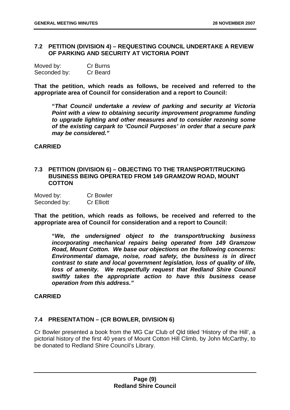#### **7.2 PETITION (DIVISION 4) – REQUESTING COUNCIL UNDERTAKE A REVIEW OF PARKING AND SECURITY AT VICTORIA POINT**

| Moved by:    | Cr Burns |
|--------------|----------|
| Seconded by: | Cr Beard |

**That the petition, which reads as follows, be received and referred to the appropriate area of Council for consideration and a report to Council:** 

 **"***That Council undertake a review of parking and security at Victoria Point with a view to obtaining security improvement programme funding to upgrade lighting and other measures and to consider rezoning some of the existing carpark to 'Council Purposes' in order that a secure park may be considered."* 

#### **CARRIED**

#### **7.3 PETITION (DIVISION 6) – OBJECTING TO THE TRANSPORT/TRUCKING BUSINESS BEING OPERATED FROM 149 GRAMZOW ROAD, MOUNT COTTON**

| Moved by:    | <b>Cr Bowler</b>  |
|--------------|-------------------|
| Seconded by: | <b>Cr Elliott</b> |

**That the petition, which reads as follows, be received and referred to the appropriate area of Council for consideration and a report to Council:** 

 **"***We, the undersigned object to the transport/trucking business incorporating mechanical repairs being operated from 149 Gramzow Road, Mount Cotton. We base our objections on the following concerns: Environmental damage, noise, road safety, the business is in direct contrast to state and local government legislation, loss of quality of life,*  loss of amenity. We respectfully request that Redland Shire Council *swiftly takes the appropriate action to have this business cease operation from this address."*

#### **CARRIED**

#### **7.4 PRESENTATION – (CR BOWLER, DIVISION 6)**

Cr Bowler presented a book from the MG Car Club of Qld titled 'History of the Hill', a pictorial history of the first 40 years of Mount Cotton Hill Climb, by John McCarthy, to be donated to Redland Shire Council's Library.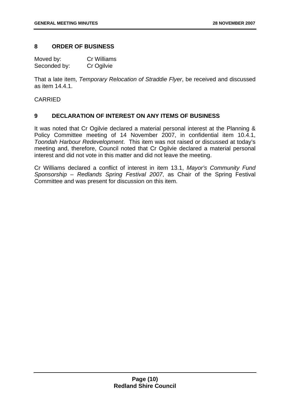#### **8 ORDER OF BUSINESS**

Moved by: Cr Williams Seconded by: Cr Ogilvie

That a late item, *Temporary Relocation of Straddie Flyer*, be received and discussed as item 14.4.1.

#### CARRIED

#### **9 DECLARATION OF INTEREST ON ANY ITEMS OF BUSINESS**

It was noted that Cr Ogilvie declared a material personal interest at the Planning & Policy Committee meeting of 14 November 2007, in confidential item 10.4.1, *Toondah Harbour Redevelopment*. This item was not raised or discussed at today's meeting and, therefore, Council noted that Cr Ogilvie declared a material personal interest and did not vote in this matter and did not leave the meeting.

Cr Williams declared a conflict of interest in item 13.1, *Mayor's Community Fund Sponsorship – Redlands Spring Festival 2007*, as Chair of the Spring Festival Committee and was present for discussion on this item.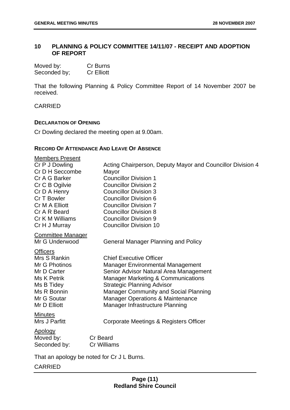#### **10 PLANNING & POLICY COMMITTEE 14/11/07 - RECEIPT AND ADOPTION OF REPORT**

| Moved by:    | Cr Burns          |
|--------------|-------------------|
| Seconded by; | <b>Cr Elliott</b> |

That the following Planning & Policy Committee Report of 14 November 2007 be received.

CARRIED

#### **DECLARATION OF OPENING**

Cr Dowling declared the meeting open at 9.00am.

#### **RECORD OF ATTENDANCE AND LEAVE OF ABSENCE**

| <b>Members Present</b>   |                                                            |
|--------------------------|------------------------------------------------------------|
| Cr P J Dowling           | Acting Chairperson, Deputy Mayor and Councillor Division 4 |
| Cr D H Seccombe          | Mayor                                                      |
| Cr A G Barker            | <b>Councillor Division 1</b>                               |
| Cr C B Ogilvie           | <b>Councillor Division 2</b>                               |
| Cr D A Henry             | <b>Councillor Division 3</b>                               |
| Cr T Bowler              | <b>Councillor Division 6</b>                               |
| Cr M A Elliott           | <b>Councillor Division 7</b>                               |
| Cr A R Beard             | <b>Councillor Division 8</b>                               |
| Cr K M Williams          | <b>Councillor Division 9</b>                               |
| Cr H J Murray            | <b>Councillor Division 10</b>                              |
| <b>Committee Manager</b> |                                                            |
| Mr G Underwood           | <b>General Manager Planning and Policy</b>                 |
| <b>Officers</b>          |                                                            |
| Mrs S Rankin             | <b>Chief Executive Officer</b>                             |
| Mr G Photinos            | <b>Manager Environmental Management</b>                    |
| Mr D Carter              | Senior Advisor Natural Area Management                     |
| Ms K Petrik              | <b>Manager Marketing &amp; Communications</b>              |
| Ms B Tidey               | <b>Strategic Planning Advisor</b>                          |
| Ms R Bonnin              | Manager Community and Social Planning                      |
| Mr G Soutar              | <b>Manager Operations &amp; Maintenance</b>                |
| Mr D Elliott             | Manager Infrastructure Planning                            |
| <b>Minutes</b>           |                                                            |
| Mrs J Parfitt            | Corporate Meetings & Registers Officer                     |
| Apology                  |                                                            |
| Moved by:                | <b>Cr Beard</b>                                            |
| Seconded by:             | <b>Cr Williams</b>                                         |
|                          | That an anology he noted for Cr. II. Burne                 |

That an apology be noted for Cr J L Burns.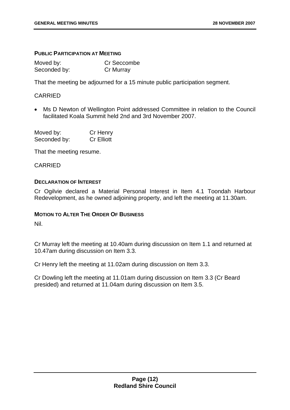#### **PUBLIC PARTICIPATION AT MEETING**

Moved by: Cr Seccombe Seconded by: Cr Murray

That the meeting be adjourned for a 15 minute public participation segment.

#### CARRIED

 Ms D Newton of Wellington Point addressed Committee in relation to the Council facilitated Koala Summit held 2nd and 3rd November 2007.

| Moved by:    | Cr Henry          |
|--------------|-------------------|
| Seconded by: | <b>Cr Elliott</b> |

That the meeting resume.

#### CARRIED

#### **DECLARATION OF INTEREST**

Cr Ogilvie declared a Material Personal Interest in Item 4.1 Toondah Harbour Redevelopment, as he owned adjoining property, and left the meeting at 11.30am.

#### **MOTION TO ALTER THE ORDER OF BUSINESS**

Nil.

Cr Murray left the meeting at 10.40am during discussion on Item 1.1 and returned at 10.47am during discussion on Item 3.3.

Cr Henry left the meeting at 11.02am during discussion on Item 3.3.

Cr Dowling left the meeting at 11.01am during discussion on Item 3.3 (Cr Beard presided) and returned at 11.04am during discussion on Item 3.5.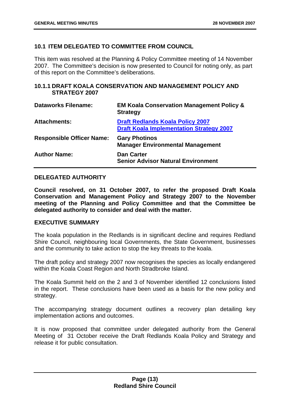#### **10.1 ITEM DELEGATED TO COMMITTEE FROM COUNCIL**

This item was resolved at the Planning & Policy Committee meeting of 14 November 2007. The Committee's decision is now presented to Council for noting only, as part of this report on the Committee's deliberations.

#### **10.1.1 DRAFT KOALA CONSERVATION AND MANAGEMENT POLICY AND STRATEGY 2007**

| <b>Dataworks Filename:</b>       | <b>EM Koala Conservation Management Policy &amp;</b><br><b>Strategy</b>                    |
|----------------------------------|--------------------------------------------------------------------------------------------|
| <b>Attachments:</b>              | <b>Draft Redlands Koala Policy 2007</b><br><b>Draft Koala Implementation Strategy 2007</b> |
| <b>Responsible Officer Name:</b> | <b>Gary Photinos</b><br><b>Manager Environmental Management</b>                            |
| <b>Author Name:</b>              | <b>Dan Carter</b><br><b>Senior Advisor Natural Environment</b>                             |

#### **DELEGATED AUTHORITY**

**Council resolved, on 31 October 2007, to refer the proposed Draft Koala Conservation and Management Policy and Strategy 2007 to the November meeting of the Planning and Policy Committee and that the Committee be delegated authority to consider and deal with the matter.** 

#### **EXECUTIVE SUMMARY**

The koala population in the Redlands is in significant decline and requires Redland Shire Council, neighbouring local Governments, the State Government, businesses and the community to take action to stop the key threats to the koala.

The draft policy and strategy 2007 now recognises the species as locally endangered within the Koala Coast Region and North Stradbroke Island.

The Koala Summit held on the 2 and 3 of November identified 12 conclusions listed in the report. These conclusions have been used as a basis for the new policy and strategy.

The accompanying strategy document outlines a recovery plan detailing key implementation actions and outcomes.

It is now proposed that committee under delegated authority from the General Meeting of 31 October receive the Draft Redlands Koala Policy and Strategy and release it for public consultation.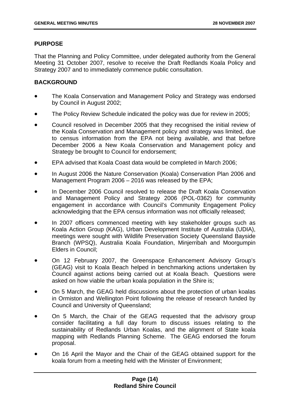#### **PURPOSE**

That the Planning and Policy Committee, under delegated authority from the General Meeting 31 October 2007, resolve to receive the Draft Redlands Koala Policy and Strategy 2007 and to immediately commence public consultation.

#### **BACKGROUND**

- The Koala Conservation and Management Policy and Strategy was endorsed by Council in August 2002;
- The Policy Review Schedule indicated the policy was due for review in 2005;
- Council resolved in December 2005 that they recognised the initial review of the Koala Conservation and Management policy and strategy was limited, due to census information from the EPA not being available, and that before December 2006 a New Koala Conservation and Management policy and Strategy be brought to Council for endorsement;
- EPA advised that Koala Coast data would be completed in March 2006;
- In August 2006 the Nature Conservation (Koala) Conservation Plan 2006 and Management Program 2006 – 2016 was released by the EPA;
- In December 2006 Council resolved to release the Draft Koala Conservation and Management Policy and Strategy 2006 (POL-0362) for community engagement in accordance with Council's Community Engagement Policy acknowledging that the EPA census information was not officially released;
- In 2007 officers commenced meeting with key stakeholder groups such as Koala Action Group (KAG), Urban Development Institute of Australia (UDIA), meetings were sought with Wildlife Preservation Society Queensland Bayside Branch (WPSQ), Australia Koala Foundation, Minjerribah and Moorgumpin Elders in Council;
- On 12 February 2007, the Greenspace Enhancement Advisory Group's (GEAG) visit to Koala Beach helped in benchmarking actions undertaken by Council against actions being carried out at Koala Beach. Questions were asked on how viable the urban koala population in the Shire is;
- On 5 March, the GEAG held discussions about the protection of urban koalas in Ormiston and Wellington Point following the release of research funded by Council and University of Queensland;
- On 5 March, the Chair of the GEAG requested that the advisory group consider facilitating a full day forum to discuss issues relating to the sustainability of Redlands Urban Koalas, and the alignment of State koala mapping with Redlands Planning Scheme. The GEAG endorsed the forum proposal.
- On 16 April the Mayor and the Chair of the GEAG obtained support for the koala forum from a meeting held with the Minister of Environment;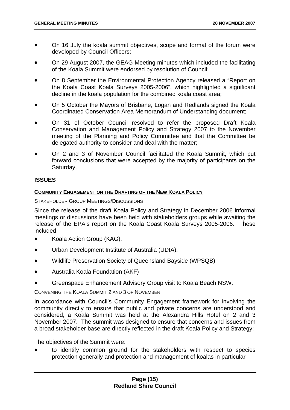- On 16 July the koala summit objectives, scope and format of the forum were developed by Council Officers;
- On 29 August 2007, the GEAG Meeting minutes which included the facilitating of the Koala Summit were endorsed by resolution of Council;
- On 8 September the Environmental Protection Agency released a "Report on the Koala Coast Koala Surveys 2005-2006", which highlighted a significant decline in the koala population for the combined koala coast area;
- On 5 October the Mayors of Brisbane, Logan and Redlands signed the Koala Coordinated Conservation Area Memorandum of Understanding document;
- On 31 of October Council resolved to refer the proposed Draft Koala Conservation and Management Policy and Strategy 2007 to the November meeting of the Planning and Policy Committee and that the Committee be delegated authority to consider and deal with the matter;
- On 2 and 3 of November Council facilitated the Koala Summit, which put forward conclusions that were accepted by the majority of participants on the Saturday.

#### **ISSUES**

#### **COMMUNITY ENGAGEMENT ON THE DRAFTING OF THE NEW KOALA POLICY**

#### STAKEHOLDER GROUP MEETINGS/DISCUSSIONS

Since the release of the draft Koala Policy and Strategy in December 2006 informal meetings or discussions have been held with stakeholders groups while awaiting the release of the EPA's report on the Koala Coast Koala Surveys 2005-2006. These included

- Koala Action Group (KAG),
- Urban Development Institute of Australia (UDIA),
- Wildlife Preservation Society of Queensland Bayside (WPSQB)
- Australia Koala Foundation (AKF)
- Greenspace Enhancement Advisory Group visit to Koala Beach NSW.

#### CONVENING THE KOALA SUMMIT 2 AND 3 OF NOVEMBER

In accordance with Council's Community Engagement framework for involving the community directly to ensure that public and private concerns are understood and considered, a Koala Summit was held at the Alexandra Hills Hotel on 2 and 3 November 2007. The summit was designed to ensure that concerns and issues from a broad stakeholder base are directly reflected in the draft Koala Policy and Strategy;

The objectives of the Summit were:

 to identify common ground for the stakeholders with respect to species protection generally and protection and management of koalas in particular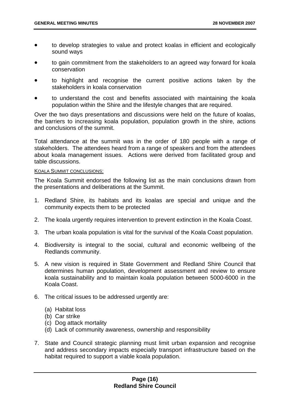- to develop strategies to value and protect koalas in efficient and ecologically sound ways
- to gain commitment from the stakeholders to an agreed way forward for koala conservation
- to highlight and recognise the current positive actions taken by the stakeholders in koala conservation
- to understand the cost and benefits associated with maintaining the koala population within the Shire and the lifestyle changes that are required.

Over the two days presentations and discussions were held on the future of koalas, the barriers to increasing koala population, population growth in the shire, actions and conclusions of the summit.

Total attendance at the summit was in the order of 180 people with a range of stakeholders. The attendees heard from a range of speakers and from the attendees about koala management issues. Actions were derived from facilitated group and table discussions.

#### KOALA SUMMIT CONCLUSIONS:

The Koala Summit endorsed the following list as the main conclusions drawn from the presentations and deliberations at the Summit.

- 1. Redland Shire, its habitats and its koalas are special and unique and the community expects them to be protected
- 2. The koala urgently requires intervention to prevent extinction in the Koala Coast.
- 3. The urban koala population is vital for the survival of the Koala Coast population.
- 4. Biodiversity is integral to the social, cultural and economic wellbeing of the Redlands community.
- 5. A new vision is required in State Government and Redland Shire Council that determines human population, development assessment and review to ensure koala sustainability and to maintain koala population between 5000-6000 in the Koala Coast.
- 6. The critical issues to be addressed urgently are:
	- (a) Habitat loss
	- (b) Car strike
	- (c) Dog attack mortality
	- (d) Lack of community awareness, ownership and responsibility
- 7. State and Council strategic planning must limit urban expansion and recognise and address secondary impacts especially transport infrastructure based on the habitat required to support a viable koala population.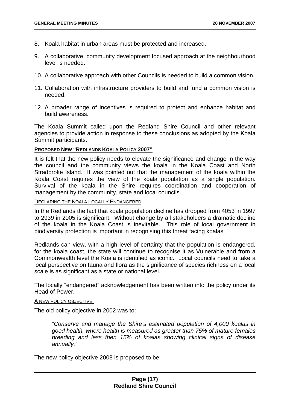- 8. Koala habitat in urban areas must be protected and increased.
- 9. A collaborative, community development focused approach at the neighbourhood level is needed.
- 10. A collaborative approach with other Councils is needed to build a common vision.
- 11. Collaboration with infrastructure providers to build and fund a common vision is needed.
- 12. A broader range of incentives is required to protect and enhance habitat and build awareness.

The Koala Summit called upon the Redland Shire Council and other relevant agencies to provide action in response to these conclusions as adopted by the Koala Summit participants.

#### **PROPOSED NEW "REDLANDS KOALA POLICY 2007"**

It is felt that the new policy needs to elevate the significance and change in the way the council and the community views the koala in the Koala Coast and North Stradbroke Island. It was pointed out that the management of the koala within the Koala Coast requires the view of the koala population as a single population. Survival of the koala in the Shire requires coordination and cooperation of management by the community, state and local councils.

DECLARING THE KOALA LOCALLY ENDANGERED

In the Redlands the fact that koala population decline has dropped from 4053 in 1997 to 2939 in 2005 is significant. Without change by all stakeholders a dramatic decline of the koala in the Koala Coast is inevitable. This role of local government in biodiversity protection is important in recognising this threat facing koalas.

Redlands can view, with a high level of certainty that the population is endangered, for the koala coast, the state will continue to recognise it as Vulnerable and from a Commonwealth level the Koala is identified as iconic. Local councils need to take a local perspective on fauna and flora as the significance of species richness on a local scale is as significant as a state or national level.

The locally "endangered" acknowledgement has been written into the policy under its Head of Power.

#### A NEW POLICY OBJECTIVE:

The old policy objective in 2002 was to:

*"Conserve and manage the Shire's estimated population of 4,000 koalas in good health, where health is measured as greater than 75% of mature females breeding and less then 15% of koalas showing clinical signs of disease annually."* 

The new policy objective 2008 is proposed to be: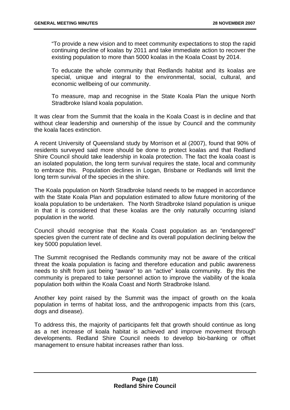"To provide a new vision and to meet community expectations to stop the rapid continuing decline of koalas by 2011 and take immediate action to recover the existing population to more than 5000 koalas in the Koala Coast by 2014.

To educate the whole community that Redlands habitat and its koalas are special, unique and integral to the environmental, social, cultural, and economic wellbeing of our community.

To measure, map and recognise in the State Koala Plan the unique North Stradbroke Island koala population.

It was clear from the Summit that the koala in the Koala Coast is in decline and that without clear leadership and ownership of the issue by Council and the community the koala faces extinction.

A recent University of Queensland study by Morrison et al (2007), found that 90% of residents surveyed said more should be done to protect koalas and that Redland Shire Council should take leadership in koala protection. The fact the koala coast is an isolated population, the long term survival requires the state, local and community to embrace this. Population declines in Logan, Brisbane or Redlands will limit the long term survival of the species in the shire.

The Koala population on North Stradbroke Island needs to be mapped in accordance with the State Koala Plan and population estimated to allow future monitoring of the koala population to be undertaken. The North Stradbroke Island population is unique in that it is considered that these koalas are the only naturally occurring island population in the world.

Council should recognise that the Koala Coast population as an "endangered" species given the current rate of decline and its overall population declining below the key 5000 population level.

The Summit recognised the Redlands community may not be aware of the critical threat the koala population is facing and therefore education and public awareness needs to shift from just being "aware" to an "active" koala community. By this the community is prepared to take personnel action to improve the viability of the koala population both within the Koala Coast and North Stradbroke Island.

Another key point raised by the Summit was the impact of growth on the koala population in terms of habitat loss, and the anthropogenic impacts from this (cars, dogs and disease).

To address this, the majority of participants felt that growth should continue as long as a net increase of koala habitat is achieved and improve movement through developments. Redland Shire Council needs to develop bio-banking or offset management to ensure habitat increases rather than loss.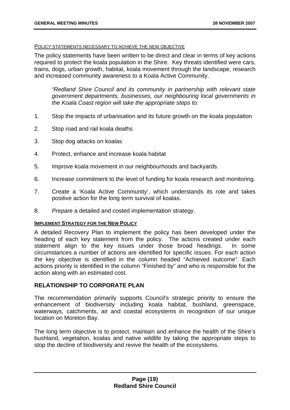#### POLICY STATEMENTS NECESSARY TO ACHIEVE THE NEW OBJECTIVE

The policy statements have been written to be direct and clear in terms of key actions required to protect the koala population in the Shire. Key threats identified were cars, trains, dogs, urban growth, habitat, koala movement through the landscape, research and increased community awareness to a Koala Active Community.

*"Redland Shire Council and its community in partnership with relevant state government departments, businesses, our neighbouring local governments in the Koala Coast region will take the appropriate steps to:* 

- 1. Stop the impacts of urbanisation and its future growth on the koala population
- 2. Stop road and rail koala deaths
- 3. Stop dog attacks on koalas
- 4. Protect, enhance and increase koala habitat
- 5. Improve koala movement in our neighbourhoods and backyards.
- 6. Increase commitment to the level of funding for koala research and monitoring.
- 7. Create a 'Koala Active Community', which understands its role and takes positive action for the long term survival of koalas.
- 8. *Prepare* a detailed and costed implementation strategy.

#### **IMPLEMENT STRATEGY FOR THE NEW POLICY**

A detailed Recovery Plan to implement the policy has been developed under the heading of each key statement from the policy. The actions created under each statement align to the key issues under those broad headings. In some circumstances a number of actions are identified for specific issues. For each action the key objective is identified in the column headed "Achieved outcome". Each actions priority is identified in the column "Finished by" and who is responsible for the action along with an estimated cost.

#### **RELATIONSHIP TO CORPORATE PLAN**

The recommendation primarily supports Council's strategic priority to ensure the enhancement of biodiversity including koala habitat, bushland, greenspace, waterways, catchments, air and coastal ecosystems in recognition of our unique location on Moreton Bay.

The long term objective is to protect, maintain and enhance the health of the Shire's bushland, vegetation, koalas and native wildlife by taking the appropriate steps to stop the decline of biodiversity and revive the health of the ecosystems.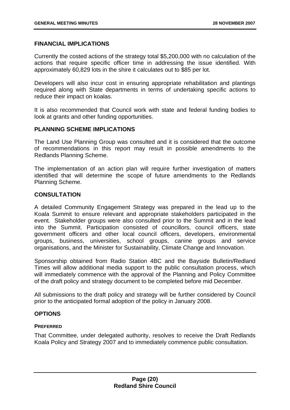#### **FINANCIAL IMPLICATIONS**

Currently the costed actions of the strategy total \$5,200,000 with no calculation of the actions that require specific officer time in addressing the issue identified. With approximately 60,829 lots in the shire it calculates out to \$85 per lot.

Developers will also incur cost in ensuring appropriate rehabilitation and plantings required along with State departments in terms of undertaking specific actions to reduce their impact on koalas.

It is also recommended that Council work with state and federal funding bodies to look at grants and other funding opportunities.

#### **PLANNING SCHEME IMPLICATIONS**

The Land Use Planning Group was consulted and it is considered that the outcome of recommendations in this report may result in possible amendments to the Redlands Planning Scheme.

The implementation of an action plan will require further investigation of matters identified that will determine the scope of future amendments to the Redlands Planning Scheme.

#### **CONSULTATION**

A detailed Community Engagement Strategy was prepared in the lead up to the Koala Summit to ensure relevant and appropriate stakeholders participated in the event. Stakeholder groups were also consulted prior to the Summit and in the lead into the Summit. Participation consisted of councillors, council officers, state government officers and other local council officers, developers, environmental groups, business, universities, school groups, canine groups and service organisations, and the Minister for Sustainability, Climate Change and Innovation.

Sponsorship obtained from Radio Station 4BC and the Bayside Bulletin/Redland Times will allow additional media support to the public consultation process, which will immediately commence with the approval of the Planning and Policy Committee of the draft policy and strategy document to be completed before mid December.

All submissions to the draft policy and strategy will be further considered by Council prior to the anticipated formal adoption of the policy in January 2008.

#### **OPTIONS**

#### **PREFERRED**

That Committee, under delegated authority, resolves to receive the Draft Redlands Koala Policy and Strategy 2007 and to immediately commence public consultation.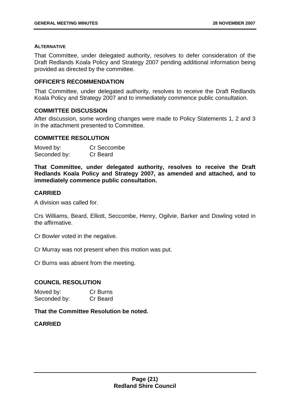#### **ALTERNATIVE**

That Committee, under delegated authority, resolves to defer consideration of the Draft Redlands Koala Policy and Strategy 2007 pending additional information being provided as directed by the committee.

#### **OFFICER'S RECOMMENDATION**

That Committee, under delegated authority, resolves to receive the Draft Redlands Koala Policy and Strategy 2007 and to immediately commence public consultation.

#### **COMMITTEE DISCUSSION**

After discussion, some wording changes were made to Policy Statements 1, 2 and 3 in the attachment presented to Committee.

#### **COMMITTEE RESOLUTION**

| Moved by:    | Cr Seccombe |
|--------------|-------------|
| Seconded by: | Cr Beard    |

**That Committee, under delegated authority, resolves to receive the Draft Redlands Koala Policy and Strategy 2007, as amended and attached, and to immediately commence public consultation.** 

#### **CARRIED**

A division was called for.

Crs Williams, Beard, Elliott, Seccombe, Henry, Ogilvie, Barker and Dowling voted in the affirmative.

Cr Bowler voted in the negative.

Cr Murray was not present when this motion was put.

Cr Burns was absent from the meeting.

#### **COUNCIL RESOLUTION**

| Moved by:    | Cr Burns |
|--------------|----------|
| Seconded by: | Cr Beard |

#### **That the Committee Resolution be noted.**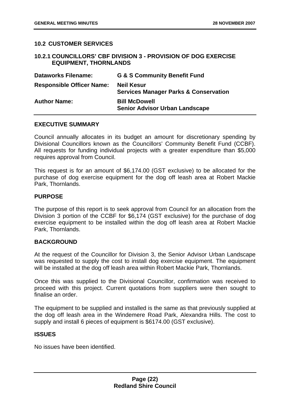#### **10.2 CUSTOMER SERVICES**

#### **10.2.1 COUNCILLORS' CBF DIVISION 3 - PROVISION OF DOG EXERCISE EQUIPMENT, THORNLANDS**

| <b>Dataworks Filename:</b>       | <b>G &amp; S Community Benefit Fund</b>                               |
|----------------------------------|-----------------------------------------------------------------------|
| <b>Responsible Officer Name:</b> | <b>Neil Kesur</b><br><b>Services Manager Parks &amp; Conservation</b> |
| <b>Author Name:</b>              | <b>Bill McDowell</b><br><b>Senior Advisor Urban Landscape</b>         |

#### **EXECUTIVE SUMMARY**

Council annually allocates in its budget an amount for discretionary spending by Divisional Councillors known as the Councillors' Community Benefit Fund (CCBF). All requests for funding individual projects with a greater expenditure than \$5,000 requires approval from Council.

This request is for an amount of \$6,174.00 (GST exclusive) to be allocated for the purchase of dog exercise equipment for the dog off leash area at Robert Mackie Park, Thornlands.

#### **PURPOSE**

The purpose of this report is to seek approval from Council for an allocation from the Division 3 portion of the CCBF for \$6,174 (GST exclusive) for the purchase of dog exercise equipment to be installed within the dog off leash area at Robert Mackie Park, Thornlands.

#### **BACKGROUND**

At the request of the Councillor for Division 3, the Senior Advisor Urban Landscape was requested to supply the cost to install dog exercise equipment. The equipment will be installed at the dog off leash area within Robert Mackie Park, Thornlands.

Once this was supplied to the Divisional Councillor, confirmation was received to proceed with this project. Current quotations from suppliers were then sought to finalise an order.

The equipment to be supplied and installed is the same as that previously supplied at the dog off leash area in the Windemere Road Park, Alexandra Hills. The cost to supply and install 6 pieces of equipment is \$6174.00 (GST exclusive).

#### **ISSUES**

No issues have been identified.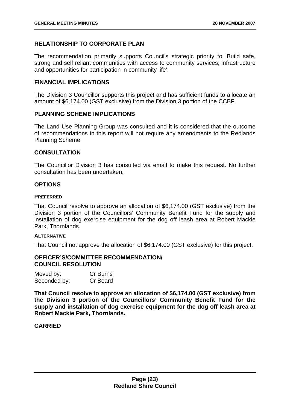#### **RELATIONSHIP TO CORPORATE PLAN**

The recommendation primarily supports Council's strategic priority to 'Build safe, strong and self reliant communities with access to community services, infrastructure and opportunities for participation in community life'.

#### **FINANCIAL IMPLICATIONS**

The Division 3 Councillor supports this project and has sufficient funds to allocate an amount of \$6,174.00 (GST exclusive) from the Division 3 portion of the CCBF.

#### **PLANNING SCHEME IMPLICATIONS**

The Land Use Planning Group was consulted and it is considered that the outcome of recommendations in this report will not require any amendments to the Redlands Planning Scheme.

#### **CONSULTATION**

The Councillor Division 3 has consulted via email to make this request. No further consultation has been undertaken.

#### **OPTIONS**

#### **PREFERRED**

That Council resolve to approve an allocation of \$6,174.00 (GST exclusive) from the Division 3 portion of the Councillors' Community Benefit Fund for the supply and installation of dog exercise equipment for the dog off leash area at Robert Mackie Park, Thornlands.

#### **ALTERNATIVE**

That Council not approve the allocation of \$6,174.00 (GST exclusive) for this project.

#### **OFFICER'S/COMMITTEE RECOMMENDATION/ COUNCIL RESOLUTION**

| Moved by:    | Cr Burns |
|--------------|----------|
| Seconded by: | Cr Beard |

**That Council resolve to approve an allocation of \$6,174.00 (GST exclusive) from the Division 3 portion of the Councillors' Community Benefit Fund for the supply and installation of dog exercise equipment for the dog off leash area at Robert Mackie Park, Thornlands.**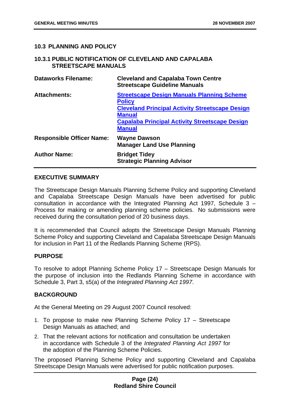#### **10.3 PLANNING AND POLICY**

#### **10.3.1 PUBLIC NOTIFICATION OF CLEVELAND AND CAPALABA STREETSCAPE MANUALS**

| <b>Dataworks Filename:</b>       | <b>Cleveland and Capalaba Town Centre</b><br><b>Streetscape Guideline Manuals</b>                                                                                                                                       |
|----------------------------------|-------------------------------------------------------------------------------------------------------------------------------------------------------------------------------------------------------------------------|
| <b>Attachments:</b>              | <b>Streetscape Design Manuals Planning Scheme</b><br><b>Policy</b><br><b>Cleveland Principal Activity Streetscape Design</b><br><b>Manual</b><br><b>Capalaba Principal Activity Streetscape Design</b><br><b>Manual</b> |
| <b>Responsible Officer Name:</b> | <b>Wayne Dawson</b><br><b>Manager Land Use Planning</b>                                                                                                                                                                 |
| <b>Author Name:</b>              | <b>Bridget Tidey</b><br><b>Strategic Planning Advisor</b>                                                                                                                                                               |

#### **EXECUTIVE SUMMARY**

The Streetscape Design Manuals Planning Scheme Policy and supporting Cleveland and Capalaba Streetscape Design Manuals have been advertised for public consultation in accordance with the Integrated Planning Act 1997, Schedule 3 – Process for making or amending planning scheme policies. No submissions were received during the consultation period of 20 business days.

It is recommended that Council adopts the Streetscape Design Manuals Planning Scheme Policy and supporting Cleveland and Capalaba Streetscape Design Manuals for inclusion in Part 11 of the Redlands Planning Scheme (RPS).

#### **PURPOSE**

To resolve to adopt Planning Scheme Policy 17 – Streetscape Design Manuals for the purpose of inclusion into the Redlands Planning Scheme in accordance with Schedule 3, Part 3, s5(a) of the *Integrated Planning Act 1997*.

#### **BACKGROUND**

At the General Meeting on 29 August 2007 Council resolved:

- 1. To propose to make new Planning Scheme Policy 17 Streetscape Design Manuals as attached; and
- 2. That the relevant actions for notification and consultation be undertaken in accordance with Schedule 3 of the *Integrated Planning Act 1997* for the adoption of the Planning Scheme Policies.

The proposed Planning Scheme Policy and supporting Cleveland and Capalaba Streetscape Design Manuals were advertised for public notification purposes.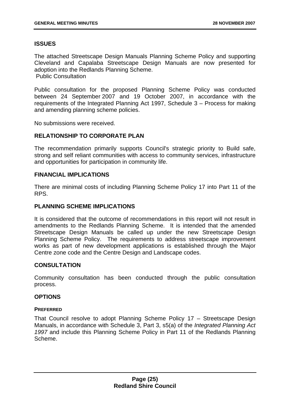#### **ISSUES**

The attached Streetscape Design Manuals Planning Scheme Policy and supporting Cleveland and Capalaba Streetscape Design Manuals are now presented for adoption into the Redlands Planning Scheme. Public Consultation

Public consultation for the proposed Planning Scheme Policy was conducted between 24 September 2007 and 19 October 2007, in accordance with the requirements of the Integrated Planning Act 1997, Schedule 3 – Process for making and amending planning scheme policies.

No submissions were received.

#### **RELATIONSHIP TO CORPORATE PLAN**

The recommendation primarily supports Council's strategic priority to Build safe, strong and self reliant communities with access to community services, infrastructure and opportunities for participation in community life.

#### **FINANCIAL IMPLICATIONS**

There are minimal costs of including Planning Scheme Policy 17 into Part 11 of the RPS.

#### **PLANNING SCHEME IMPLICATIONS**

It is considered that the outcome of recommendations in this report will not result in amendments to the Redlands Planning Scheme. It is intended that the amended Streetscape Design Manuals be called up under the new Streetscape Design Planning Scheme Policy. The requirements to address streetscape improvement works as part of new development applications is established through the Major Centre zone code and the Centre Design and Landscape codes.

#### **CONSULTATION**

Community consultation has been conducted through the public consultation process.

#### **OPTIONS**

#### **PREFERRED**

That Council resolve to adopt Planning Scheme Policy 17 – Streetscape Design Manuals, in accordance with Schedule 3, Part 3, s5(a) of the *Integrated Planning Act 1997* and include this Planning Scheme Policy in Part 11 of the Redlands Planning Scheme.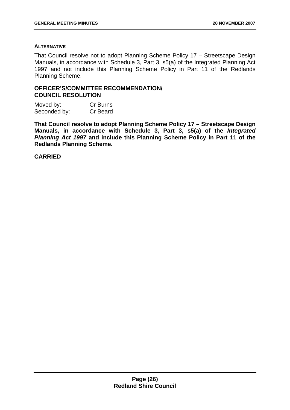#### **ALTERNATIVE**

That Council resolve not to adopt Planning Scheme Policy 17 – Streetscape Design Manuals, in accordance with Schedule 3, Part 3, s5(a) of the Integrated Planning Act 1997 and not include this Planning Scheme Policy in Part 11 of the Redlands Planning Scheme.

#### **OFFICER'S/COMMITTEE RECOMMENDATION/ COUNCIL RESOLUTION**

Moved by: Cr Burns Seconded by: Cr Beard

**That Council resolve to adopt Planning Scheme Policy 17 – Streetscape Design Manuals, in accordance with Schedule 3, Part 3, s5(a) of the** *Integrated Planning Act 1997* **and include this Planning Scheme Policy in Part 11 of the Redlands Planning Scheme.**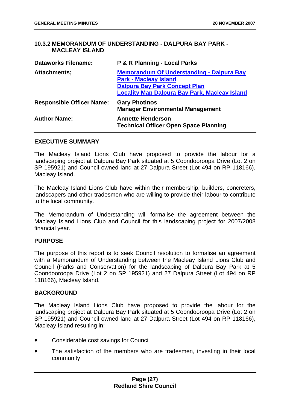#### **10.3.2 MEMORANDUM OF UNDERSTANDING - DALPURA BAY PARK - MACLEAY ISLAND**

| <b>Dataworks Filename:</b>       | P & R Planning - Local Parks                                                                                                                                                     |
|----------------------------------|----------------------------------------------------------------------------------------------------------------------------------------------------------------------------------|
| Attachments;                     | <b>Memorandum Of Understanding - Dalpura Bay</b><br><b>Park - Macleay Island</b><br><b>Dalpura Bay Park Concept Plan</b><br><b>Locality Map Dalpura Bay Park, Macleay Island</b> |
| <b>Responsible Officer Name:</b> | <b>Gary Photinos</b><br><b>Manager Environmental Management</b>                                                                                                                  |
| <b>Author Name:</b>              | <b>Annette Henderson</b><br><b>Technical Officer Open Space Planning</b>                                                                                                         |

#### **EXECUTIVE SUMMARY**

The Macleay Island Lions Club have proposed to provide the labour for a landscaping project at Dalpura Bay Park situated at 5 Coondooroopa Drive (Lot 2 on SP 195921) and Council owned land at 27 Dalpura Street (Lot 494 on RP 118166), Macleay Island.

The Macleay Island Lions Club have within their membership, builders, concreters, landscapers and other tradesmen who are willing to provide their labour to contribute to the local community.

The Memorandum of Understanding will formalise the agreement between the Macleay Island Lions Club and Council for this landscaping project for 2007/2008 financial year.

#### **PURPOSE**

The purpose of this report is to seek Council resolution to formalise an agreement with a Memorandum of Understanding between the Macleay Island Lions Club and Council (Parks and Conservation) for the landscaping of Dalpura Bay Park at 5 Coondooroopa Drive (Lot 2 on SP 195921) and 27 Dalpura Street (Lot 494 on RP 118166), Macleay Island.

#### **BACKGROUND**

The Macleay Island Lions Club have proposed to provide the labour for the landscaping project at Dalpura Bay Park situated at 5 Coondooroopa Drive (Lot 2 on SP 195921) and Council owned land at 27 Dalpura Street (Lot 494 on RP 118166), Macleay Island resulting in:

- Considerable cost savings for Council
- The satisfaction of the members who are tradesmen, investing in their local community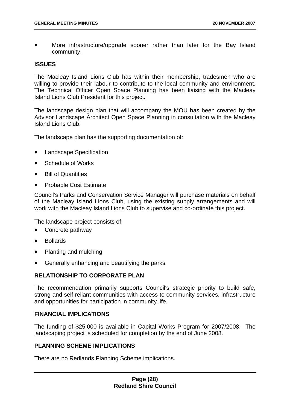More infrastructure/upgrade sooner rather than later for the Bay Island community.

#### **ISSUES**

The Macleay Island Lions Club has within their membership, tradesmen who are willing to provide their labour to contribute to the local community and environment. The Technical Officer Open Space Planning has been liaising with the Macleay Island Lions Club President for this project.

The landscape design plan that will accompany the MOU has been created by the Advisor Landscape Architect Open Space Planning in consultation with the Macleay Island Lions Club.

The landscape plan has the supporting documentation of:

- Landscape Specification
- Schedule of Works
- Bill of Quantities
- Probable Cost Estimate

Council's Parks and Conservation Service Manager will purchase materials on behalf of the Macleay Island Lions Club, using the existing supply arrangements and will work with the Macleay Island Lions Club to supervise and co-ordinate this project.

The landscape project consists of:

- Concrete pathway
- Bollards
- Planting and mulching
- Generally enhancing and beautifying the parks

#### **RELATIONSHIP TO CORPORATE PLAN**

The recommendation primarily supports Council's strategic priority to build safe, strong and self reliant communities with access to community services, infrastructure and opportunities for participation in community life.

#### **FINANCIAL IMPLICATIONS**

The funding of \$25,000 is available in Capital Works Program for 2007/2008. The landscaping project is scheduled for completion by the end of June 2008.

#### **PLANNING SCHEME IMPLICATIONS**

There are no Redlands Planning Scheme implications.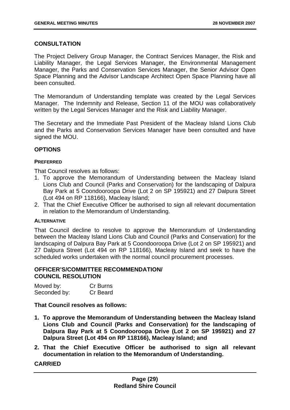#### **CONSULTATION**

The Project Delivery Group Manager, the Contract Services Manager, the Risk and Liability Manager, the Legal Services Manager, the Environmental Management Manager, the Parks and Conservation Services Manager, the Senior Advisor Open Space Planning and the Advisor Landscape Architect Open Space Planning have all been consulted.

The Memorandum of Understanding template was created by the Legal Services Manager. The Indemnity and Release, Section 11 of the MOU was collaboratively written by the Legal Services Manager and the Risk and Liability Manager.

The Secretary and the Immediate Past President of the Macleay Island Lions Club and the Parks and Conservation Services Manager have been consulted and have signed the MOU.

#### **OPTIONS**

#### **PREFERRED**

That Council resolves as follows:

- 1. To approve the Memorandum of Understanding between the Macleay Island Lions Club and Council (Parks and Conservation) for the landscaping of Dalpura Bay Park at 5 Coondooroopa Drive (Lot 2 on SP 195921) and 27 Dalpura Street (Lot 494 on RP 118166), Macleay Island;
- 2. That the Chief Executive Officer be authorised to sign all relevant documentation in relation to the Memorandum of Understanding.

#### **ALTERNATIVE**

That Council decline to resolve to approve the Memorandum of Understanding between the Macleay Island Lions Club and Council (Parks and Conservation) for the landscaping of Dalpura Bay Park at 5 Coondooroopa Drive (Lot 2 on SP 195921) and 27 Dalpura Street (Lot 494 on RP 118166), Macleay Island and seek to have the scheduled works undertaken with the normal council procurement processes.

#### **OFFICER'S/COMMITTEE RECOMMENDATION/ COUNCIL RESOLUTION**

| Moved by:    | Cr Burns |
|--------------|----------|
| Seconded by: | Cr Beard |

**That Council resolves as follows:** 

- **1. To approve the Memorandum of Understanding between the Macleay Island Lions Club and Council (Parks and Conservation) for the landscaping of Dalpura Bay Park at 5 Coondooroopa Drive (Lot 2 on SP 195921) and 27 Dalpura Street (Lot 494 on RP 118166), Macleay Island; and**
- **2. That the Chief Executive Officer be authorised to sign all relevant documentation in relation to the Memorandum of Understanding.**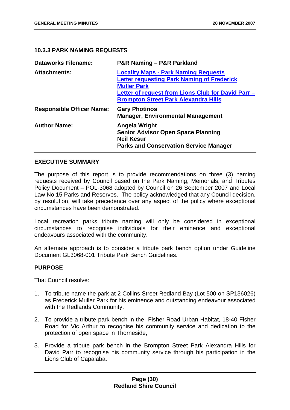#### **10.3.3 PARK NAMING REQUESTS**

| <b>Dataworks Filename:</b>       | P&R Naming - P&R Parkland                                                                                                                                                                                                   |
|----------------------------------|-----------------------------------------------------------------------------------------------------------------------------------------------------------------------------------------------------------------------------|
| <b>Attachments:</b>              | <b>Locality Maps - Park Naming Requests</b><br><b>Letter requesting Park Naming of Frederick</b><br><b>Muller Park</b><br>Letter of request from Lions Club for David Parr -<br><b>Brompton Street Park Alexandra Hills</b> |
| <b>Responsible Officer Name:</b> | <b>Gary Photinos</b><br><b>Manager, Environmental Management</b>                                                                                                                                                            |
| <b>Author Name:</b>              | Angela Wright<br><b>Senior Advisor Open Space Planning</b><br><b>Neil Kesur</b><br><b>Parks and Conservation Service Manager</b>                                                                                            |

#### **EXECUTIVE SUMMARY**

The purpose of this report is to provide recommendations on three (3) naming requests received by Council based on the Park Naming, Memorials, and Tributes Policy Document – POL-3068 adopted by Council on 26 September 2007 and Local Law No.15 Parks and Reserves. The policy acknowledged that any Council decision, by resolution, will take precedence over any aspect of the policy where exceptional circumstances have been demonstrated.

Local recreation parks tribute naming will only be considered in exceptional circumstances to recognise individuals for their eminence and exceptional endeavours associated with the community.

An alternate approach is to consider a tribute park bench option under Guideline Document GL3068-001 Tribute Park Bench Guidelines.

#### **PURPOSE**

That Council resolve:

- 1. To tribute name the park at 2 Collins Street Redland Bay (Lot 500 on SP136026) as Frederick Muller Park for his eminence and outstanding endeavour associated with the Redlands Community.
- 2. To provide a tribute park bench in the Fisher Road Urban Habitat, 18-40 Fisher Road for Vic Arthur to recognise his community service and dedication to the protection of open space in Thorneside,
- 3. Provide a tribute park bench in the Brompton Street Park Alexandra Hills for David Parr to recognise his community service through his participation in the Lions Club of Capalaba.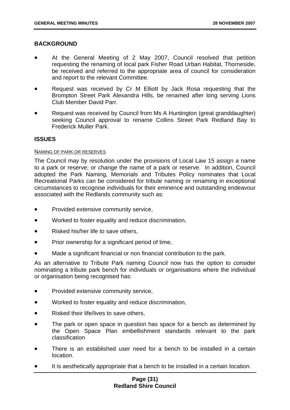#### **BACKGROUND**

- At the General Meeting of 2 May 2007, Council resolved that petition requesting the renaming of local park Fisher Road Urban Habitat, Thorneside, be received and referred to the appropriate area of council for consideration and report to the relevant Committee.
- Request was received by Cr M Elliott by Jack Rosa requesting that the Brompton Street Park Alexandra Hills, be renamed after long serving Lions Club Member David Parr.
- Request was received by Council from Ms A Huntington (great granddaughter) seeking Council approval to rename Collins Street Park Redland Bay to Frederick Muller Park.

#### **ISSUES**

#### NAMING OF PARK OR RESERVES

The Council may by resolution under the provisions of Local Law 15 assign a name to a park or reserve; or change the name of a park or reserve. In addition, Council adopted the Park Naming, Memorials and Tributes Policy nominates that Local Recreational Parks can be considered for tribute naming or renaming in exceptional circumstances to recognise individuals for their eminence and outstanding endeavour associated with the Redlands community such as:

- Provided extensive community service,
- Worked to foster equality and reduce discrimination,
- Risked his/her life to save others,
- Prior ownership for a significant period of time,
- Made a significant financial or non financial contribution to the park.

As an alternative to Tribute Park naming Council now has the option to consider nominating a tribute park bench for individuals or organisations where the individual or organisation being recognised has:

- Provided extensive community service,
- Worked to foster equality and reduce discrimination,
- Risked their life/lives to save others,
- The park or open space in question has space for a bench as determined by the Open Space Plan embellishment standards relevant to the park classification
- There is an established user need for a bench to be installed in a certain location.
- It is aesthetically appropriate that a bench to be installed in a certain location.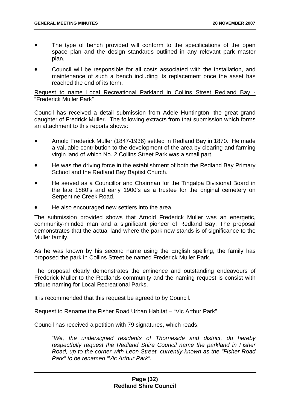- The type of bench provided will conform to the specifications of the open space plan and the design standards outlined in any relevant park master plan.
- Council will be responsible for all costs associated with the installation, and maintenance of such a bench including its replacement once the asset has reached the end of its term.

#### Request to name Local Recreational Parkland in Collins Street Redland Bay - "Frederick Muller Park"

Council has received a detail submission from Adele Huntington, the great grand daughter of Fredrick Muller. The following extracts from that submission which forms an attachment to this reports shows:

- Arnold Frederick Muller (1847-1936) settled in Redland Bay in 1870. He made a valuable contribution to the development of the area by clearing and farming virgin land of which No. 2 Collins Street Park was a small part.
- He was the driving force in the establishment of both the Redland Bay Primary School and the Redland Bay Baptist Church.
- He served as a Councillor and Chairman for the Tingalpa Divisional Board in the late 1880's and early 1900's as a trustee for the original cemetery on Serpentine Creek Road.
- He also encouraged new settlers into the area.

The submission provided shows that Arnold Frederick Muller was an energetic, community-minded man and a significant pioneer of Redland Bay. The proposal demonstrates that the actual land where the park now stands is of significance to the Muller family.

As he was known by his second name using the English spelling, the family has proposed the park in Collins Street be named Frederick Muller Park.

The proposal clearly demonstrates the eminence and outstanding endeavours of Frederick Muller to the Redlands community and the naming request is consist with tribute naming for Local Recreational Parks.

It is recommended that this request be agreed to by Council.

#### Request to Rename the Fisher Road Urban Habitat – "Vic Arthur Park"

Council has received a petition with 79 signatures, which reads,

"*We, the undersigned residents of Thorneside and district, do hereby respectfully request the Redland Shire Council name the parkland in Fisher Road, up to the corner with Leon Street, currently known as the "Fisher Road Park" to be renamed "Vic Arthur Park".*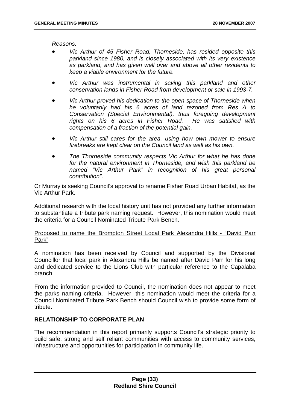*Reasons:* 

- *Vic Arthur of 45 Fisher Road, Thorneside, has resided opposite this parkland since 1980, and is closely associated with its very existence as parkland, and has given well over and above all other residents to keep a viable environment for the future.*
- *Vic Arthur was instrumental in saving this parkland and other conservation lands in Fisher Road from development or sale in 1993-7.*
- *Vic Arthur proved his dedication to the open space of Thorneside when he voluntarily had his 6 acres of land rezoned from Res A to Conservation (Special Environmental), thus foregoing development rights on his 6 acres in Fisher Road. He was satisfied with compensation of a fraction of the potential gain.*
- *Vic Arthur still cares for the area, using how own mower to ensure firebreaks are kept clear on the Council land as well as his own.*
- *The Thorneside community respects Vic Arthur for what he has done for the natural environment in Thorneside, and wish this parkland be named "Vic Arthur Park" in recognition of his great personal contribution".*

Cr Murray is seeking Council's approval to rename Fisher Road Urban Habitat, as the Vic Arthur Park.

Additional research with the local history unit has not provided any further information to substantiate a tribute park naming request. However, this nomination would meet the criteria for a Council Nominated Tribute Park Bench.

#### Proposed to name the Brompton Street Local Park Alexandra Hills - "David Parr Park"

A nomination has been received by Council and supported by the Divisional Councillor that local park in Alexandra Hills be named after David Parr for his long and dedicated service to the Lions Club with particular reference to the Capalaba branch.

From the information provided to Council, the nomination does not appear to meet the parks naming criteria. However, this nomination would meet the criteria for a Council Nominated Tribute Park Bench should Council wish to provide some form of tribute.

#### **RELATIONSHIP TO CORPORATE PLAN**

The recommendation in this report primarily supports Council's strategic priority to build safe, strong and self reliant communities with access to community services, infrastructure and opportunities for participation in community life.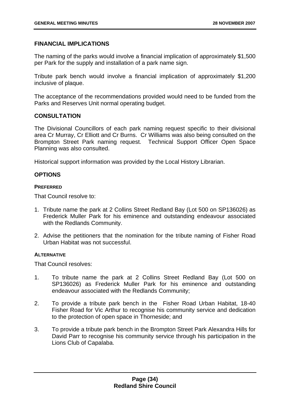#### **FINANCIAL IMPLICATIONS**

The naming of the parks would involve a financial implication of approximately \$1,500 per Park for the supply and installation of a park name sign.

Tribute park bench would involve a financial implication of approximately \$1,200 inclusive of plaque.

The acceptance of the recommendations provided would need to be funded from the Parks and Reserves Unit normal operating budget.

#### **CONSULTATION**

The Divisional Councillors of each park naming request specific to their divisional area Cr Murray, Cr Elliott and Cr Burns. Cr Williams was also being consulted on the Brompton Street Park naming request. Technical Support Officer Open Space Planning was also consulted.

Historical support information was provided by the Local History Librarian.

#### **OPTIONS**

#### **PREFERRED**

That Council resolve to:

- 1. Tribute name the park at 2 Collins Street Redland Bay (Lot 500 on SP136026) as Frederick Muller Park for his eminence and outstanding endeavour associated with the Redlands Community.
- 2. Advise the petitioners that the nomination for the tribute naming of Fisher Road Urban Habitat was not successful.

#### **ALTERNATIVE**

That Council resolves:

- 1. To tribute name the park at 2 Collins Street Redland Bay (Lot 500 on SP136026) as Frederick Muller Park for his eminence and outstanding endeavour associated with the Redlands Community;
- 2. To provide a tribute park bench in the Fisher Road Urban Habitat, 18-40 Fisher Road for Vic Arthur to recognise his community service and dedication to the protection of open space in Thorneside; and
- 3. To provide a tribute park bench in the Brompton Street Park Alexandra Hills for David Parr to recognise his community service through his participation in the Lions Club of Capalaba.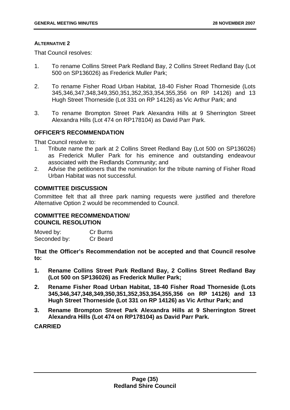#### **ALTERNATIVE 2**

That Council resolves:

- 1. To rename Collins Street Park Redland Bay, 2 Collins Street Redland Bay (Lot 500 on SP136026) as Frederick Muller Park;
- 2. To rename Fisher Road Urban Habitat, 18-40 Fisher Road Thorneside (Lots 345,346,347,348,349,350,351,352,353,354,355,356 on RP 14126) and 13 Hugh Street Thorneside (Lot 331 on RP 14126) as Vic Arthur Park; and
- 3. To rename Brompton Street Park Alexandra Hills at 9 Sherrington Street Alexandra Hills (Lot 474 on RP178104) as David Parr Park.

#### **OFFICER'S RECOMMENDATION**

That Council resolve to:

- 1. Tribute name the park at 2 Collins Street Redland Bay (Lot 500 on SP136026) as Frederick Muller Park for his eminence and outstanding endeavour associated with the Redlands Community; and
- 2. Advise the petitioners that the nomination for the tribute naming of Fisher Road Urban Habitat was not successful.

#### **COMMITTEE DISCUSSION**

Committee felt that all three park naming requests were justified and therefore Alternative Option 2 would be recommended to Council.

#### **COMMITTEE RECOMMENDATION/ COUNCIL RESOLUTION**

| Moved by:    | Cr Burns |
|--------------|----------|
| Seconded by: | Cr Beard |

**That the Officer's Recommendation not be accepted and that Council resolve to:** 

- **1. Rename Collins Street Park Redland Bay, 2 Collins Street Redland Bay (Lot 500 on SP136026) as Frederick Muller Park;**
- **2. Rename Fisher Road Urban Habitat, 18-40 Fisher Road Thorneside (Lots 345,346,347,348,349,350,351,352,353,354,355,356 on RP 14126) and 13 Hugh Street Thorneside (Lot 331 on RP 14126) as Vic Arthur Park; and**
- **3. Rename Brompton Street Park Alexandra Hills at 9 Sherrington Street Alexandra Hills (Lot 474 on RP178104) as David Parr Park.**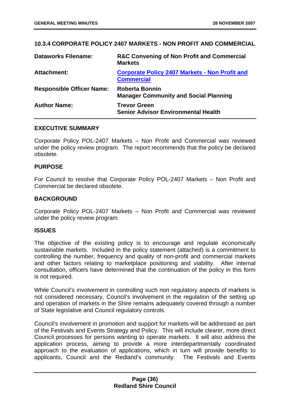## **10.3.4 CORPORATE POLICY 2407 MARKETS - NON PROFIT AND COMMERCIAL**

| <b>Dataworks Filename:</b>       | <b>R&amp;C Convening of Non Profit and Commercial</b><br><b>Markets</b>    |
|----------------------------------|----------------------------------------------------------------------------|
| Attachment:                      | <b>Corporate Policy 2407 Markets - Non Profit and</b><br><b>Commercial</b> |
| <b>Responsible Officer Name:</b> | <b>Roberta Bonnin</b><br><b>Manager Community and Social Planning</b>      |
| <b>Author Name:</b>              | <b>Trevor Green</b><br><b>Senior Advisor Environmental Health</b>          |

### **EXECUTIVE SUMMARY**

Corporate Policy POL-2407 Markets – Non Profit and Commercial was reviewed under the policy review program. The report recommends that the policy be declared obsolete.

#### **PURPOSE**

For Council to resolve that Corporate Policy POL-2407 Markets – Non Profit and Commercial be declared obsolete.

### **BACKGROUND**

Corporate Policy POL-2407 Markets – Non Profit and Commercial was reviewed under the policy review program.

### **ISSUES**

The objective of the existing policy is to encourage and regulate economically sustainable markets. Included in the policy statement (attached) is a commitment to controlling the number, frequency and quality of non-profit and commercial markets and other factors relating to marketplace positioning and viability. After internal consultation, officers have determined that the continuation of the policy in this form is not required.

While Council's involvement in controlling such non regulatory aspects of markets is not considered necessary, Council's involvement in the regulation of the setting up and operation of markets in the Shire remains adequately covered through a number of State legislative and Council regulatory controls.

Council's involvement in promotion and support for markets will be addressed as part of the Festivals and Events Strategy and Policy. This will include clearer, more direct Council processes for persons wanting to operate markets. It will also address the application process, aiming to provide a more interdepartmentally coordinated approach to the evaluation of applications, which in turn will provide benefits to applicants, Council and the Redland's community. The Festivals and Events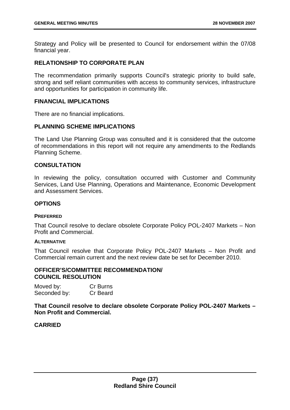Strategy and Policy will be presented to Council for endorsement within the 07/08 financial year.

## **RELATIONSHIP TO CORPORATE PLAN**

The recommendation primarily supports Council's strategic priority to build safe, strong and self reliant communities with access to community services, infrastructure and opportunities for participation in community life.

#### **FINANCIAL IMPLICATIONS**

There are no financial implications.

## **PLANNING SCHEME IMPLICATIONS**

The Land Use Planning Group was consulted and it is considered that the outcome of recommendations in this report will not require any amendments to the Redlands Planning Scheme.

### **CONSULTATION**

In reviewing the policy, consultation occurred with Customer and Community Services, Land Use Planning, Operations and Maintenance, Economic Development and Assessment Services.

#### **OPTIONS**

#### **PREFERRED**

That Council resolve to declare obsolete Corporate Policy POL-2407 Markets – Non Profit and Commercial.

#### **ALTERNATIVE**

That Council resolve that Corporate Policy POL-2407 Markets – Non Profit and Commercial remain current and the next review date be set for December 2010.

#### **OFFICER'S/COMMITTEE RECOMMENDATION/ COUNCIL RESOLUTION**

| Moved by:    | Cr Burns |
|--------------|----------|
| Seconded by: | Cr Beard |

**That Council resolve to declare obsolete Corporate Policy POL-2407 Markets – Non Profit and Commercial.**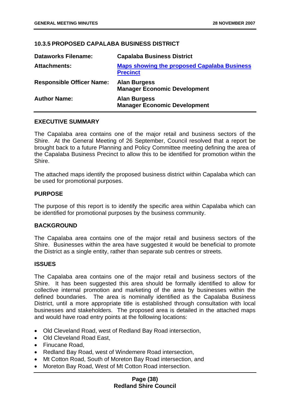# **10.3.5 PROPOSED CAPALABA BUSINESS DISTRICT**

| <b>Dataworks Filename:</b>       | <b>Capalaba Business District</b>                                     |
|----------------------------------|-----------------------------------------------------------------------|
| <b>Attachments:</b>              | <b>Maps showing the proposed Capalaba Business</b><br><b>Precinct</b> |
| <b>Responsible Officer Name:</b> | <b>Alan Burgess</b><br><b>Manager Economic Development</b>            |
| <b>Author Name:</b>              | <b>Alan Burgess</b><br><b>Manager Economic Development</b>            |

### **EXECUTIVE SUMMARY**

The Capalaba area contains one of the major retail and business sectors of the Shire. At the General Meeting of 26 September, Council resolved that a report be brought back to a future Planning and Policy Committee meeting defining the area of the Capalaba Business Precinct to allow this to be identified for promotion within the Shire.

The attached maps identify the proposed business district within Capalaba which can be used for promotional purposes.

### **PURPOSE**

The purpose of this report is to identify the specific area within Capalaba which can be identified for promotional purposes by the business community.

#### **BACKGROUND**

The Capalaba area contains one of the major retail and business sectors of the Shire. Businesses within the area have suggested it would be beneficial to promote the District as a single entity, rather than separate sub centres or streets.

### **ISSUES**

The Capalaba area contains one of the major retail and business sectors of the Shire. It has been suggested this area should be formally identified to allow for collective internal promotion and marketing of the area by businesses within the defined boundaries. The area is nominally identified as the Capalaba Business District, until a more appropriate title is established through consultation with local businesses and stakeholders. The proposed area is detailed in the attached maps and would have road entry points at the following locations:

- Old Cleveland Road, west of Redland Bay Road intersection,
- Old Cleveland Road East,
- Finucane Road,
- Redland Bay Road, west of Windemere Road intersection,
- Mt Cotton Road, South of Moreton Bay Road intersection, and
- Moreton Bay Road, West of Mt Cotton Road intersection.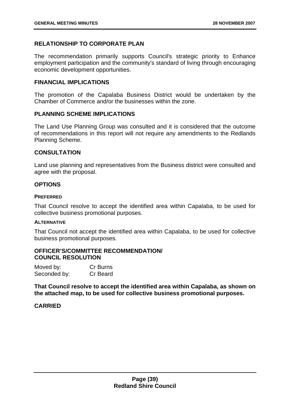# **RELATIONSHIP TO CORPORATE PLAN**

The recommendation primarily supports Council's strategic priority to Enhance employment participation and the community's standard of living through encouraging economic development opportunities.

## **FINANCIAL IMPLICATIONS**

The promotion of the Capalaba Business District would be undertaken by the Chamber of Commerce and/or the businesses within the zone.

## **PLANNING SCHEME IMPLICATIONS**

The Land Use Planning Group was consulted and it is considered that the outcome of recommendations in this report will not require any amendments to the Redlands Planning Scheme.

## **CONSULTATION**

Land use planning and representatives from the Business district were consulted and agree with the proposal.

## **OPTIONS**

#### **PREFERRED**

That Council resolve to accept the identified area within Capalaba, to be used for collective business promotional purposes.

#### **ALTERNATIVE**

That Council not accept the identified area within Capalaba, to be used for collective business promotional purposes.

### **OFFICER'S/COMMITTEE RECOMMENDATION/ COUNCIL RESOLUTION**

| Moved by:    | <b>Cr Burns</b> |
|--------------|-----------------|
| Seconded by: | Cr Beard        |

**That Council resolve to accept the identified area within Capalaba, as shown on the attached map, to be used for collective business promotional purposes.**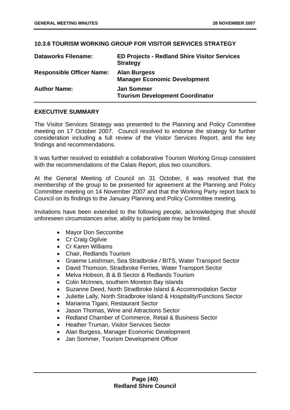# **10.3.6 TOURISM WORKING GROUP FOR VISITOR SERVICES STRATEGY**

| <b>Dataworks Filename:</b>       | <b>ED Projects - Redland Shire Visitor Services</b><br><b>Strategy</b> |
|----------------------------------|------------------------------------------------------------------------|
| <b>Responsible Officer Name:</b> | <b>Alan Burgess</b><br><b>Manager Economic Development</b>             |
| <b>Author Name:</b>              | <b>Jan Sommer</b><br><b>Tourism Development Coordinator</b>            |

## **EXECUTIVE SUMMARY**

The Visitor Services Strategy was presented to the Planning and Policy Committee meeting on 17 October 2007. Council resolved to endorse the strategy for further consideration including a full review of the Visitor Services Report, and the key findings and recommendations.

It was further resolved to establish a collaborative Tourism Working Group consistent with the recommendations of the Calais Report, plus two councillors.

At the General Meeting of Council on 31 October, it was resolved that the membership of the group to be presented for agreement at the Planning and Policy Committee meeting on 14 November 2007 and that the Working Party report back to Council on its findings to the January Planning and Policy Committee meeting.

Invitations have been extended to the following people, acknowledging that should unforeseen circumstances arise, ability to participate may be limited.

- Mayor Don Seccombe
- Cr Craig Ogilvie
- Cr Karen Williams
- Chair, Redlands Tourism
- Graeme Leishman, Sea Stradbroke / BITS, Water Transport Sector
- David Thomson, Stradbroke Ferries, Water Transport Sector
- Melva Hobson, B & B Sector & Redlands Tourism
- Colin McInnes, southern Moreton Bay islands
- Suzanne Deed, North Stradbroke Island & Accommodation Sector
- Juliette Lally, North Stradbroke Island & Hospitality/Functions Sector
- Marianna Tigani, Restaurant Sector
- Jason Thomas, Wine and Attractions Sector
- Redland Chamber of Commerce, Retail & Business Sector
- Heather Truman, Visitor Services Sector
- Alan Burgess, Manager Economic Development
- Jan Sommer, Tourism Development Officer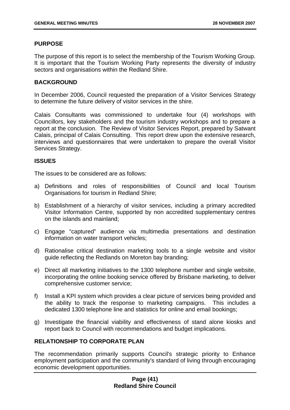## **PURPOSE**

The purpose of this report is to select the membership of the Tourism Working Group. It is important that the Tourism Working Party represents the diversity of industry sectors and organisations within the Redland Shire.

## **BACKGROUND**

In December 2006, Council requested the preparation of a Visitor Services Strategy to determine the future delivery of visitor services in the shire.

Calais Consultants was commissioned to undertake four (4) workshops with Councillors, key stakeholders and the tourism industry workshops and to prepare a report at the conclusion. The Review of Visitor Services Report, prepared by Satwant Calais, principal of Calais Consulting. This report drew upon the extensive research, interviews and questionnaires that were undertaken to prepare the overall Visitor Services Strategy.

## **ISSUES**

The issues to be considered are as follows:

- a) Definitions and roles of responsibilities of Council and local Tourism Organisations for tourism in Redland Shire;
- b) Establishment of a hierarchy of visitor services, including a primary accredited Visitor Information Centre, supported by non accredited supplementary centres on the islands and mainland;
- c) Engage "captured" audience via multimedia presentations and destination information on water transport vehicles;
- d) Rationalise critical destination marketing tools to a single website and visitor guide reflecting the Redlands on Moreton bay branding;
- e) Direct all marketing initiatives to the 1300 telephone number and single website, incorporating the online booking service offered by Brisbane marketing, to deliver comprehensive customer service;
- f) Install a KPI system which provides a clear picture of services being provided and the ability to track the response to marketing campaigns. This includes a dedicated 1300 telephone line and statistics for online and email bookings;
- g) Investigate the financial viability and effectiveness of stand alone kiosks and report back to Council with recommendations and budget implications.

# **RELATIONSHIP TO CORPORATE PLAN**

The recommendation primarily supports Council's strategic priority to Enhance employment participation and the community's standard of living through encouraging economic development opportunities.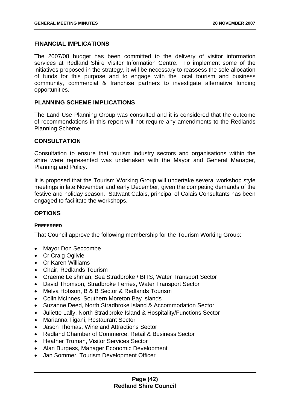## **FINANCIAL IMPLICATIONS**

The 2007/08 budget has been committed to the delivery of visitor information services at Redland Shire Visitor Information Centre. To implement some of the initiatives proposed in the strategy, it will be necessary to reassess the sole allocation of funds for this purpose and to engage with the local tourism and business community, commercial & franchise partners to investigate alternative funding opportunities.

## **PLANNING SCHEME IMPLICATIONS**

The Land Use Planning Group was consulted and it is considered that the outcome of recommendations in this report will not require any amendments to the Redlands Planning Scheme.

### **CONSULTATION**

Consultation to ensure that tourism industry sectors and organisations within the shire were represented was undertaken with the Mayor and General Manager, Planning and Policy.

It is proposed that the Tourism Working Group will undertake several workshop style meetings in late November and early December, given the competing demands of the festive and holiday season. Satwant Calais, principal of Calais Consultants has been engaged to facilitate the workshops.

# **OPTIONS**

### **PREFERRED**

That Council approve the following membership for the Tourism Working Group:

- Mayor Don Seccombe
- Cr Craig Ogilvie
- Cr Karen Williams
- Chair, Redlands Tourism
- Graeme Leishman, Sea Stradbroke / BITS, Water Transport Sector
- David Thomson, Stradbroke Ferries, Water Transport Sector
- Melva Hobson, B & B Sector & Redlands Tourism
- Colin McInnes, Southern Moreton Bay islands
- Suzanne Deed, North Stradbroke Island & Accommodation Sector
- Juliette Lally, North Stradbroke Island & Hospitality/Functions Sector
- Marianna Tigani, Restaurant Sector
- Jason Thomas, Wine and Attractions Sector
- Redland Chamber of Commerce, Retail & Business Sector
- Heather Truman, Visitor Services Sector
- Alan Burgess, Manager Economic Development
- Jan Sommer, Tourism Development Officer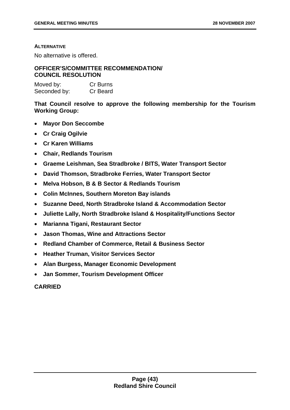#### **ALTERNATIVE**

No alternative is offered.

# **OFFICER'S/COMMITTEE RECOMMENDATION/ COUNCIL RESOLUTION**

| Moved by:    | Cr Burns |
|--------------|----------|
| Seconded by: | Cr Beard |

**That Council resolve to approve the following membership for the Tourism Working Group:** 

- **Mayor Don Seccombe**
- **Cr Craig Ogilvie**
- **Cr Karen Williams**
- **Chair, Redlands Tourism**
- **Graeme Leishman, Sea Stradbroke / BITS, Water Transport Sector**
- **David Thomson, Stradbroke Ferries, Water Transport Sector**
- **Melva Hobson, B & B Sector & Redlands Tourism**
- **Colin McInnes, Southern Moreton Bay islands**
- **Suzanne Deed, North Stradbroke Island & Accommodation Sector**
- **Juliette Lally, North Stradbroke Island & Hospitality/Functions Sector**
- **Marianna Tigani, Restaurant Sector**
- **Jason Thomas, Wine and Attractions Sector**
- **Redland Chamber of Commerce, Retail & Business Sector**
- **Heather Truman, Visitor Services Sector**
- **Alan Burgess, Manager Economic Development**
- **Jan Sommer, Tourism Development Officer**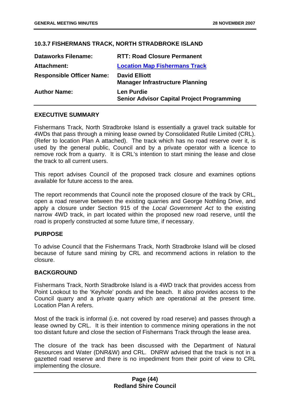# **10.3.7 FISHERMANS TRACK, NORTH STRADBROKE ISLAND**

| <b>Dataworks Filename:</b>       | <b>RTT: Road Closure Permanent</b>                                     |
|----------------------------------|------------------------------------------------------------------------|
| Attachment:                      | <b>Location Map Fishermans Track</b>                                   |
| <b>Responsible Officer Name:</b> | <b>David Elliott</b><br><b>Manager Infrastructure Planning</b>         |
| <b>Author Name:</b>              | <b>Len Purdie</b><br><b>Senior Advisor Capital Project Programming</b> |

## **EXECUTIVE SUMMARY**

Fishermans Track, North Stradbroke Island is essentially a gravel track suitable for 4WDs that pass through a mining lease owned by Consolidated Rutile Limited (CRL). (Refer to location Plan A attached). The track which has no road reserve over it, is used by the general public, Council and by a private operator with a licence to remove rock from a quarry. It is CRL's intention to start mining the lease and close the track to all current users.

This report advises Council of the proposed track closure and examines options available for future access to the area.

The report recommends that Council note the proposed closure of the track by CRL, open a road reserve between the existing quarries and George Nothling Drive, and apply a closure under Section 915 of the *Local Government Act* to the existing narrow 4WD track, in part located within the proposed new road reserve, until the road is properly constructed at some future time, if necessary.

### **PURPOSE**

To advise Council that the Fishermans Track, North Stradbroke Island will be closed because of future sand mining by CRL and recommend actions in relation to the closure.

### **BACKGROUND**

Fishermans Track, North Stradbroke Island is a 4WD track that provides access from Point Lookout to the 'Keyhole' ponds and the beach. It also provides access to the Council quarry and a private quarry which are operational at the present time. Location Plan A refers.

Most of the track is informal (i.e. not covered by road reserve) and passes through a lease owned by CRL. It is their intention to commence mining operations in the not too distant future and close the section of Fishermans Track through the lease area.

The closure of the track has been discussed with the Department of Natural Resources and Water (DNR&W) and CRL. DNRW advised that the track is not in a gazetted road reserve and there is no impediment from their point of view to CRL implementing the closure.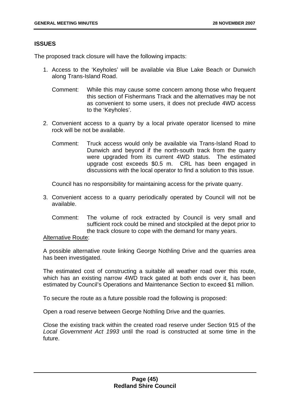## **ISSUES**

The proposed track closure will have the following impacts:

- 1. Access to the 'Keyholes' will be available via Blue Lake Beach or Dunwich along Trans-Island Road.
	- Comment: While this may cause some concern among those who frequent this section of Fishermans Track and the alternatives may be not as convenient to some users, it does not preclude 4WD access to the 'Keyholes'.
- 2. Convenient access to a quarry by a local private operator licensed to mine rock will be not be available.
	- Comment: Truck access would only be available via Trans-Island Road to Dunwich and beyond if the north-south track from the quarry were upgraded from its current 4WD status. The estimated upgrade cost exceeds \$0.5 m. CRL has been engaged in discussions with the local operator to find a solution to this issue.

Council has no responsibility for maintaining access for the private quarry.

- 3. Convenient access to a quarry periodically operated by Council will not be available.
	- Comment: The volume of rock extracted by Council is very small and sufficient rock could be mined and stockpiled at the depot prior to the track closure to cope with the demand for many years.

#### Alternative Route:

A possible alternative route linking George Nothling Drive and the quarries area has been investigated.

The estimated cost of constructing a suitable all weather road over this route, which has an existing narrow 4WD track gated at both ends over it, has been estimated by Council's Operations and Maintenance Section to exceed \$1 million.

To secure the route as a future possible road the following is proposed:

Open a road reserve between George Nothling Drive and the quarries.

Close the existing track within the created road reserve under Section 915 of the *Local Government Act 1993* until the road is constructed at some time in the future.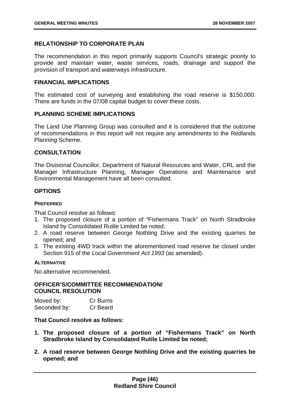# **RELATIONSHIP TO CORPORATE PLAN**

The recommendation in this report primarily supports Council's strategic priority to provide and maintain water, waste services, roads, drainage and support the provision of transport and waterways infrastructure.

## **FINANCIAL IMPLICATIONS**

The estimated cost of surveying and establishing the road reserve is \$150,000. There are funds in the 07/08 capital budget to cover these costs.

## **PLANNING SCHEME IMPLICATIONS**

The Land Use Planning Group was consulted and it is considered that the outcome of recommendations in this report will not require any amendments to the Redlands Planning Scheme.

# **CONSULTATION**

The Divisional Councillor, Department of Natural Resources and Water, CRL and the Manager Infrastructure Planning, Manager Operations and Maintenance and Environmental Management have all been consulted.

## **OPTIONS**

### **PREFERRED**

That Council resolve as follows:

- 1. The proposed closure of a portion of "Fishermans Track" on North Stradbroke Island by Consolidated Rutile Limited be noted;
- 2. A road reserve between George Nothling Drive and the existing quarries be opened; and
- 3. The existing 4WD track within the aforementioned road reserve be closed under Section 915 of the *Local Government Act 1993* (as amended).

### **ALTERNATIVE**

No alternative recommended.

### **OFFICER'S/COMMITTEE RECOMMENDATION/ COUNCIL RESOLUTION**

Moved by: Cr Burns Seconded by: Cr Beard

### **That Council resolve as follows:**

- **1. The proposed closure of a portion of "Fishermans Track" on North Stradbroke Island by Consolidated Rutile Limited be noted;**
- **2. A road reserve between George Nothling Drive and the existing quarries be opened; and**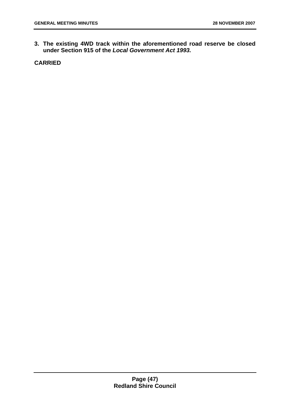**3. The existing 4WD track within the aforementioned road reserve be closed under Section 915 of the** *Local Government Act 1993.*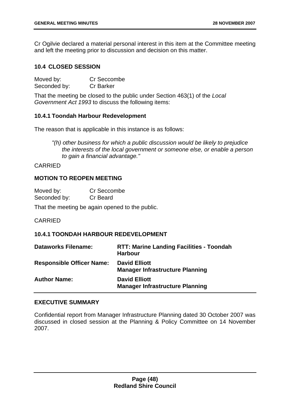Cr Ogilvie declared a material personal interest in this item at the Committee meeting and left the meeting prior to discussion and decision on this matter.

## **10.4 CLOSED SESSION**

| Moved by:    | Cr Seccombe      |
|--------------|------------------|
| Seconded by: | <b>Cr Barker</b> |

That the meeting be closed to the public under Section 463(1) of the *Local Government Act 1993* to discuss the following items:

### **10.4.1 Toondah Harbour Redevelopment**

The reason that is applicable in this instance is as follows:

*"(h) other business for which a public discussion would be likely to prejudice the interests of the local government or someone else, or enable a person to gain a financial advantage."* 

### CARRIED

## **MOTION TO REOPEN MEETING**

| Moved by:    | Cr Seccombe |
|--------------|-------------|
| Seconded by: | Cr Beard    |

That the meeting be again opened to the public.

CARRIED

# **10.4.1 TOONDAH HARBOUR REDEVELOPMENT**

| <b>Dataworks Filename:</b>       | <b>RTT: Marine Landing Facilities - Toondah</b><br><b>Harbour</b> |
|----------------------------------|-------------------------------------------------------------------|
| <b>Responsible Officer Name:</b> | <b>David Elliott</b><br><b>Manager Infrastructure Planning</b>    |
| <b>Author Name:</b>              | <b>David Elliott</b><br><b>Manager Infrastructure Planning</b>    |

### **EXECUTIVE SUMMARY**

Confidential report from Manager Infrastructure Planning dated 30 October 2007 was discussed in closed session at the Planning & Policy Committee on 14 November 2007.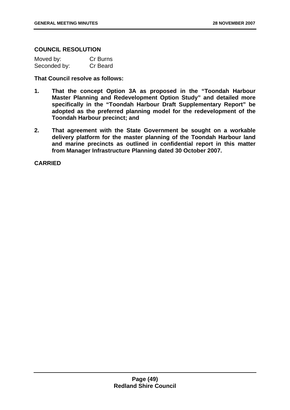### **COUNCIL RESOLUTION**

| Moved by:    | Cr Burns |
|--------------|----------|
| Seconded by: | Cr Beard |

**That Council resolve as follows:** 

- **1. That the concept Option 3A as proposed in the "Toondah Harbour Master Planning and Redevelopment Option Study" and detailed more specifically in the "Toondah Harbour Draft Supplementary Report" be adopted as the preferred planning model for the redevelopment of the Toondah Harbour precinct; and**
- **2. That agreement with the State Government be sought on a workable delivery platform for the master planning of the Toondah Harbour land and marine precincts as outlined in confidential report in this matter from Manager Infrastructure Planning dated 30 October 2007.**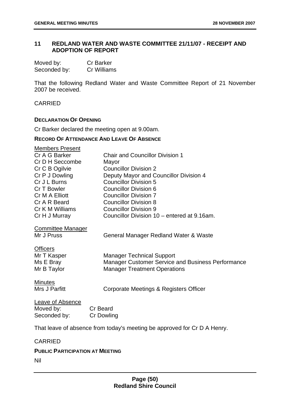# **11 REDLAND WATER AND WASTE COMMITTEE 21/11/07 - RECEIPT AND ADOPTION OF REPORT**

| Moved by:    | <b>Cr Barker</b> |
|--------------|------------------|
| Seconded by: | Cr Williams      |

That the following Redland Water and Waste Committee Report of 21 November 2007 be received.

CARRIED

### **DECLARATION OF OPENING**

Cr Barker declared the meeting open at 9.00am.

## **RECORD OF ATTENDANCE AND LEAVE OF ABSENCE**

| <b>Members Present</b>   |                                                                          |
|--------------------------|--------------------------------------------------------------------------|
| Cr A G Barker            | <b>Chair and Councillor Division 1</b>                                   |
| Cr D H Seccombe          | Mayor                                                                    |
| Cr C B Ogilvie           | <b>Councillor Division 2</b>                                             |
| Cr P J Dowling           | Deputy Mayor and Councillor Division 4                                   |
| Cr J L Burns             | <b>Councillor Division 5</b>                                             |
| Cr T Bowler              | Councillor Division 6                                                    |
| Cr M A Elliott           | <b>Councillor Division 7</b>                                             |
| Cr A R Beard             | <b>Councillor Division 8</b>                                             |
| Cr K M Williams          | <b>Councillor Division 9</b>                                             |
| Cr H J Murray            | Councillor Division 10 – entered at 9.16am.                              |
| <b>Committee Manager</b> |                                                                          |
| Mr J Pruss               | General Manager Redland Water & Waste                                    |
| <b>Officers</b>          |                                                                          |
| Mr T Kasper              | <b>Manager Technical Support</b>                                         |
| Ms E Bray                | Manager Customer Service and Business Performance                        |
| Mr B Taylor              | <b>Manager Treatment Operations</b>                                      |
| <b>Minutes</b>           |                                                                          |
| Mrs J Parfitt            | Corporate Meetings & Registers Officer                                   |
| <b>Leave of Absence</b>  |                                                                          |
| Moved by:                | <b>Cr</b> Beard                                                          |
| Seconded by:             | <b>Cr Dowling</b>                                                        |
|                          |                                                                          |
|                          | That leave of absence from today's meeting be approved for Cr D A Henry. |

#### CARRIED

## **PUBLIC PARTICIPATION AT MEETING**

Nil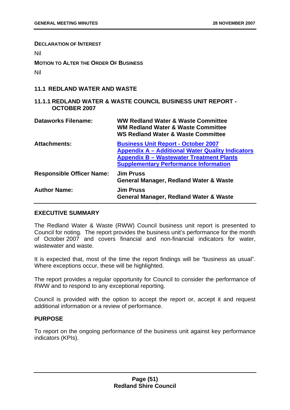#### **DECLARATION OF INTEREST**

Nil

**MOTION TO ALTER THE ORDER OF BUSINESS**

Nil

## **11.1 REDLAND WATER AND WASTE**

## **11.1.1 REDLAND WATER & WASTE COUNCIL BUSINESS UNIT REPORT - OCTOBER 2007**

| Dataworks Filename:              | WW Redland Water & Waste Committee<br><b>WM Redland Water &amp; Waste Committee</b><br><b>WS Redland Water &amp; Waste Committee</b>                                                                     |
|----------------------------------|----------------------------------------------------------------------------------------------------------------------------------------------------------------------------------------------------------|
| <b>Attachments:</b>              | <b>Business Unit Report - October 2007</b><br><b>Appendix A – Additional Water Quality Indicators</b><br><b>Appendix B - Wastewater Treatment Plants</b><br><b>Supplementary Performance Information</b> |
| <b>Responsible Officer Name:</b> | <b>Jim Pruss</b><br><b>General Manager, Redland Water &amp; Waste</b>                                                                                                                                    |
| <b>Author Name:</b>              | <b>Jim Pruss</b><br><b>General Manager, Redland Water &amp; Waste</b>                                                                                                                                    |

## **EXECUTIVE SUMMARY**

The Redland Water & Waste (RWW) Council business unit report is presented to Council for noting. The report provides the business unit's performance for the month of October 2007 and covers financial and non-financial indicators for water, wastewater and waste.

It is expected that, most of the time the report findings will be "business as usual". Where exceptions occur, these will be highlighted.

The report provides a regular opportunity for Council to consider the performance of RWW and to respond to any exceptional reporting.

Council is provided with the option to accept the report or, accept it and request additional information or a review of performance.

### **PURPOSE**

To report on the ongoing performance of the business unit against key performance indicators (KPIs).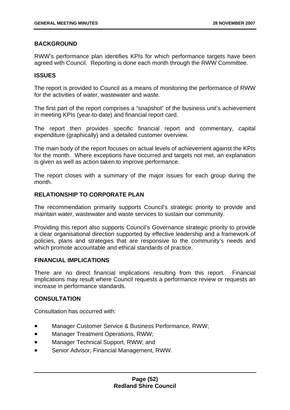## **BACKGROUND**

RWW's performance plan identifies KPIs for which performance targets have been agreed with Council. Reporting is done each month through the RWW Committee.

### **ISSUES**

The report is provided to Council as a means of monitoring the performance of RWW for the activities of water, wastewater and waste.

The first part of the report comprises a "snapshot" of the business unit's achievement in meeting KPIs (year-to-date) and financial report card.

The report then provides specific financial report and commentary, capital expenditure (graphically) and a detailed customer overview.

The main body of the report focuses on actual levels of achievement against the KPIs for the month. Where exceptions have occurred and targets not met, an explanation is given as well as action taken to improve performance.

The report closes with a summary of the major issues for each group during the month.

## **RELATIONSHIP TO CORPORATE PLAN**

The recommendation primarily supports Council's strategic priority to provide and maintain water, wastewater and waste services to sustain our community.

Providing this report also supports Council's Governance strategic priority to provide a clear organisational direction supported by effective leadership and a framework of policies, plans and strategies that are responsive to the community's needs and which promote accountable and ethical standards of practice.

### **FINANCIAL IMPLICATIONS**

There are no direct financial implications resulting from this report. Financial implications may result where Council requests a performance review or requests an increase in performance standards.

### **CONSULTATION**

Consultation has occurred with:

- Manager Customer Service & Business Performance, RWW;
- Manager Treatment Operations, RWW;
- Manager Technical Support, RWW; and
- Senior Advisor, Financial Management, RWW.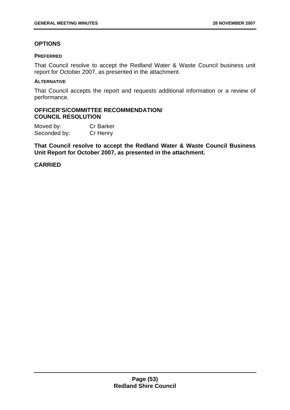# **OPTIONS**

### **PREFERRED**

That Council resolve to accept the Redland Water & Waste Council business unit report for October 2007, as presented in the attachment.

#### **ALTERNATIVE**

That Council accepts the report and requests additional information or a review of performance.

## **OFFICER'S/COMMITTEE RECOMMENDATION/ COUNCIL RESOLUTION**

| Moved by:    | <b>Cr Barker</b> |
|--------------|------------------|
| Seconded by: | Cr Henry         |

**That Council resolve to accept the Redland Water & Waste Council Business Unit Report for October 2007, as presented in the attachment.**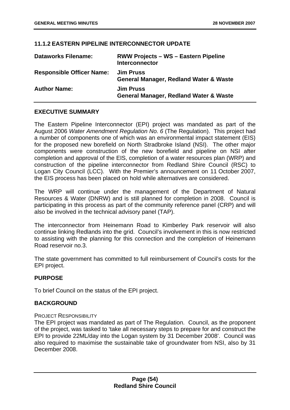## **11.1.2 EASTERN PIPELINE INTERCONNECTOR UPDATE**

| <b>Dataworks Filename:</b>       | <b>RWW Projects - WS - Eastern Pipeline</b><br><b>Interconnector</b>  |
|----------------------------------|-----------------------------------------------------------------------|
| <b>Responsible Officer Name:</b> | <b>Jim Pruss</b><br><b>General Manager, Redland Water &amp; Waste</b> |
| <b>Author Name:</b>              | <b>Jim Pruss</b><br><b>General Manager, Redland Water &amp; Waste</b> |

## **EXECUTIVE SUMMARY**

The Eastern Pipeline Interconnector (EPI) project was mandated as part of the August 2006 *Water Amendment Regulation No. 6* (The Regulation). This project had a number of components one of which was an environmental impact statement (EIS) for the proposed new borefield on North Stradbroke Island (NSI). The other major components were construction of the new borefield and pipeline on NSI after completion and approval of the EIS, completion of a water resources plan (WRP) and construction of the pipeline interconnector from Redland Shire Council (RSC) to Logan City Council (LCC). With the Premier's announcement on 11 October 2007, the EIS process has been placed on hold while alternatives are considered.

The WRP will continue under the management of the Department of Natural Resources & Water (DNRW) and is still planned for completion in 2008. Council is participating in this process as part of the community reference panel (CRP) and will also be involved in the technical advisory panel (TAP).

The interconnector from Heinemann Road to Kimberley Park reservoir will also continue linking Redlands into the grid. Council's involvement in this is now restricted to assisting with the planning for this connection and the completion of Heinemann Road reservoir no.3.

The state government has committed to full reimbursement of Council's costs for the EPI project.

# **PURPOSE**

To brief Council on the status of the EPI project.

# **BACKGROUND**

### PROJECT RESPONSIBILITY

The EPI project was mandated as part of The Regulation. Council, as the proponent of the project, was tasked to 'take all necessary steps to prepare for and construct the EPI to provide 22ML/day into the Logan system by 31 December 2008'. Council was also required to maximise the sustainable take of groundwater from NSI, also by 31 December 2008.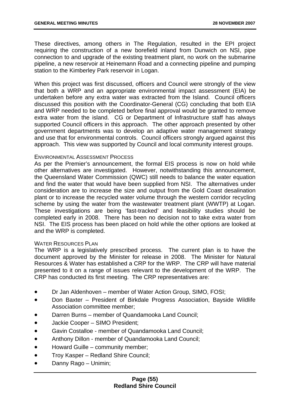These directives, among others in The Regulation, resulted in the EPI project requiring the construction of a new borefield inland from Dunwich on NSI, pipe connection to and upgrade of the existing treatment plant, no work on the submarine pipeline, a new reservoir at Heinemann Road and a connecting pipeline and pumping station to the Kimberley Park reservoir in Logan.

When this project was first discussed, officers and Council were strongly of the view that both a WRP and an appropriate environmental impact assessment (EIA) be undertaken before any extra water was extracted from the Island. Council officers discussed this position with the Coordinator-General (CG) concluding that both EIA and WRP needed to be completed before final approval would be granted to remove extra water from the island. CG or Department of Infrastructure staff has always supported Council officers in this approach. The other approach presented by other government departments was to develop an adaptive water management strategy and use that for environmental controls. Council officers strongly argued against this approach. This view was supported by Council and local community interest groups.

### ENVIRONMENTAL ASSESSMENT PROCESS

As per the Premier's announcement, the formal EIS process is now on hold while other alternatives are investigated. However, notwithstanding this announcement, the Queensland Water Commission (QWC) still needs to balance the water equation and find the water that would have been supplied from NSI. The alternatives under consideration are to increase the size and output from the Gold Coast desalination plant or to increase the recycled water volume through the western corridor recycling scheme by using the water from the wastewater treatment plant (WWTP) at Logan. These investigations are being 'fast-tracked' and feasibility studies should be completed early in 2008. There has been no decision not to take extra water from NSI. The EIS process has been placed on hold while the other options are looked at and the WRP is completed.

### WATER RESOURCES PLAN

The WRP is a legislatively prescribed process. The current plan is to have the document approved by the Minister for release in 2008. The Minister for Natural Resources & Water has established a CRP for the WRP. The CRP will have material presented to it on a range of issues relevant to the development of the WRP. The CRP has conducted its first meeting. The CRP representatives are:

- Dr Jan Aldenhoven member of Water Action Group, SIMO, FOSI;
- Don Baxter President of Birkdale Progress Association, Bayside Wildlife Association committee member;
- Darren Burns member of Quandamooka Land Council;
- Jackie Cooper SIMO President;
- Gavin Costalloe member of Quandamooka Land Council;
- Anthony Dillon member of Quandamooka Land Council;
- Howard Guille community member;
- **•** Troy Kasper Redland Shire Council;
- Danny Rago Unimin;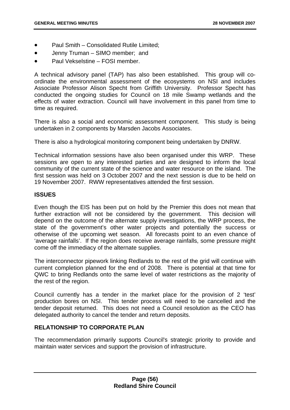- Paul Smith Consolidated Rutile Limited;
- Jenny Truman SIMO member; and
- Paul Vekselstine FOSI member.

A technical advisory panel (TAP) has also been established. This group will coordinate the environmental assessment of the ecosystems on NSI and includes Associate Professor Alison Specht from Griffith University. Professor Specht has conducted the ongoing studies for Council on 18 mile Swamp wetlands and the effects of water extraction. Council will have involvement in this panel from time to time as required.

There is also a social and economic assessment component. This study is being undertaken in 2 components by Marsden Jacobs Associates.

There is also a hydrological monitoring component being undertaken by DNRW.

Technical information sessions have also been organised under this WRP. These sessions are open to any interested parties and are designed to inform the local community of the current state of the science and water resource on the island. The first session was held on 3 October 2007 and the next session is due to be held on 19 November 2007. RWW representatives attended the first session.

### **ISSUES**

Even though the EIS has been put on hold by the Premier this does not mean that further extraction will not be considered by the government. This decision will depend on the outcome of the alternate supply investigations, the WRP process, the state of the government's other water projects and potentially the success or otherwise of the upcoming wet season. All forecasts point to an even chance of 'average rainfalls'. If the region does receive average rainfalls, some pressure might come off the immediacy of the alternate supplies.

The interconnector pipework linking Redlands to the rest of the grid will continue with current completion planned for the end of 2008. There is potential at that time for QWC to bring Redlands onto the same level of water restrictions as the majority of the rest of the region.

Council currently has a tender in the market place for the provision of 2 'test' production bores on NSI. This tender process will need to be cancelled and the tender deposit returned. This does not need a Council resolution as the CEO has delegated authority to cancel the tender and return deposits.

### **RELATIONSHIP TO CORPORATE PLAN**

The recommendation primarily supports Council's strategic priority to provide and maintain water services and support the provision of infrastructure.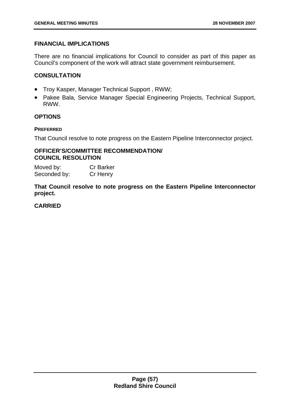# **FINANCIAL IMPLICATIONS**

There are no financial implications for Council to consider as part of this paper as Council's component of the work will attract state government reimbursement.

# **CONSULTATION**

- Troy Kasper, Manager Technical Support , RWW;
- Pakee Bala, Service Manager Special Engineering Projects, Technical Support, RWW.

# **OPTIONS**

## **PREFERRED**

That Council resolve to note progress on the Eastern Pipeline Interconnector project.

## **OFFICER'S/COMMITTEE RECOMMENDATION/ COUNCIL RESOLUTION**

Moved by: Cr Barker Seconded by: Cr Henry

**That Council resolve to note progress on the Eastern Pipeline Interconnector project.**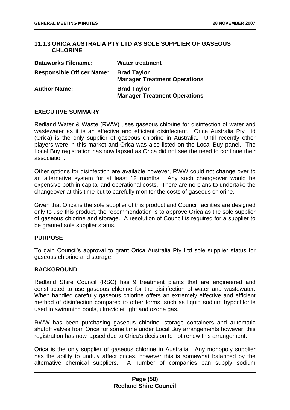# **11.1.3 ORICA AUSTRALIA PTY LTD AS SOLE SUPPLIER OF GASEOUS CHLORINE**

| <b>Dataworks Filename:</b>       | <b>Water treatment</b>                                    |
|----------------------------------|-----------------------------------------------------------|
| <b>Responsible Officer Name:</b> | <b>Brad Taylor</b><br><b>Manager Treatment Operations</b> |
| <b>Author Name:</b>              | <b>Brad Taylor</b><br><b>Manager Treatment Operations</b> |

### **EXECUTIVE SUMMARY**

Redland Water & Waste (RWW) uses gaseous chlorine for disinfection of water and wastewater as it is an effective and efficient disinfectant. Orica Australia Pty Ltd (Orica) is the only supplier of gaseous chlorine in Australia. Until recently other players were in this market and Orica was also listed on the Local Buy panel. The Local Buy registration has now lapsed as Orica did not see the need to continue their association.

Other options for disinfection are available however, RWW could not change over to an alternative system for at least 12 months. Any such changeover would be expensive both in capital and operational costs. There are no plans to undertake the changeover at this time but to carefully monitor the costs of gaseous chlorine.

Given that Orica is the sole supplier of this product and Council facilities are designed only to use this product, the recommendation is to approve Orica as the sole supplier of gaseous chlorine and storage. A resolution of Council is required for a supplier to be granted sole supplier status.

## **PURPOSE**

To gain Council's approval to grant Orica Australia Pty Ltd sole supplier status for gaseous chlorine and storage.

### **BACKGROUND**

Redland Shire Council (RSC) has 9 treatment plants that are engineered and constructed to use gaseous chlorine for the disinfection of water and wastewater. When handled carefully gaseous chlorine offers an extremely effective and efficient method of disinfection compared to other forms, such as liquid sodium hypochlorite used in swimming pools, ultraviolet light and ozone gas.

RWW has been purchasing gaseous chlorine, storage containers and automatic shutoff valves from Orica for some time under Local Buy arrangements however, this registration has now lapsed due to Orica's decision to not renew this arrangement.

Orica is the only supplier of gaseous chlorine in Australia. Any monopoly supplier has the ability to unduly affect prices, however this is somewhat balanced by the alternative chemical suppliers. A number of companies can supply sodium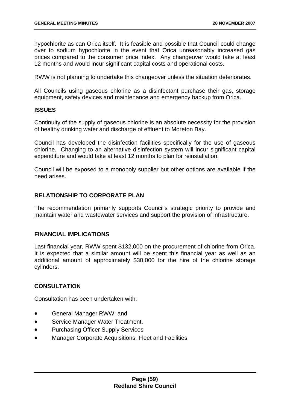hypochlorite as can Orica itself. It is feasible and possible that Council could change over to sodium hypochlorite in the event that Orica unreasonably increased gas prices compared to the consumer price index. Any changeover would take at least 12 months and would incur significant capital costs and operational costs.

RWW is not planning to undertake this changeover unless the situation deteriorates.

All Councils using gaseous chlorine as a disinfectant purchase their gas, storage equipment, safety devices and maintenance and emergency backup from Orica.

### **ISSUES**

Continuity of the supply of gaseous chlorine is an absolute necessity for the provision of healthy drinking water and discharge of effluent to Moreton Bay.

Council has developed the disinfection facilities specifically for the use of gaseous chlorine. Changing to an alternative disinfection system will incur significant capital expenditure and would take at least 12 months to plan for reinstallation.

Council will be exposed to a monopoly supplier but other options are available if the need arises.

## **RELATIONSHIP TO CORPORATE PLAN**

The recommendation primarily supports Council's strategic priority to provide and maintain water and wastewater services and support the provision of infrastructure.

### **FINANCIAL IMPLICATIONS**

Last financial year, RWW spent \$132,000 on the procurement of chlorine from Orica. It is expected that a similar amount will be spent this financial year as well as an additional amount of approximately \$30,000 for the hire of the chlorine storage cylinders.

# **CONSULTATION**

Consultation has been undertaken with:

- General Manager RWW; and
- Service Manager Water Treatment.
- Purchasing Officer Supply Services
- Manager Corporate Acquisitions, Fleet and Facilities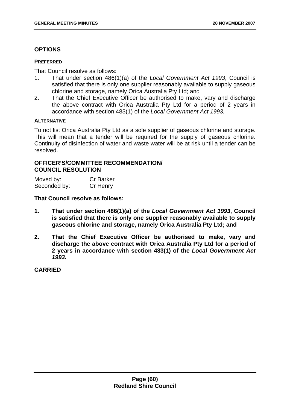## **OPTIONS**

#### **PREFERRED**

That Council resolve as follows:

- 1. That under section 486(1)(a) of the *Local Government Act 1993*, Council is satisfied that there is only one supplier reasonably available to supply gaseous chlorine and storage, namely Orica Australia Pty Ltd; and
- 2. That the Chief Executive Officer be authorised to make, vary and discharge the above contract with Orica Australia Pty Ltd for a period of 2 years in accordance with section 483(1) of the *Local Government Act 1993.*

#### **ALTERNATIVE**

To not list Orica Australia Pty Ltd as a sole supplier of gaseous chlorine and storage. This will mean that a tender will be required for the supply of gaseous chlorine. Continuity of disinfection of water and waste water will be at risk until a tender can be resolved.

## **OFFICER'S/COMMITTEE RECOMMENDATION/ COUNCIL RESOLUTION**

| Moved by:    | <b>Cr Barker</b> |
|--------------|------------------|
| Seconded by: | Cr Henry         |

**That Council resolve as follows:** 

- **1. That under section 486(1)(a) of the** *Local Government Act 1993***, Council is satisfied that there is only one supplier reasonably available to supply gaseous chlorine and storage, namely Orica Australia Pty Ltd; and**
- **2. That the Chief Executive Officer be authorised to make, vary and discharge the above contract with Orica Australia Pty Ltd for a period of 2 years in accordance with section 483(1) of the** *Local Government Act 1993.*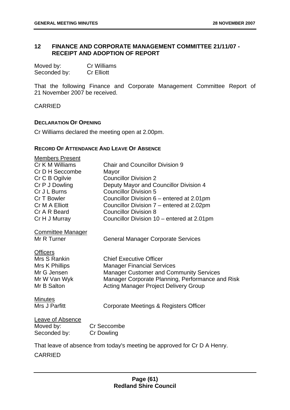# **12 FINANCE AND CORPORATE MANAGEMENT COMMITTEE 21/11/07 - RECEIPT AND ADOPTION OF REPORT**

| Moved by:    | <b>Cr Williams</b> |
|--------------|--------------------|
| Seconded by: | <b>Cr Elliott</b>  |

That the following Finance and Corporate Management Committee Report of 21 November 2007 be received.

CARRIED

### **DECLARATION OF OPENING**

Cr Williams declared the meeting open at 2.00pm.

## **RECORD OF ATTENDANCE AND LEAVE OF ABSENCE**

| <b>Members Present</b>   |                                                                          |
|--------------------------|--------------------------------------------------------------------------|
| Cr K M Williams          | <b>Chair and Councillor Division 9</b>                                   |
| Cr D H Seccombe          | Mayor                                                                    |
| Cr C B Ogilvie           | <b>Councillor Division 2</b>                                             |
| Cr P J Dowling           | Deputy Mayor and Councillor Division 4                                   |
| Cr J L Burns             | <b>Councillor Division 5</b>                                             |
| Cr T Bowler              | Councillor Division 6 – entered at 2.01pm                                |
| Cr M A Elliott           | Councillor Division 7 – entered at 2.02pm                                |
| Cr A R Beard             | <b>Councillor Division 8</b>                                             |
| Cr H J Murray            | Councillor Division 10 - entered at 2.01pm                               |
| <b>Committee Manager</b> |                                                                          |
| Mr R Turner              | <b>General Manager Corporate Services</b>                                |
| <b>Officers</b>          |                                                                          |
| Mrs S Rankin             | <b>Chief Executive Officer</b>                                           |
| Mrs K Phillips           | <b>Manager Financial Services</b>                                        |
| Mr G Jensen              | <b>Manager Customer and Community Services</b>                           |
| Mr W Van Wyk             | Manager Corporate Planning, Performance and Risk                         |
| Mr B Salton              | <b>Acting Manager Project Delivery Group</b>                             |
| <b>Minutes</b>           |                                                                          |
| Mrs J Parfitt            | Corporate Meetings & Registers Officer                                   |
| Leave of Absence         |                                                                          |
| Moved by:                | Cr Seccombe                                                              |
| Seconded by:             | <b>Cr Dowling</b>                                                        |
|                          |                                                                          |
|                          | That leave of absence from today's meeting be approved for Cr D A Henry. |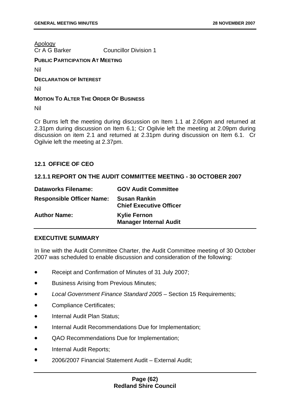Apology

Cr A G Barker Councillor Division 1

### **PUBLIC PARTICIPATION AT MEETING**

Nil

**DECLARATION OF INTEREST**

Nil

## **MOTION TO ALTER THE ORDER OF BUSINESS**

Nil

Cr Burns left the meeting during discussion on Item 1.1 at 2.06pm and returned at 2.31pm during discussion on Item 6.1; Cr Ogilvie left the meeting at 2.09pm during discussion on item 2.1 and returned at 2.31pm during discussion on Item 6.1. Cr Ogilvie left the meeting at 2.37pm.

# **12.1 OFFICE OF CEO**

# **12.1.1 REPORT ON THE AUDIT COMMITTEE MEETING - 30 OCTOBER 2007**

| <b>Dataworks Filename:</b>       | <b>GOV Audit Committee</b>                            |
|----------------------------------|-------------------------------------------------------|
| <b>Responsible Officer Name:</b> | <b>Susan Rankin</b><br><b>Chief Executive Officer</b> |
| <b>Author Name:</b>              | <b>Kylie Fernon</b><br><b>Manager Internal Audit</b>  |

# **EXECUTIVE SUMMARY**

In line with the Audit Committee Charter, the Audit Committee meeting of 30 October 2007 was scheduled to enable discussion and consideration of the following:

- Receipt and Confirmation of Minutes of 31 July 2007;
- **•** Business Arising from Previous Minutes;
- *Local Government Finance Standard 2005* Section 15 Requirements;
- Compliance Certificates;
- Internal Audit Plan Status;
- Internal Audit Recommendations Due for Implementation;
- QAO Recommendations Due for Implementation;
- Internal Audit Reports;
- 2006/2007 Financial Statement Audit External Audit;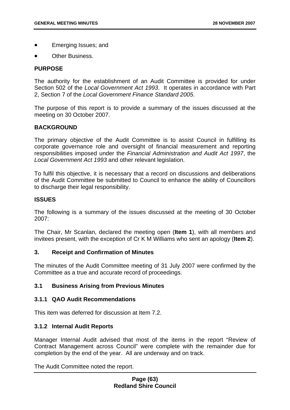- Emerging Issues; and
- Other Business.

### **PURPOSE**

The authority for the establishment of an Audit Committee is provided for under Section 502 of the *Local Government Act 1993*. It operates in accordance with Part 2, Section 7 of the *Local Government Finance Standard 2005*.

The purpose of this report is to provide a summary of the issues discussed at the meeting on 30 October 2007.

### **BACKGROUND**

The primary objective of the Audit Committee is to assist Council in fulfilling its corporate governance role and oversight of financial measurement and reporting responsibilities imposed under the *Financial Administration and Audit Act 1997*, the *Local Government Act 1993* and other relevant legislation.

To fulfil this objective, it is necessary that a record on discussions and deliberations of the Audit Committee be submitted to Council to enhance the ability of Councillors to discharge their legal responsibility.

## **ISSUES**

The following is a summary of the issues discussed at the meeting of 30 October 2007:

The Chair, Mr Scanlan, declared the meeting open (**Item 1**), with all members and invitees present, with the exception of Cr K M Williams who sent an apology (**Item 2**).

### **3. Receipt and Confirmation of Minutes**

The minutes of the Audit Committee meeting of 31 July 2007 were confirmed by the Committee as a true and accurate record of proceedings.

# **3.1 Business Arising from Previous Minutes**

### **3.1.1 QAO Audit Recommendations**

This item was deferred for discussion at Item 7.2.

### **3.1.2 Internal Audit Reports**

Manager Internal Audit advised that most of the items in the report "Review of Contract Management across Council" were complete with the remainder due for completion by the end of the year. All are underway and on track.

The Audit Committee noted the report.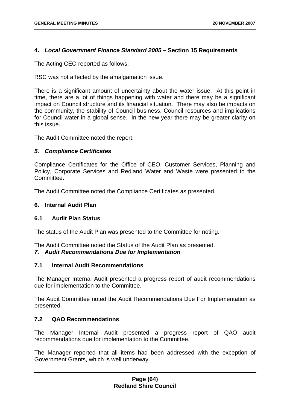## **4.** *Local Government Finance Standard 2005* **– Section 15 Requirements**

The Acting CEO reported as follows:

RSC was not affected by the amalgamation issue.

There is a significant amount of uncertainty about the water issue. At this point in time, there are a lot of things happening with water and there may be a significant impact on Council structure and its financial situation. There may also be impacts on the community, the stability of Council business, Council resources and implications for Council water in a global sense. In the new year there may be greater clarity on this issue.

The Audit Committee noted the report.

### *5. Compliance Certificates*

Compliance Certificates for the Office of CEO, Customer Services, Planning and Policy, Corporate Services and Redland Water and Waste were presented to the Committee.

The Audit Committee noted the Compliance Certificates as presented.

## **6. Internal Audit Plan**

### **6.1 Audit Plan Status**

The status of the Audit Plan was presented to the Committee for noting.

The Audit Committee noted the Status of the Audit Plan as presented.

### *7. Audit Recommendations Due for Implementation*

### **7.1 Internal Audit Recommendations**

The Manager Internal Audit presented a progress report of audit recommendations due for implementation to the Committee.

The Audit Committee noted the Audit Recommendations Due For Implementation as presented.

# **7.2 QAO Recommendations**

The Manager Internal Audit presented a progress report of QAO audit recommendations due for implementation to the Committee.

The Manager reported that all items had been addressed with the exception of Government Grants, which is well underway.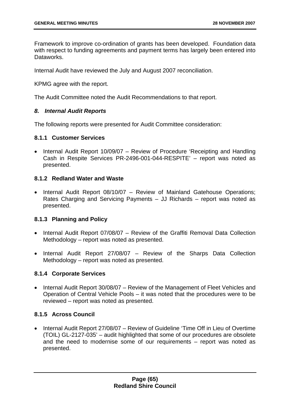Framework to improve co-ordination of grants has been developed. Foundation data with respect to funding agreements and payment terms has largely been entered into Dataworks.

Internal Audit have reviewed the July and August 2007 reconciliation.

KPMG agree with the report.

The Audit Committee noted the Audit Recommendations to that report.

## *8. Internal Audit Reports*

The following reports were presented for Audit Committee consideration:

## **8.1.1 Customer Services**

• Internal Audit Report 10/09/07 – Review of Procedure 'Receipting and Handling Cash in Respite Services PR-2496-001-044-RESPITE' – report was noted as presented.

# **8.1.2 Redland Water and Waste**

• Internal Audit Report 08/10/07 – Review of Mainland Gatehouse Operations; Rates Charging and Servicing Payments – JJ Richards – report was noted as presented.

# **8.1.3 Planning and Policy**

- Internal Audit Report 07/08/07 Review of the Graffiti Removal Data Collection Methodology – report was noted as presented.
- Internal Audit Report 27/08/07 Review of the Sharps Data Collection Methodology – report was noted as presented.

# **8.1.4 Corporate Services**

• Internal Audit Report 30/08/07 - Review of the Management of Fleet Vehicles and Operation of Central Vehicle Pools – it was noted that the procedures were to be reviewed – report was noted as presented.

# **8.1.5 Across Council**

• Internal Audit Report 27/08/07 – Review of Guideline 'Time Off in Lieu of Overtime (TOIL) GL-2127-035' – audit highlighted that some of our procedures are obsolete and the need to modernise some of our requirements – report was noted as presented.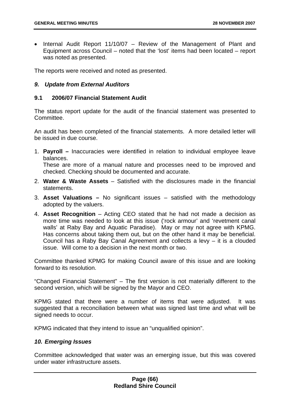• Internal Audit Report 11/10/07 – Review of the Management of Plant and Equipment across Council – noted that the 'lost' items had been located – report was noted as presented.

The reports were received and noted as presented.

## *9. Update from External Auditors*

### **9.1 2006/07 Financial Statement Audit**

The status report update for the audit of the financial statement was presented to Committee.

An audit has been completed of the financial statements. A more detailed letter will be issued in due course.

1. **Payroll –** Inaccuracies were identified in relation to individual employee leave balances.

These are more of a manual nature and processes need to be improved and checked. Checking should be documented and accurate.

- 2. **Water & Waste Assets** Satisfied with the disclosures made in the financial statements.
- 3. **Asset Valuations** No significant issues satisfied with the methodology adopted by the valuers.
- 4. **Asset Recognition** Acting CEO stated that he had not made a decision as more time was needed to look at this issue ('rock armour' and 'revetment canal walls' at Raby Bay and Aquatic Paradise). May or may not agree with KPMG. Has concerns about taking them out, but on the other hand it may be beneficial. Council has a Raby Bay Canal Agreement and collects a levy – it is a clouded issue. Will come to a decision in the next month or two.

Committee thanked KPMG for making Council aware of this issue and are looking forward to its resolution.

"Changed Financial Statement" – The first version is not materially different to the second version, which will be signed by the Mayor and CEO.

KPMG stated that there were a number of items that were adjusted. It was suggested that a reconciliation between what was signed last time and what will be signed needs to occur.

KPMG indicated that they intend to issue an "unqualified opinion".

### *10. Emerging Issues*

Committee acknowledged that water was an emerging issue, but this was covered under water infrastructure assets.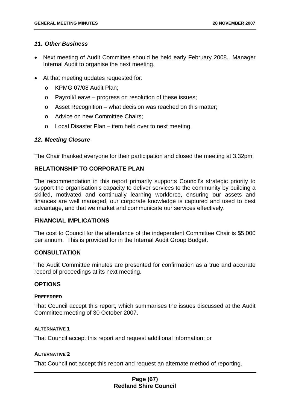## *11. Other Business*

- Next meeting of Audit Committee should be held early February 2008. Manager Internal Audit to organise the next meeting.
- At that meeting updates requested for:
	- o KPMG 07/08 Audit Plan;
	- o Payroll/Leave progress on resolution of these issues;
	- o Asset Recognition what decision was reached on this matter;
	- o Advice on new Committee Chairs;
	- o Local Disaster Plan item held over to next meeting.

## *12. Meeting Closure*

The Chair thanked everyone for their participation and closed the meeting at 3.32pm.

# **RELATIONSHIP TO CORPORATE PLAN**

The recommendation in this report primarily supports Council's strategic priority to support the organisation's capacity to deliver services to the community by building a skilled, motivated and continually learning workforce, ensuring our assets and finances are well managed, our corporate knowledge is captured and used to best advantage, and that we market and communicate our services effectively.

### **FINANCIAL IMPLICATIONS**

The cost to Council for the attendance of the independent Committee Chair is \$5,000 per annum. This is provided for in the Internal Audit Group Budget.

### **CONSULTATION**

The Audit Committee minutes are presented for confirmation as a true and accurate record of proceedings at its next meeting.

### **OPTIONS**

#### **PREFERRED**

That Council accept this report, which summarises the issues discussed at the Audit Committee meeting of 30 October 2007.

### **ALTERNATIVE 1**

That Council accept this report and request additional information; or

### **ALTERNATIVE 2**

That Council not accept this report and request an alternate method of reporting.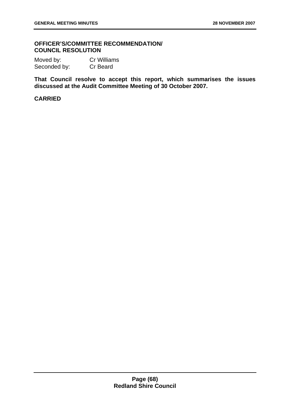## **OFFICER'S/COMMITTEE RECOMMENDATION/ COUNCIL RESOLUTION**

Moved by: Cr Williams Seconded by: Cr Beard

**That Council resolve to accept this report, which summarises the issues discussed at the Audit Committee Meeting of 30 October 2007.**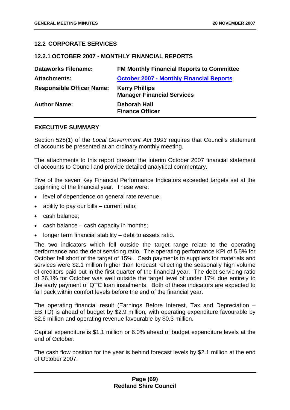# **12.2 CORPORATE SERVICES**

#### **12.2.1 OCTOBER 2007 - MONTHLY FINANCIAL REPORTS**

| <b>Dataworks Filename:</b>       | <b>FM Monthly Financial Reports to Committee</b>           |
|----------------------------------|------------------------------------------------------------|
| <b>Attachments:</b>              | <b>October 2007 - Monthly Financial Reports</b>            |
| <b>Responsible Officer Name:</b> | <b>Kerry Phillips</b><br><b>Manager Financial Services</b> |
| <b>Author Name:</b>              | Deborah Hall<br><b>Finance Officer</b>                     |

### **EXECUTIVE SUMMARY**

Section 528(1) of the *Local Government Act 1993* requires that Council's statement of accounts be presented at an ordinary monthly meeting.

The attachments to this report present the interim October 2007 financial statement of accounts to Council and provide detailed analytical commentary.

Five of the seven Key Financial Performance Indicators exceeded targets set at the beginning of the financial year. These were:

- level of dependence on general rate revenue;
- ability to pay our bills current ratio;
- cash balance:
- $\bullet$  cash balance cash capacity in months;
- longer term financial stability debt to assets ratio.

The two indicators which fell outside the target range relate to the operating performance and the debt servicing ratio. The operating performance KPI of 5.5% for October fell short of the target of 15%. Cash payments to suppliers for materials and services were \$2.1 million higher than forecast reflecting the seasonally high volume of creditors paid out in the first quarter of the financial year. The debt servicing ratio of 36.1% for October was well outside the target level of under 17% due entirely to the early payment of QTC loan instalments. Both of these indicators are expected to fall back within comfort levels before the end of the financial year.

The operating financial result (Earnings Before Interest, Tax and Depreciation – EBITD) is ahead of budget by \$2.9 million, with operating expenditure favourable by \$2.6 million and operating revenue favourable by \$0.3 million.

Capital expenditure is \$1.1 million or 6.0% ahead of budget expenditure levels at the end of October.

The cash flow position for the year is behind forecast levels by \$2.1 million at the end of October 2007.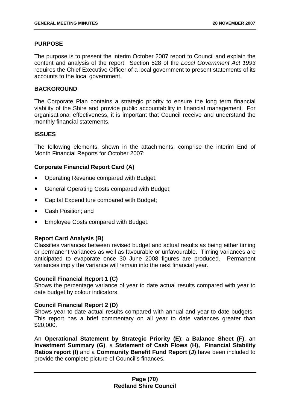## **PURPOSE**

The purpose is to present the interim October 2007 report to Council and explain the content and analysis of the report. Section 528 of the *Local Government Act 1993* requires the Chief Executive Officer of a local government to present statements of its accounts to the local government.

### **BACKGROUND**

The Corporate Plan contains a strategic priority to ensure the long term financial viability of the Shire and provide public accountability in financial management. For organisational effectiveness, it is important that Council receive and understand the monthly financial statements.

### **ISSUES**

The following elements, shown in the attachments, comprise the interim End of Month Financial Reports for October 2007:

## **Corporate Financial Report Card (A)**

- Operating Revenue compared with Budget;
- General Operating Costs compared with Budget;
- Capital Expenditure compared with Budget:
- Cash Position: and
- Employee Costs compared with Budget.

### **Report Card Analysis (B)**

Classifies variances between revised budget and actual results as being either timing or permanent variances as well as favourable or unfavourable. Timing variances are anticipated to evaporate once 30 June 2008 figures are produced. Permanent variances imply the variance will remain into the next financial year.

### **Council Financial Report 1 (C)**

Shows the percentage variance of year to date actual results compared with year to date budget by colour indicators.

### **Council Financial Report 2 (D)**

Shows year to date actual results compared with annual and year to date budgets. This report has a brief commentary on all year to date variances greater than \$20,000.

An **Operational Statement by Strategic Priority (E)**; a **Balance Sheet (F)**, an **Investment Summary (G)**, a **Statement of Cash Flows (H), Financial Stability Ratios report (I)** and a **Community Benefit Fund Report (J)** have been included to provide the complete picture of Council's finances.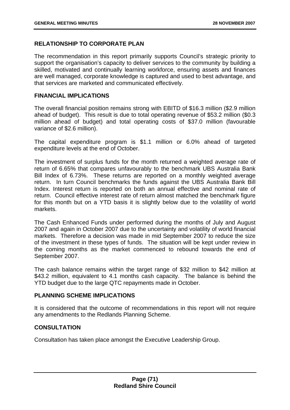# **RELATIONSHIP TO CORPORATE PLAN**

The recommendation in this report primarily supports Council's strategic priority to support the organisation's capacity to deliver services to the community by building a skilled, motivated and continually learning workforce, ensuring assets and finances are well managed, corporate knowledge is captured and used to best advantage, and that services are marketed and communicated effectively.

### **FINANCIAL IMPLICATIONS**

The overall financial position remains strong with EBITD of \$16.3 million (\$2.9 million ahead of budget). This result is due to total operating revenue of \$53.2 million (\$0.3 million ahead of budget) and total operating costs of \$37.0 million (favourable variance of \$2.6 million).

The capital expenditure program is \$1.1 million or 6.0% ahead of targeted expenditure levels at the end of October.

The investment of surplus funds for the month returned a weighted average rate of return of 6.65% that compares unfavourably to the benchmark UBS Australia Bank Bill Index of 6.73%. These returns are reported on a monthly weighted average return. In turn Council benchmarks the funds against the UBS Australia Bank Bill Index. Interest return is reported on both an annual effective and nominal rate of return. Council effective interest rate of return almost matched the benchmark figure for this month but on a YTD basis it is slightly below due to the volatility of world markets.

The Cash Enhanced Funds under performed during the months of July and August 2007 and again in October 2007 due to the uncertainty and volatility of world financial markets. Therefore a decision was made in mid September 2007 to reduce the size of the investment in these types of funds. The situation will be kept under review in the coming months as the market commenced to rebound towards the end of September 2007.

The cash balance remains within the target range of \$32 million to \$42 million at \$43.2 million, equivalent to 4.1 months cash capacity. The balance is behind the YTD budget due to the large QTC repayments made in October.

### **PLANNING SCHEME IMPLICATIONS**

It is considered that the outcome of recommendations in this report will not require any amendments to the Redlands Planning Scheme.

# **CONSULTATION**

Consultation has taken place amongst the Executive Leadership Group.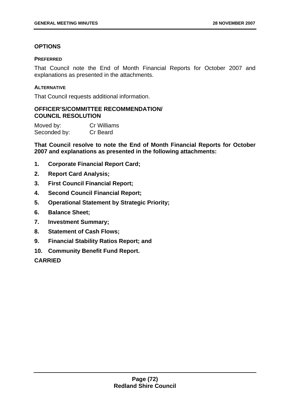# **OPTIONS**

## **PREFERRED**

That Council note the End of Month Financial Reports for October 2007 and explanations as presented in the attachments.

## **ALTERNATIVE**

That Council requests additional information.

# **OFFICER'S/COMMITTEE RECOMMENDATION/ COUNCIL RESOLUTION**

Moved by: Cr Williams Seconded by: Cr Beard

**That Council resolve to note the End of Month Financial Reports for October 2007 and explanations as presented in the following attachments:** 

- **1. Corporate Financial Report Card;**
- **2. Report Card Analysis;**
- **3. First Council Financial Report;**
- **4. Second Council Financial Report;**
- **5. Operational Statement by Strategic Priority;**
- **6. Balance Sheet;**
- **7. Investment Summary;**
- **8. Statement of Cash Flows;**
- **9. Financial Stability Ratios Report; and**
- **10. Community Benefit Fund Report.**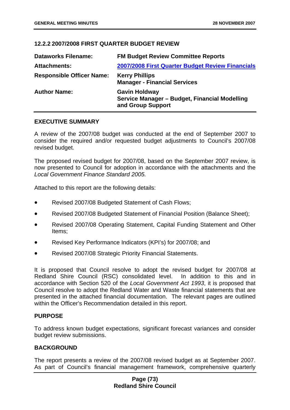# **12.2.2 2007/2008 FIRST QUARTER BUDGET REVIEW**

| <b>Dataworks Filename:</b>       | <b>FM Budget Review Committee Reports</b>                                                  |
|----------------------------------|--------------------------------------------------------------------------------------------|
| <b>Attachments:</b>              | 2007/2008 First Quarter Budget Review Financials                                           |
| <b>Responsible Officer Name:</b> | <b>Kerry Phillips</b><br><b>Manager - Financial Services</b>                               |
| <b>Author Name:</b>              | <b>Gavin Holdway</b><br>Service Manager - Budget, Financial Modelling<br>and Group Support |

#### **EXECUTIVE SUMMARY**

A review of the 2007/08 budget was conducted at the end of September 2007 to consider the required and/or requested budget adjustments to Council's 2007/08 revised budget.

The proposed revised budget for 2007/08, based on the September 2007 review, is now presented to Council for adoption in accordance with the attachments and the *Local Government Finance Standard 2005.*

Attached to this report are the following details:

- Revised 2007/08 Budgeted Statement of Cash Flows;
- Revised 2007/08 Budgeted Statement of Financial Position (Balance Sheet);
- Revised 2007/08 Operating Statement, Capital Funding Statement and Other Items;
- Revised Key Performance Indicators (KPI's) for 2007/08; and
- Revised 2007/08 Strategic Priority Financial Statements.

It is proposed that Council resolve to adopt the revised budget for 2007/08 at Redland Shire Council (RSC) consolidated level. In addition to this and in accordance with Section 520 of the *Local Government Act 1993*, it is proposed that Council resolve to adopt the Redland Water and Waste financial statements that are presented in the attached financial documentation. The relevant pages are outlined within the Officer's Recommendation detailed in this report.

### **PURPOSE**

To address known budget expectations, significant forecast variances and consider budget review submissions.

### **BACKGROUND**

The report presents a review of the 2007/08 revised budget as at September 2007. As part of Council's financial management framework, comprehensive quarterly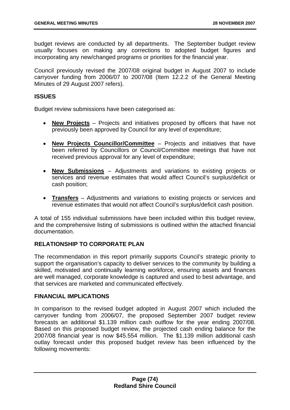budget reviews are conducted by all departments. The September budget review usually focuses on making any corrections to adopted budget figures and incorporating any new/changed programs or priorities for the financial year.

Council previously revised the 2007/08 original budget in August 2007 to include carryover funding from 2006/07 to 2007/08 (Item 12.2.2 of the General Meeting Minutes of 29 August 2007 refers).

## **ISSUES**

Budget review submissions have been categorised as:

- **New Projects** Projects and initiatives proposed by officers that have not previously been approved by Council for any level of expenditure;
- **New Projects Councillor/Committee** Projects and initiatives that have been referred by Councillors or Council/Committee meetings that have not received previous approval for any level of expenditure;
- **New Submissions** Adjustments and variations to existing projects or services and revenue estimates that would affect Council's surplus/deficit or cash position;
- **Transfers** Adjustments and variations to existing projects or services and revenue estimates that would not affect Council's surplus/deficit cash position.

A total of 155 individual submissions have been included within this budget review, and the comprehensive listing of submissions is outlined within the attached financial documentation.

# **RELATIONSHIP TO CORPORATE PLAN**

The recommendation in this report primarily supports Council's strategic priority to support the organisation's capacity to deliver services to the community by building a skilled, motivated and continually learning workforce, ensuring assets and finances are well managed, corporate knowledge is captured and used to best advantage, and that services are marketed and communicated effectively.

## **FINANCIAL IMPLICATIONS**

In comparison to the revised budget adopted in August 2007 which included the carryover funding from 2006/07, the proposed September 2007 budget review forecasts an additional \$1.139 million cash outflow for the year ending 2007/08. Based on this proposed budget review, the projected cash ending balance for the 2007/08 financial year is now \$45.554 million. The \$1.139 million additional cash outlay forecast under this proposed budget review has been influenced by the following movements: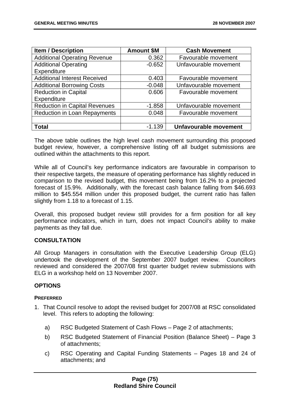| <b>Item / Description</b>            | <b>Amount \$M</b> | <b>Cash Movement</b>         |
|--------------------------------------|-------------------|------------------------------|
| <b>Additional Operating Revenue</b>  | 0.362             | Favourable movement          |
| <b>Additional Operating</b>          | $-0.652$          | Unfavourable movement        |
| Expenditure                          |                   |                              |
| <b>Additional Interest Received</b>  | 0.403             | Favourable movement          |
| <b>Additional Borrowing Costs</b>    | $-0.048$          | Unfavourable movement        |
| <b>Reduction in Capital</b>          | 0.606             | Favourable movement          |
| Expenditure                          |                   |                              |
| <b>Reduction in Capital Revenues</b> | $-1.858$          | Unfavourable movement        |
| <b>Reduction in Loan Repayments</b>  | 0.048             | Favourable movement          |
|                                      |                   |                              |
| <b>Total</b>                         | $-1.139$          | <b>Unfavourable movement</b> |

The above table outlines the high level cash movement surrounding this proposed budget review, however, a comprehensive listing off all budget submissions are outlined within the attachments to this report.

While all of Council's key performance indicators are favourable in comparison to their respective targets, the measure of operating performance has slightly reduced in comparison to the revised budget, this movement being from 16.2% to a projected forecast of 15.9%. Additionally, with the forecast cash balance falling from \$46.693 million to \$45.554 million under this proposed budget, the current ratio has fallen slightly from 1.18 to a forecast of 1.15.

Overall, this proposed budget review still provides for a firm position for all key performance indicators, which in turn, does not impact Council's ability to make payments as they fall due.

# **CONSULTATION**

All Group Managers in consultation with the Executive Leadership Group (ELG) undertook the development of the September 2007 budget review. Councillors reviewed and considered the 2007/08 first quarter budget review submissions with ELG in a workshop held on 13 November 2007.

# **OPTIONS**

### **PREFERRED**

- 1. That Council resolve to adopt the revised budget for 2007/08 at RSC consolidated level. This refers to adopting the following:
	- a) RSC Budgeted Statement of Cash Flows Page 2 of attachments;
	- b) RSC Budgeted Statement of Financial Position (Balance Sheet) Page 3 of attachments;
	- c) RSC Operating and Capital Funding Statements Pages 18 and 24 of attachments; and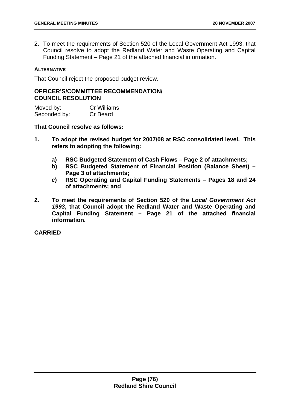2. To meet the requirements of Section 520 of the Local Government Act 1993, that Council resolve to adopt the Redland Water and Waste Operating and Capital Funding Statement – Page 21 of the attached financial information.

#### **ALTERNATIVE**

That Council reject the proposed budget review.

### **OFFICER'S/COMMITTEE RECOMMENDATION/ COUNCIL RESOLUTION**

| Moved by:    | <b>Cr Williams</b> |
|--------------|--------------------|
| Seconded by: | Cr Beard           |

**That Council resolve as follows:** 

- **1. To adopt the revised budget for 2007/08 at RSC consolidated level. This refers to adopting the following:** 
	- **a) RSC Budgeted Statement of Cash Flows Page 2 of attachments;**
	- **b) RSC Budgeted Statement of Financial Position (Balance Sheet) Page 3 of attachments;**
	- **c) RSC Operating and Capital Funding Statements Pages 18 and 24 of attachments; and**
- **2. To meet the requirements of Section 520 of the** *Local Government Act 1993***, that Council adopt the Redland Water and Waste Operating and Capital Funding Statement – Page 21 of the attached financial information.**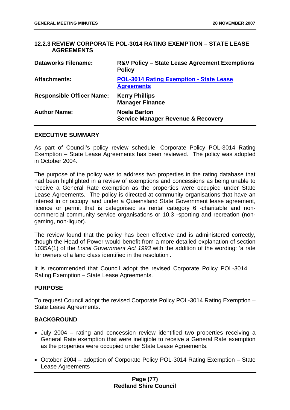## **12.2.3 REVIEW CORPORATE POL-3014 RATING EXEMPTION – STATE LEASE AGREEMENTS**

| <b>Dataworks Filename:</b>       | <b>R&amp;V Policy - State Lease Agreement Exemptions</b><br><b>Policy</b> |
|----------------------------------|---------------------------------------------------------------------------|
| <b>Attachments:</b>              | <b>POL-3014 Rating Exemption - State Lease</b><br><b>Agreements</b>       |
| <b>Responsible Officer Name:</b> | <b>Kerry Phillips</b><br><b>Manager Finance</b>                           |
| <b>Author Name:</b>              | <b>Noela Barton</b><br><b>Service Manager Revenue &amp; Recovery</b>      |

#### **EXECUTIVE SUMMARY**

As part of Council's policy review schedule, Corporate Policy POL-3014 Rating Exemption – State Lease Agreements has been reviewed. The policy was adopted in October 2004.

The purpose of the policy was to address two properties in the rating database that had been highlighted in a review of exemptions and concessions as being unable to receive a General Rate exemption as the properties were occupied under State Lease Agreements. The policy is directed at community organisations that have an interest in or occupy land under a Queensland State Government lease agreement, licence or permit that is categorised as rental category 6 -charitable and noncommercial community service organisations or 10.3 -sporting and recreation (nongaming, non-liquor).

The review found that the policy has been effective and is administered correctly, though the Head of Power would benefit from a more detailed explanation of section 1035A(1) of the *Local Government Act 1993* with the addition of the wording: 'a rate for owners of a land class identified in the resolution'.

It is recommended that Council adopt the revised Corporate Policy POL-3014 Rating Exemption – State Lease Agreements.

### **PURPOSE**

To request Council adopt the revised Corporate Policy POL-3014 Rating Exemption – State Lease Agreements.

## **BACKGROUND**

- July 2004 rating and concession review identified two properties receiving a General Rate exemption that were ineligible to receive a General Rate exemption as the properties were occupied under State Lease Agreements.
- October 2004 adoption of Corporate Policy POL-3014 Rating Exemption State Lease Agreements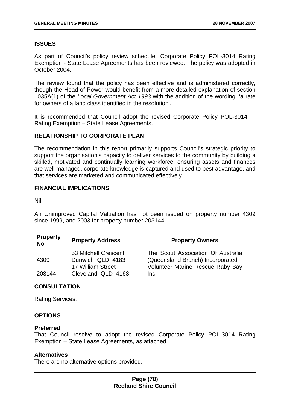# **ISSUES**

As part of Council's policy review schedule, Corporate Policy POL-3014 Rating Exemption - State Lease Agreements has been reviewed. The policy was adopted in October 2004.

The review found that the policy has been effective and is administered correctly, though the Head of Power would benefit from a more detailed explanation of section 1035A(1) of the *Local Government Act 1993* with the addition of the wording: 'a rate for owners of a land class identified in the resolution'.

It is recommended that Council adopt the revised Corporate Policy POL-3014 Rating Exemption – State Lease Agreements.

# **RELATIONSHIP TO CORPORATE PLAN**

The recommendation in this report primarily supports Council's strategic priority to support the organisation's capacity to deliver services to the community by building a skilled, motivated and continually learning workforce, ensuring assets and finances are well managed, corporate knowledge is captured and used to best advantage, and that services are marketed and communicated effectively.

## **FINANCIAL IMPLICATIONS**

Nil.

An Unimproved Capital Valuation has not been issued on property number 4309 since 1999, and 2003 for property number 203144.

| <b>Property</b><br><b>No</b> | <b>Property Address</b> | <b>Property Owners</b>             |
|------------------------------|-------------------------|------------------------------------|
|                              | 53 Mitchell Crescent    | The Scout Association Of Australia |
| 4309                         | Dunwich QLD 4183        | (Queensland Branch) Incorporated   |
|                              | 17 William Street       | Volunteer Marine Rescue Raby Bay   |
| 203144                       | Cleveland QLD 4163      | <b>Inc</b>                         |

# **CONSULTATION**

Rating Services.

### **OPTIONS**

### **Preferred**

That Council resolve to adopt the revised Corporate Policy POL-3014 Rating Exemption – State Lease Agreements, as attached.

### **Alternatives**

There are no alternative options provided.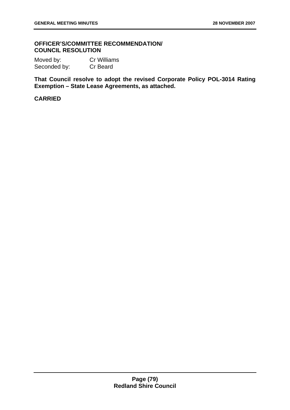## **OFFICER'S/COMMITTEE RECOMMENDATION/ COUNCIL RESOLUTION**

Moved by: Cr Williams Seconded by: Cr Beard

**That Council resolve to adopt the revised Corporate Policy POL-3014 Rating Exemption – State Lease Agreements, as attached.**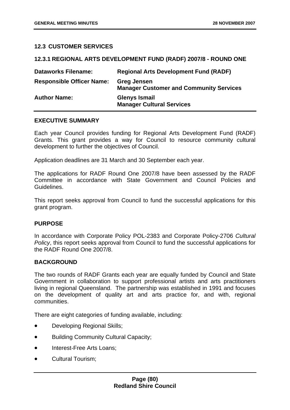## **12.3 CUSTOMER SERVICES**

| $1 - 1$                          |                                                                      |
|----------------------------------|----------------------------------------------------------------------|
| <b>Dataworks Filename:</b>       | <b>Regional Arts Development Fund (RADF)</b>                         |
| <b>Responsible Officer Name:</b> | <b>Greg Jensen</b><br><b>Manager Customer and Community Services</b> |
| <b>Author Name:</b>              | <b>Glenys Ismail</b><br><b>Manager Cultural Services</b>             |

**12.3.1 REGIONAL ARTS DEVELOPMENT FUND (RADF) 2007/8 - ROUND ONE** 

## **EXECUTIVE SUMMARY**

Each year Council provides funding for Regional Arts Development Fund (RADF) Grants. This grant provides a way for Council to resource community cultural development to further the objectives of Council.

Application deadlines are 31 March and 30 September each year.

The applications for RADF Round One 2007/8 have been assessed by the RADF Committee in accordance with State Government and Council Policies and Guidelines.

This report seeks approval from Council to fund the successful applications for this grant program.

### **PURPOSE**

In accordance with Corporate Policy POL-2383 and Corporate Policy-2706 *Cultural Policy*, this report seeks approval from Council to fund the successful applications for the RADF Round One 2007/8.

### **BACKGROUND**

The two rounds of RADF Grants each year are equally funded by Council and State Government in collaboration to support professional artists and arts practitioners living in regional Queensland. The partnership was established in 1991 and focuses on the development of quality art and arts practice for, and with, regional communities.

There are eight categories of funding available, including:

- Developing Regional Skills;
- Building Community Cultural Capacity;
- Interest-Free Arts Loans;
- Cultural Tourism;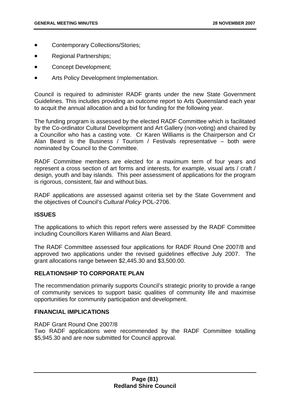- Contemporary Collections/Stories;
- Regional Partnerships;
- Concept Development;
- Arts Policy Development Implementation.

Council is required to administer RADF grants under the new State Government Guidelines. This includes providing an outcome report to Arts Queensland each year to acquit the annual allocation and a bid for funding for the following year.

The funding program is assessed by the elected RADF Committee which is facilitated by the Co-ordinator Cultural Development and Art Gallery (non-voting) and chaired by a Councillor who has a casting vote. Cr Karen Williams is the Chairperson and Cr Alan Beard is the Business / Tourism / Festivals representative – both were nominated by Council to the Committee.

RADF Committee members are elected for a maximum term of four years and represent a cross section of art forms and interests, for example, visual arts / craft / design, youth and bay islands. This peer assessment of applications for the program is rigorous, consistent, fair and without bias.

RADF applications are assessed against criteria set by the State Government and the objectives of Council's *Cultural Policy* POL-2706.

### **ISSUES**

The applications to which this report refers were assessed by the RADF Committee including Councillors Karen Williams and Alan Beard.

The RADF Committee assessed four applications for RADF Round One 2007/8 and approved two applications under the revised guidelines effective July 2007. The grant allocations range between \$2,445.30 and \$3,500.00.

## **RELATIONSHIP TO CORPORATE PLAN**

The recommendation primarily supports Council's strategic priority to provide a range of community services to support basic qualities of community life and maximise opportunities for community participation and development.

### **FINANCIAL IMPLICATIONS**

#### RADF Grant Round One 2007/8

Two RADF applications were recommended by the RADF Committee totalling \$5,945.30 and are now submitted for Council approval.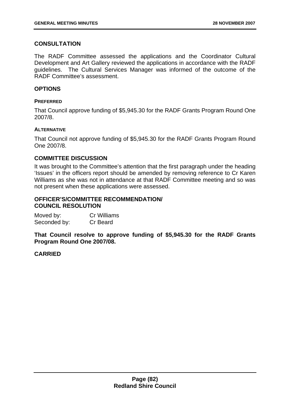# **CONSULTATION**

The RADF Committee assessed the applications and the Coordinator Cultural Development and Art Gallery reviewed the applications in accordance with the RADF guidelines. The Cultural Services Manager was informed of the outcome of the RADF Committee's assessment.

### **OPTIONS**

#### **PREFERRED**

That Council approve funding of \$5,945.30 for the RADF Grants Program Round One 2007/8.

#### **ALTERNATIVE**

That Council not approve funding of \$5,945.30 for the RADF Grants Program Round One 2007/8.

## **COMMITTEE DISCUSSION**

It was brought to the Committee's attention that the first paragraph under the heading 'Issues' in the officers report should be amended by removing reference to Cr Karen Williams as she was not in attendance at that RADF Committee meeting and so was not present when these applications were assessed.

### **OFFICER'S/COMMITTEE RECOMMENDATION/ COUNCIL RESOLUTION**

| Moved by:    | <b>Cr Williams</b> |
|--------------|--------------------|
| Seconded by: | Cr Beard           |

**That Council resolve to approve funding of \$5,945.30 for the RADF Grants Program Round One 2007/08.**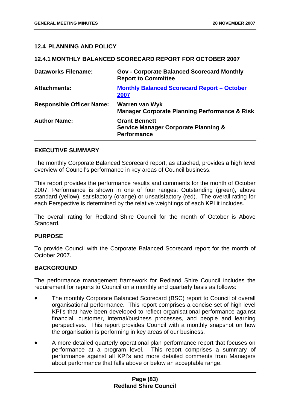## **12.4 PLANNING AND POLICY**

### **12.4.1 MONTHLY BALANCED SCORECARD REPORT FOR OCTOBER 2007**

| <b>Dataworks Filename:</b>       | <b>Gov - Corporate Balanced Scorecard Monthly</b><br><b>Report to Committee</b>               |
|----------------------------------|-----------------------------------------------------------------------------------------------|
| <b>Attachments:</b>              | <b>Monthly Balanced Scorecard Report - October</b><br>2007                                    |
| <b>Responsible Officer Name:</b> | Warren van Wyk<br><b>Manager Corporate Planning Performance &amp; Risk</b>                    |
| <b>Author Name:</b>              | <b>Grant Bennett</b><br><b>Service Manager Corporate Planning &amp;</b><br><b>Performance</b> |

### **EXECUTIVE SUMMARY**

The monthly Corporate Balanced Scorecard report, as attached, provides a high level overview of Council's performance in key areas of Council business.

This report provides the performance results and comments for the month of October 2007. Performance is shown in one of four ranges: Outstanding (green), above standard (yellow), satisfactory (orange) or unsatisfactory (red). The overall rating for each Perspective is determined by the relative weightings of each KPI it includes.

The overall rating for Redland Shire Council for the month of October is Above Standard.

### **PURPOSE**

To provide Council with the Corporate Balanced Scorecard report for the month of October 2007.

# **BACKGROUND**

The performance management framework for Redland Shire Council includes the requirement for reports to Council on a monthly and quarterly basis as follows:

- The monthly Corporate Balanced Scorecard (BSC) report to Council of overall organisational performance. This report comprises a concise set of high level KPI's that have been developed to reflect organisational performance against financial, customer, internal/business processes, and people and learning perspectives. This report provides Council with a monthly snapshot on how the organisation is performing in key areas of our business.
- A more detailed quarterly operational plan performance report that focuses on performance at a program level. This report comprises a summary of performance against all KPI's and more detailed comments from Managers about performance that falls above or below an acceptable range.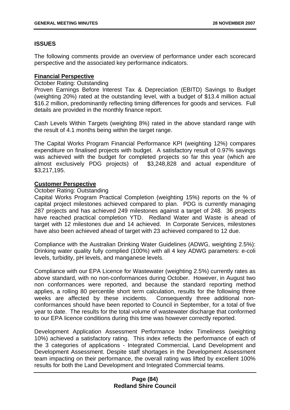# **ISSUES**

The following comments provide an overview of performance under each scorecard perspective and the associated key performance indicators.

## **Financial Perspective**

#### October Rating: Outstanding

Proven Earnings Before Interest Tax & Depreciation (EBITD) Savings to Budget (weighting 20%) rated at the outstanding level, with a budget of \$13.4 million actual \$16.2 million, predominantly reflecting timing differences for goods and services. Full details are provided in the monthly finance report.

Cash Levels Within Targets (weighting 8%) rated in the above standard range with the result of 4.1 months being within the target range.

The Capital Works Program Financial Performance KPI (weighting 12%) compares expenditure on finalised projects with budget. A satisfactory result of 0.97% savings was achieved with the budget for completed projects so far this year (which are almost exclusively PDG projects) of \$3,248,828 and actual expenditure of \$3,217,195.

### **Customer Perspective**

### October Rating: Outstanding

Capital Works Program Practical Completion (weighting 15%) reports on the % of capital project milestones achieved compared to plan. PDG is currently managing 287 projects and has achieved 249 milestones against a target of 248. 36 projects have reached practical completion YTD. Redland Water and Waste is ahead of target with 12 milestones due and 14 achieved. In Corporate Services, milestones have also been achieved ahead of target with 23 achieved compared to 12 due.

Compliance with the Australian Drinking Water Guidelines (ADWG, weighting 2.5%): Drinking water quality fully complied (100%) with all 4 key ADWG parameters: e-coli levels, turbidity, pH levels, and manganese levels.

Compliance with our EPA Licence for Wastewater (weighting 2.5%) currently rates as above standard, with no non-conformances during October. However, in August two non conformances were reported, and because the standard reporting method applies, a rolling 80 percentile short term calculation, results for the following three weeks are affected by these incidents. Consequently three additional nonconformances should have been reported to Council in September, for a total of five year to date. The results for the total volume of wastewater discharge that conformed to our EPA licence conditions during this time was however correctly reported.

Development Application Assessment Performance Index Timeliness (weighting 10%) achieved a satisfactory rating. This index reflects the performance of each of the 3 categories of applications - Integrated Commercial, Land Development and Development Assessment. Despite staff shortages in the Development Assessment team impacting on their performance, the overall rating was lifted by excellent 100% results for both the Land Development and Integrated Commercial teams.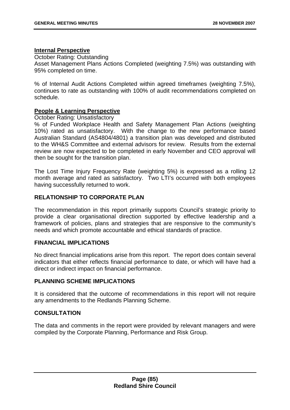#### **Internal Perspective**

October Rating: Outstanding Asset Management Plans Actions Completed (weighting 7.5%) was outstanding with 95% completed on time.

% of Internal Audit Actions Completed within agreed timeframes (weighting 7.5%), continues to rate as outstanding with 100% of audit recommendations completed on schedule.

### **People & Learning Perspective**

October Rating: Unsatisfactory

% of Funded Workplace Health and Safety Management Plan Actions (weighting 10%) rated as unsatisfactory. With the change to the new performance based Australian Standard (AS4804/4801) a transition plan was developed and distributed to the WH&S Committee and external advisors for review. Results from the external review are now expected to be completed in early November and CEO approval will then be sought for the transition plan.

The Lost Time Injury Frequency Rate (weighting 5%) is expressed as a rolling 12 month average and rated as satisfactory. Two LTI's occurred with both employees having successfully returned to work.

## **RELATIONSHIP TO CORPORATE PLAN**

The recommendation in this report primarily supports Council's strategic priority to provide a clear organisational direction supported by effective leadership and a framework of policies, plans and strategies that are responsive to the community's needs and which promote accountable and ethical standards of practice.

### **FINANCIAL IMPLICATIONS**

No direct financial implications arise from this report. The report does contain several indicators that either reflects financial performance to date, or which will have had a direct or indirect impact on financial performance.

## **PLANNING SCHEME IMPLICATIONS**

It is considered that the outcome of recommendations in this report will not require any amendments to the Redlands Planning Scheme.

### **CONSULTATION**

The data and comments in the report were provided by relevant managers and were compiled by the Corporate Planning, Performance and Risk Group.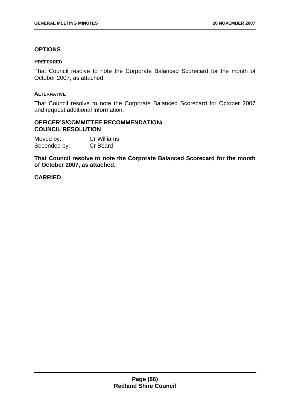## **OPTIONS**

#### **PREFERRED**

That Council resolve to note the Corporate Balanced Scorecard for the month of October 2007, as attached.

#### **ALTERNATIVE**

That Council resolve to note the Corporate Balanced Scorecard for October 2007 and request additional information.

## **OFFICER'S/COMMITTEE RECOMMENDATION/ COUNCIL RESOLUTION**

| Moved by:    | Cr Williams |
|--------------|-------------|
| Seconded by: | Cr Beard    |

**That Council resolve to note the Corporate Balanced Scorecard for the month of October 2007, as attached.**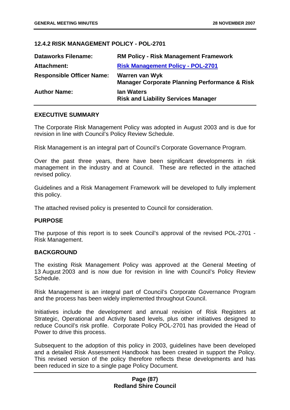## **12.4.2 RISK MANAGEMENT POLICY - POL-2701**

| <b>Dataworks Filename:</b>       | <b>RM Policy - Risk Management Framework</b>                               |
|----------------------------------|----------------------------------------------------------------------------|
| <b>Attachment:</b>               | <b>Risk Management Policy - POL-2701</b>                                   |
| <b>Responsible Officer Name:</b> | Warren van Wyk<br><b>Manager Corporate Planning Performance &amp; Risk</b> |
| <b>Author Name:</b>              | <b>Ian Waters</b><br><b>Risk and Liability Services Manager</b>            |

## **EXECUTIVE SUMMARY**

The Corporate Risk Management Policy was adopted in August 2003 and is due for revision in line with Council's Policy Review Schedule.

Risk Management is an integral part of Council's Corporate Governance Program.

Over the past three years, there have been significant developments in risk management in the industry and at Council. These are reflected in the attached revised policy.

Guidelines and a Risk Management Framework will be developed to fully implement this policy.

The attached revised policy is presented to Council for consideration.

### **PURPOSE**

The purpose of this report is to seek Council's approval of the revised POL-2701 - Risk Management.

### **BACKGROUND**

The existing Risk Management Policy was approved at the General Meeting of 13 August 2003 and is now due for revision in line with Council's Policy Review Schedule.

Risk Management is an integral part of Council's Corporate Governance Program and the process has been widely implemented throughout Council.

Initiatives include the development and annual revision of Risk Registers at Strategic, Operational and Activity based levels, plus other initiatives designed to reduce Council's risk profile. Corporate Policy POL-2701 has provided the Head of Power to drive this process.

Subsequent to the adoption of this policy in 2003, guidelines have been developed and a detailed Risk Assessment Handbook has been created in support the Policy. This revised version of the policy therefore reflects these developments and has been reduced in size to a single page Policy Document.

## **Page (87) Redland Shire Council**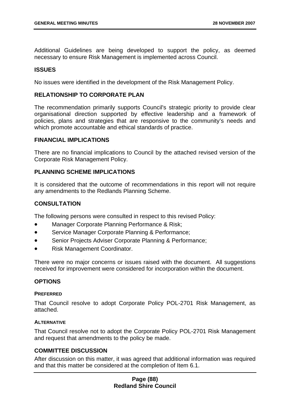Additional Guidelines are being developed to support the policy, as deemed necessary to ensure Risk Management is implemented across Council.

## **ISSUES**

No issues were identified in the development of the Risk Management Policy.

#### **RELATIONSHIP TO CORPORATE PLAN**

The recommendation primarily supports Council's strategic priority to provide clear organisational direction supported by effective leadership and a framework of policies, plans and strategies that are responsive to the community's needs and which promote accountable and ethical standards of practice.

#### **FINANCIAL IMPLICATIONS**

There are no financial implications to Council by the attached revised version of the Corporate Risk Management Policy.

### **PLANNING SCHEME IMPLICATIONS**

It is considered that the outcome of recommendations in this report will not require any amendments to the Redlands Planning Scheme.

## **CONSULTATION**

The following persons were consulted in respect to this revised Policy:

- Manager Corporate Planning Performance & Risk;
- **Service Manager Corporate Planning & Performance;**
- Senior Projects Adviser Corporate Planning & Performance;
- Risk Management Coordinator.

There were no major concerns or issues raised with the document. All suggestions received for improvement were considered for incorporation within the document.

### **OPTIONS**

#### **PREFERRED**

That Council resolve to adopt Corporate Policy POL-2701 Risk Management, as attached.

### **ALTERNATIVE**

That Council resolve not to adopt the Corporate Policy POL-2701 Risk Management and request that amendments to the policy be made.

## **COMMITTEE DISCUSSION**

After discussion on this matter, it was agreed that additional information was required and that this matter be considered at the completion of Item 6.1.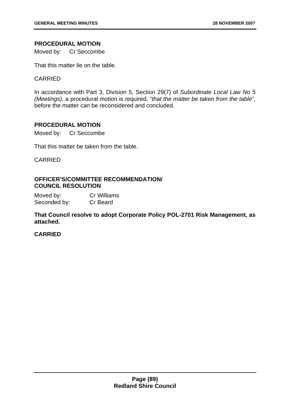## **PROCEDURAL MOTION**

Moved by: Cr Seccombe

That this matter lie on the table.

## CARRIED

In accordance with Part 3, Division 5, Section 29(7) of *Subordinate Local Law No 5 (Meetings)*, a procedural motion is required, *"that the matter be taken from the table",* before the matter can be reconsidered and concluded.

### **PROCEDURAL MOTION**

Moved by: Cr Seccombe

That this matter be taken from the table.

## CARRIED

## **OFFICER'S/COMMITTEE RECOMMENDATION/ COUNCIL RESOLUTION**

Moved by: Cr Williams Seconded by: Cr Beard

**That Council resolve to adopt Corporate Policy POL-2701 Risk Management, as attached.**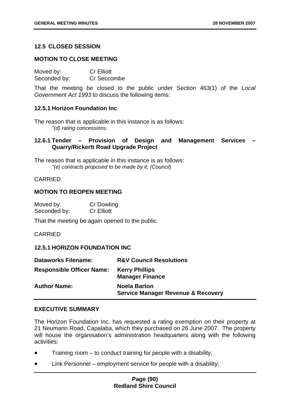## **12.5 CLOSED SESSION**

### **MOTION TO CLOSE MEETING**

| Moved by:    | <b>Cr Elliott</b> |
|--------------|-------------------|
| Seconded by: | Cr Seccombe       |

That the meeting be closed to the public under Section 463(1) of the *Local Government Act 1993* to discuss the following items:

### **12.5.1 Horizon Foundation Inc**

The reason that is applicable in this instance is as follows: *"(d) rating concessions.* 

# **12.6.1 Tender – Provision of Design and Management Services – Quarry/Rickertt Road Upgrade Project**

The reason that is applicable in this instance is as follows: *"(e) contracts proposed to be made by it; (Council)* 

### CARRIED

### **MOTION TO REOPEN MEETING**

| Moved by:    | Cr Dowling        |
|--------------|-------------------|
| Seconded by: | <b>Cr Elliott</b> |

That the meeting be again opened to the public.

CARRIED

### **12.5.1 HORIZON FOUNDATION INC**

| <b>Dataworks Filename:</b>       | <b>R&amp;V Council Resolutions</b>                                   |
|----------------------------------|----------------------------------------------------------------------|
| <b>Responsible Officer Name:</b> | <b>Kerry Phillips</b><br><b>Manager Finance</b>                      |
| <b>Author Name:</b>              | <b>Noela Barton</b><br><b>Service Manager Revenue &amp; Recovery</b> |

### **EXECUTIVE SUMMARY**

The Horizon Foundation Inc. has requested a rating exemption on their property at 21 Neumann Road, Capalaba, which they purchased on 26 June 2007. The property will house the organisation's administration headquarters along with the following activities:

- Training room to conduct training for people with a disability;
- Link Personnel employment service for people with a disability;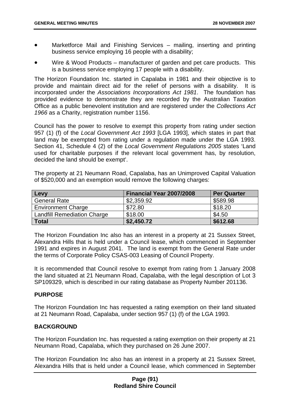- Marketforce Mail and Finishing Services mailing, inserting and printing business service employing 16 people with a disability;
- Wire & Wood Products manufacturer of garden and pet care products. This is a business service employing 17 people with a disability.

The Horizon Foundation Inc. started in Capalaba in 1981 and their objective is to provide and maintain direct aid for the relief of persons with a disability. It is incorporated under the *Associations Incorporations Act 1981*. The foundation has provided evidence to demonstrate they are recorded by the Australian Taxation Office as a public benevolent institution and are registered under the *Collections Act 1966* as a Charity, registration number 1156.

Council has the power to resolve to exempt this property from rating under section 957 (1) (f) of the *Local Government Act 1993* [LGA 1993], which states in part that land may be exempted from rating under a regulation made under the LGA 1993. Section 41, Schedule 4 (2) of the *Local Government Regulations 2005* states 'Land used for charitable purposes if the relevant local government has, by resolution, decided the land should be exempt'.

The property at 21 Neumann Road, Capalaba, has an Unimproved Capital Valuation of \$520,000 and an exemption would remove the following charges:

| Levy                               | Financial Year 2007/2008 | <b>Per Quarter</b> |
|------------------------------------|--------------------------|--------------------|
| <b>General Rate</b>                | \$2,359.92               | \$589.98           |
| <b>Environment Charge</b>          | \$72.80                  | \$18.20            |
| <b>Landfill Remediation Charge</b> | \$18.00                  | \$4.50             |
| <b>Total</b>                       | \$2,450.72               | \$612.68           |

The Horizon Foundation Inc also has an interest in a property at 21 Sussex Street, Alexandra Hills that is held under a Council lease, which commenced in September 1991 and expires in August 2041. The land is exempt from the General Rate under the terms of Corporate Policy CSAS-003 Leasing of Council Property.

It is recommended that Council resolve to exempt from rating from 1 January 2008 the land situated at 21 Neumann Road, Capalaba, with the legal description of Lot 3 SP109329, which is described in our rating database as Property Number 201136.

# **PURPOSE**

The Horizon Foundation Inc has requested a rating exemption on their land situated at 21 Neumann Road, Capalaba, under section 957 (1) (f) of the LGA 1993.

# **BACKGROUND**

The Horizon Foundation Inc. has requested a rating exemption on their property at 21 Neumann Road, Capalaba, which they purchased on 26 June 2007.

The Horizon Foundation Inc also has an interest in a property at 21 Sussex Street, Alexandra Hills that is held under a Council lease, which commenced in September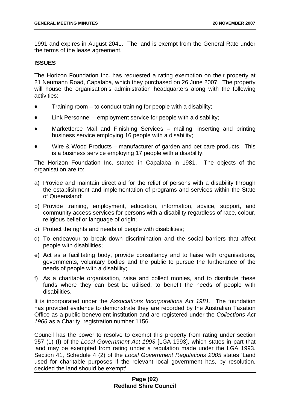1991 and expires in August 2041. The land is exempt from the General Rate under the terms of the lease agreement.

## **ISSUES**

The Horizon Foundation Inc. has requested a rating exemption on their property at 21 Neumann Road, Capalaba, which they purchased on 26 June 2007. The property will house the organisation's administration headquarters along with the following activities:

- Training room to conduct training for people with a disability;
- Link Personnel employment service for people with a disability;
- Marketforce Mail and Finishing Services mailing, inserting and printing business service employing 16 people with a disability;
- Wire & Wood Products manufacturer of garden and pet care products. This is a business service employing 17 people with a disability.

The Horizon Foundation Inc. started in Capalaba in 1981. The objects of the organisation are to:

- a) Provide and maintain direct aid for the relief of persons with a disability through the establishment and implementation of programs and services within the State of Queensland;
- b) Provide training, employment, education, information, advice, support, and community access services for persons with a disability regardless of race, colour, religious belief or language of origin;
- c) Protect the rights and needs of people with disabilities;
- d) To endeavour to break down discrimination and the social barriers that affect people with disabilities;
- e) Act as a facilitating body, provide consultancy and to liaise with organisations, governments, voluntary bodies and the public to pursue the furtherance of the needs of people with a disability;
- f) As a charitable organisation, raise and collect monies, and to distribute these funds where they can best be utilised, to benefit the needs of people with disabilities.

It is incorporated under the *Associations Incorporations Act 1981*. The foundation has provided evidence to demonstrate they are recorded by the Australian Taxation Office as a public benevolent institution and are registered under the *Collections Act 1966* as a Charity, registration number 1156.

Council has the power to resolve to exempt this property from rating under section 957 (1) (f) of the *Local Government Act 1993* [LGA 1993], which states in part that land may be exempted from rating under a regulation made under the LGA 1993. Section 41, Schedule 4 (2) of the *Local Government Regulations 2005* states 'Land used for charitable purposes if the relevant local government has, by resolution, decided the land should be exempt'.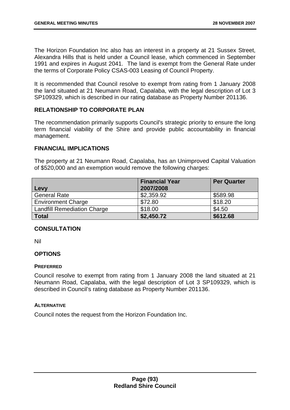The Horizon Foundation Inc also has an interest in a property at 21 Sussex Street, Alexandra Hills that is held under a Council lease, which commenced in September 1991 and expires in August 2041. The land is exempt from the General Rate under the terms of Corporate Policy CSAS-003 Leasing of Council Property.

It is recommended that Council resolve to exempt from rating from 1 January 2008 the land situated at 21 Neumann Road, Capalaba, with the legal description of Lot 3 SP109329, which is described in our rating database as Property Number 201136.

## **RELATIONSHIP TO CORPORATE PLAN**

The recommendation primarily supports Council's strategic priority to ensure the long term financial viability of the Shire and provide public accountability in financial management.

## **FINANCIAL IMPLICATIONS**

The property at 21 Neumann Road, Capalaba, has an Unimproved Capital Valuation of \$520,000 and an exemption would remove the following charges:

|                                    | <b>Financial Year</b> | <b>Per Quarter</b> |
|------------------------------------|-----------------------|--------------------|
| Levy                               | 2007/2008             |                    |
| <b>General Rate</b>                | \$2,359.92            | \$589.98           |
| <b>Environment Charge</b>          | \$72.80               | \$18.20            |
| <b>Landfill Remediation Charge</b> | \$18.00               | \$4.50             |
| <b>Total</b>                       | \$2,450.72            | \$612.68           |

# **CONSULTATION**

Nil

# **OPTIONS**

### **PREFERRED**

Council resolve to exempt from rating from 1 January 2008 the land situated at 21 Neumann Road, Capalaba, with the legal description of Lot 3 SP109329, which is described in Council's rating database as Property Number 201136.

#### **ALTERNATIVE**

Council notes the request from the Horizon Foundation Inc.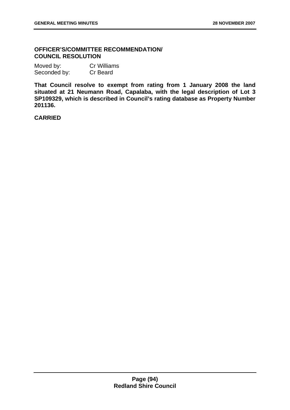## **OFFICER'S/COMMITTEE RECOMMENDATION/ COUNCIL RESOLUTION**

| Moved by:    | <b>Cr Williams</b> |
|--------------|--------------------|
| Seconded by: | Cr Beard           |

**That Council resolve to exempt from rating from 1 January 2008 the land situated at 21 Neumann Road, Capalaba, with the legal description of Lot 3 SP109329, which is described in Council's rating database as Property Number 201136.**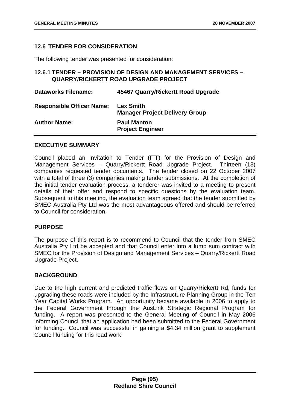## **12.6 TENDER FOR CONSIDERATION**

The following tender was presented for consideration:

# **12.6.1 TENDER – PROVISION OF DESIGN AND MANAGEMENT SERVICES – QUARRY/RICKERTT ROAD UPGRADE PROJECT**

| <b>Dataworks Filename:</b>       | 45467 Quarry/Rickertt Road Upgrade                        |
|----------------------------------|-----------------------------------------------------------|
| <b>Responsible Officer Name:</b> | <b>Lex Smith</b><br><b>Manager Project Delivery Group</b> |
| <b>Author Name:</b>              | <b>Paul Manton</b><br><b>Project Engineer</b>             |

## **EXECUTIVE SUMMARY**

Council placed an Invitation to Tender (ITT) for the Provision of Design and Management Services – Quarry/Rickertt Road Upgrade Project. Thirteen (13) companies requested tender documents. The tender closed on 22 October 2007 with a total of three (3) companies making tender submissions. At the completion of the initial tender evaluation process, a tenderer was invited to a meeting to present details of their offer and respond to specific questions by the evaluation team. Subsequent to this meeting, the evaluation team agreed that the tender submitted by SMEC Australia Pty Ltd was the most advantageous offered and should be referred to Council for consideration.

### **PURPOSE**

The purpose of this report is to recommend to Council that the tender from SMEC Australia Pty Ltd be accepted and that Council enter into a lump sum contract with SMEC for the Provision of Design and Management Services – Quarry/Rickertt Road Upgrade Project.

### **BACKGROUND**

Due to the high current and predicted traffic flows on Quarry/Rickertt Rd, funds for upgrading these roads were included by the Infrastructure Planning Group in the Ten Year Capital Works Program. An opportunity became available in 2006 to apply to the Federal Government through the AusLink Strategic Regional Program for funding. A report was presented to the General Meeting of Council in May 2006 informing Council that an application had been submitted to the Federal Government for funding. Council was successful in gaining a \$4.34 million grant to supplement Council funding for this road work.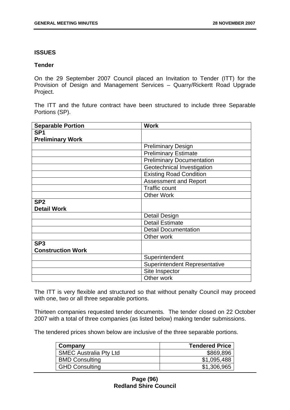### **ISSUES**

### **Tender**

On the 29 September 2007 Council placed an Invitation to Tender (ITT) for the Provision of Design and Management Services – Quarry/Rickertt Road Upgrade Project.

The ITT and the future contract have been structured to include three Separable Portions (SP).

| <b>Separable Portion</b> | <b>Work</b>                          |
|--------------------------|--------------------------------------|
| SP <sub>1</sub>          |                                      |
| <b>Preliminary Work</b>  |                                      |
|                          | <b>Preliminary Design</b>            |
|                          | <b>Preliminary Estimate</b>          |
|                          | <b>Preliminary Documentation</b>     |
|                          | Geotechnical Investigation           |
|                          | <b>Existing Road Condition</b>       |
|                          | <b>Assessment and Report</b>         |
|                          | <b>Traffic count</b>                 |
|                          | <b>Other Work</b>                    |
| SP <sub>2</sub>          |                                      |
| <b>Detail Work</b>       |                                      |
|                          | <b>Detail Design</b>                 |
|                          | <b>Detail Estimate</b>               |
|                          | <b>Detail Documentation</b>          |
|                          | Other work                           |
| SP <sub>3</sub>          |                                      |
| <b>Construction Work</b> |                                      |
|                          | Superintendent                       |
|                          | <b>Superintendent Representative</b> |
|                          | Site Inspector                       |
|                          | Other work                           |

The ITT is very flexible and structured so that without penalty Council may proceed with one, two or all three separable portions.

Thirteen companies requested tender documents. The tender closed on 22 October 2007 with a total of three companies (as listed below) making tender submissions.

The tendered prices shown below are inclusive of the three separable portions.

| Company                       | <b>Tendered Price</b> |
|-------------------------------|-----------------------|
| <b>SMEC Australia Pty Ltd</b> | \$869,896             |
| <b>BMD Consulting</b>         | \$1,095,488           |
| <b>GHD Consulting</b>         | \$1,306,965           |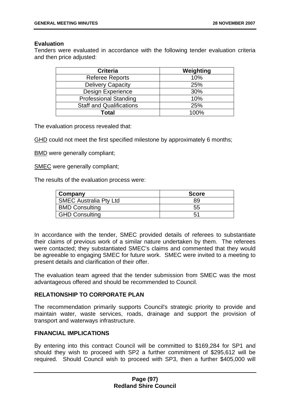## **Evaluation**

Tenders were evaluated in accordance with the following tender evaluation criteria and then price adjusted:

| <b>Criteria</b>                 | Weighting |
|---------------------------------|-----------|
| Referee Reports                 | 10%       |
| <b>Delivery Capacity</b>        | 25%       |
| Design Experience               | 30%       |
| <b>Professional Standing</b>    | 10%       |
| <b>Staff and Qualifications</b> | 25%       |
| Total                           | 100%      |

The evaluation process revealed that:

GHD could not meet the first specified milestone by approximately 6 months;

BMD were generally compliant;

SMEC were generally compliant;

The results of the evaluation process were:

| Company                       | <b>Score</b> |
|-------------------------------|--------------|
| <b>SMEC Australia Pty Ltd</b> | 89           |
| <b>BMD Consulting</b>         | 55           |
| <b>GHD Consulting</b>         | 51           |

In accordance with the tender, SMEC provided details of referees to substantiate their claims of previous work of a similar nature undertaken by them. The referees were contacted; they substantiated SMEC's claims and commented that they would be agreeable to engaging SMEC for future work. SMEC were invited to a meeting to present details and clarification of their offer.

The evaluation team agreed that the tender submission from SMEC was the most advantageous offered and should be recommended to Council.

### **RELATIONSHIP TO CORPORATE PLAN**

The recommendation primarily supports Council's strategic priority to provide and maintain water, waste services, roads, drainage and support the provision of transport and waterways infrastructure.

# **FINANCIAL IMPLICATIONS**

By entering into this contract Council will be committed to \$169,284 for SP1 and should they wish to proceed with SP2 a further commitment of \$295,612 will be required. Should Council wish to proceed with SP3, then a further \$405,000 will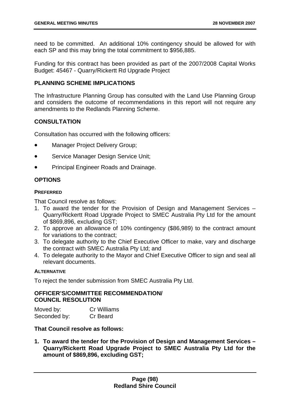need to be committed. An additional 10% contingency should be allowed for with each SP and this may bring the total commitment to \$956,885.

Funding for this contract has been provided as part of the 2007/2008 Capital Works Budget: 45467 - Quarry/Rickertt Rd Upgrade Project

# **PLANNING SCHEME IMPLICATIONS**

The Infrastructure Planning Group has consulted with the Land Use Planning Group and considers the outcome of recommendations in this report will not require any amendments to the Redlands Planning Scheme.

# **CONSULTATION**

Consultation has occurred with the following officers:

- Manager Project Delivery Group;
- Service Manager Design Service Unit;
- Principal Engineer Roads and Drainage.

## **OPTIONS**

#### **PREFERRED**

That Council resolve as follows:

- 1. To award the tender for the Provision of Design and Management Services Quarry/Rickertt Road Upgrade Project to SMEC Australia Pty Ltd for the amount of \$869,896, excluding GST;
- 2. To approve an allowance of 10% contingency (\$86,989) to the contract amount for variations to the contract;
- 3. To delegate authority to the Chief Executive Officer to make, vary and discharge the contract with SMEC Australia Pty Ltd; and
- 4. To delegate authority to the Mayor and Chief Executive Officer to sign and seal all relevant documents.

### **ALTERNATIVE**

To reject the tender submission from SMEC Australia Pty Ltd.

## **OFFICER'S/COMMITTEE RECOMMENDATION/ COUNCIL RESOLUTION**

| Moved by:    | <b>Cr Williams</b> |
|--------------|--------------------|
| Seconded by: | Cr Beard           |

# **That Council resolve as follows:**

**1. To award the tender for the Provision of Design and Management Services – Quarry/Rickertt Road Upgrade Project to SMEC Australia Pty Ltd for the amount of \$869,896, excluding GST;**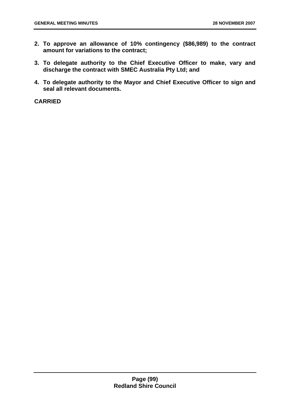- **2. To approve an allowance of 10% contingency (\$86,989) to the contract amount for variations to the contract;**
- **3. To delegate authority to the Chief Executive Officer to make, vary and discharge the contract with SMEC Australia Pty Ltd; and**
- **4. To delegate authority to the Mayor and Chief Executive Officer to sign and seal all relevant documents.**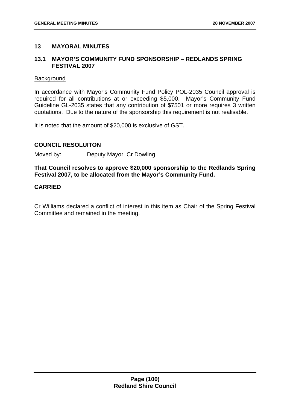## **13 MAYORAL MINUTES**

## **13.1 MAYOR'S COMMUNITY FUND SPONSORSHIP – REDLANDS SPRING FESTIVAL 2007**

#### **Background**

In accordance with Mayor's Community Fund Policy POL-2035 Council approval is required for all contributions at or exceeding \$5,000. Mayor's Community Fund Guideline GL-2035 states that any contribution of \$7501 or more requires 3 written quotations. Due to the nature of the sponsorship this requirement is not realisable.

It is noted that the amount of \$20,000 is exclusive of GST.

## **COUNCIL RESOLUITON**

Moved by: Deputy Mayor, Cr Dowling

**That Council resolves to approve \$20,000 sponsorship to the Redlands Spring Festival 2007, to be allocated from the Mayor's Community Fund.** 

## **CARRIED**

Cr Williams declared a conflict of interest in this item as Chair of the Spring Festival Committee and remained in the meeting.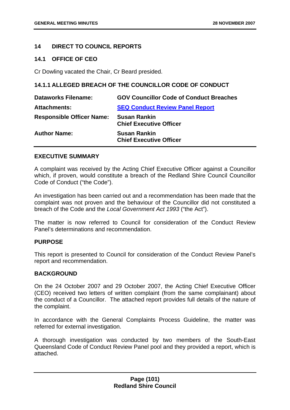## **14 DIRECT TO COUNCIL REPORTS**

### **14.1 OFFICE OF CEO**

Cr Dowling vacated the Chair, Cr Beard presided.

## **14.1.1 ALLEGED BREACH OF THE COUNCILLOR CODE OF CONDUCT**

| <b>Dataworks Filename:</b>       | <b>GOV Councillor Code of Conduct Breaches</b>        |
|----------------------------------|-------------------------------------------------------|
| <b>Attachments:</b>              | <b>SEQ Conduct Review Panel Report</b>                |
| <b>Responsible Officer Name:</b> | <b>Susan Rankin</b><br><b>Chief Executive Officer</b> |
| <b>Author Name:</b>              | <b>Susan Rankin</b><br><b>Chief Executive Officer</b> |

## **EXECUTIVE SUMMARY**

A complaint was received by the Acting Chief Executive Officer against a Councillor which, if proven, would constitute a breach of the Redland Shire Council Councillor Code of Conduct ("the Code").

An investigation has been carried out and a recommendation has been made that the complaint was not proven and the behaviour of the Councillor did not constituted a breach of the Code and the *Local Government Act 1993* ("the Act").

The matter is now referred to Council for consideration of the Conduct Review Panel's determinations and recommendation.

### **PURPOSE**

This report is presented to Council for consideration of the Conduct Review Panel's report and recommendation.

### **BACKGROUND**

On the 24 October 2007 and 29 October 2007, the Acting Chief Executive Officer (CEO) received two letters of written complaint (from the same complainant) about the conduct of a Councillor. The attached report provides full details of the nature of the complaint.

In accordance with the General Complaints Process Guideline, the matter was referred for external investigation.

A thorough investigation was conducted by two members of the South-East Queensland Code of Conduct Review Panel pool and they provided a report, which is attached.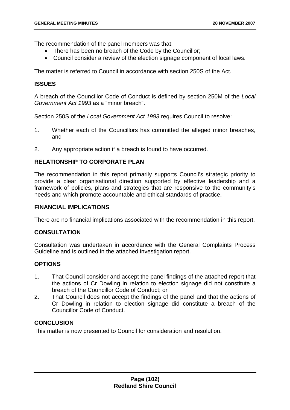The recommendation of the panel members was that:

- There has been no breach of the Code by the Councillor;
- Council consider a review of the election signage component of local laws.

The matter is referred to Council in accordance with section 250S of the Act.

### **ISSUES**

A breach of the Councillor Code of Conduct is defined by section 250M of the *Local Government Act 1993* as a "minor breach".

Section 250S of the *Local Government Act 1993* requires Council to resolve:

- 1. Whether each of the Councillors has committed the alleged minor breaches, and
- 2. Any appropriate action if a breach is found to have occurred.

### **RELATIONSHIP TO CORPORATE PLAN**

The recommendation in this report primarily supports Council's strategic priority to provide a clear organisational direction supported by effective leadership and a framework of policies, plans and strategies that are responsive to the community's needs and which promote accountable and ethical standards of practice.

#### **FINANCIAL IMPLICATIONS**

There are no financial implications associated with the recommendation in this report.

## **CONSULTATION**

Consultation was undertaken in accordance with the General Complaints Process Guideline and is outlined in the attached investigation report.

### **OPTIONS**

- 1. That Council consider and accept the panel findings of the attached report that the actions of Cr Dowling in relation to election signage did not constitute a breach of the Councillor Code of Conduct; or
- 2. That Council does not accept the findings of the panel and that the actions of Cr Dowling in relation to election signage did constitute a breach of the Councillor Code of Conduct.

## **CONCLUSION**

This matter is now presented to Council for consideration and resolution.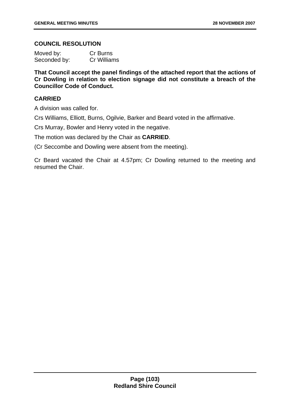## **COUNCIL RESOLUTION**

| Moved by:    | Cr Burns           |
|--------------|--------------------|
| Seconded by: | <b>Cr Williams</b> |

**That Council accept the panel findings of the attached report that the actions of Cr Dowling in relation to election signage did not constitute a breach of the Councillor Code of Conduct.** 

# **CARRIED**

A division was called for.

Crs Williams, Elliott, Burns, Ogilvie, Barker and Beard voted in the affirmative.

Crs Murray, Bowler and Henry voted in the negative.

The motion was declared by the Chair as **CARRIED**.

(Cr Seccombe and Dowling were absent from the meeting).

Cr Beard vacated the Chair at 4.57pm; Cr Dowling returned to the meeting and resumed the Chair.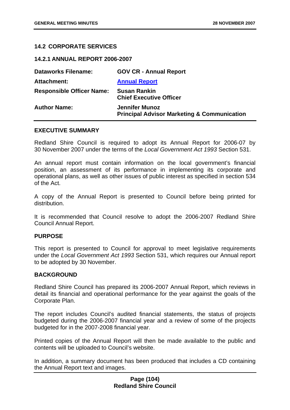## **14.2 CORPORATE SERVICES**

**14.2.1 ANNUAL REPORT 2006-2007** 

| <b>GOV CR - Annual Report</b>                                                   |
|---------------------------------------------------------------------------------|
| <b>Annual Report</b>                                                            |
| <b>Susan Rankin</b><br><b>Chief Executive Officer</b>                           |
| <b>Jennifer Munoz</b><br><b>Principal Advisor Marketing &amp; Communication</b> |
|                                                                                 |

#### **EXECUTIVE SUMMARY**

Redland Shire Council is required to adopt its Annual Report for 2006-07 by 30 November 2007 under the terms of the *Local Government Act 1993* Section 531.

An annual report must contain information on the local government's financial position, an assessment of its performance in implementing its corporate and operational plans, as well as other issues of public interest as specified in section 534 of the Act.

A copy of the Annual Report is presented to Council before being printed for distribution.

It is recommended that Council resolve to adopt the 2006-2007 Redland Shire Council Annual Report.

#### **PURPOSE**

This report is presented to Council for approval to meet legislative requirements under the *Local Government Act 1993* Section 531, which requires our Annual report to be adopted by 30 November.

#### **BACKGROUND**

Redland Shire Council has prepared its 2006-2007 Annual Report, which reviews in detail its financial and operational performance for the year against the goals of the Corporate Plan.

The report includes Council's audited financial statements, the status of projects budgeted during the 2006-2007 financial year and a review of some of the projects budgeted for in the 2007-2008 financial year.

Printed copies of the Annual Report will then be made available to the public and contents will be uploaded to Council's website.

In addition, a summary document has been produced that includes a CD containing the Annual Report text and images.

### **Page (104) Redland Shire Council**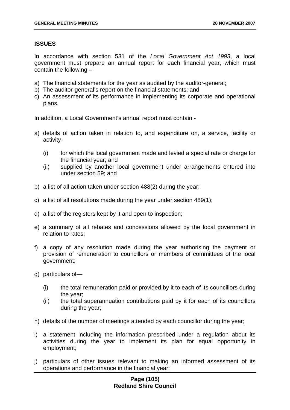# **ISSUES**

In accordance with section 531 of the *Local Government Act 1993*, a local government must prepare an annual report for each financial year, which must contain the following –

- a) The financial statements for the year as audited by the auditor-general;
- b) The auditor-general's report on the financial statements; and
- c) An assessment of its performance in implementing its corporate and operational plans.

In addition, a Local Government's annual report must contain -

- a) details of action taken in relation to, and expenditure on, a service, facility or activity-
	- (i) for which the local government made and levied a special rate or charge for the financial year; and
	- (ii) supplied by another local government under arrangements entered into under section 59; and
- b) a list of all action taken under section 488(2) during the year;
- c) a list of all resolutions made during the year under section 489(1);
- d) a list of the registers kept by it and open to inspection;
- e) a summary of all rebates and concessions allowed by the local government in relation to rates;
- f) a copy of any resolution made during the year authorising the payment or provision of remuneration to councillors or members of committees of the local government;
- g) particulars of—
	- (i) the total remuneration paid or provided by it to each of its councillors during the year;
	- (ii) the total superannuation contributions paid by it for each of its councillors during the year;
- h) details of the number of meetings attended by each councillor during the year;
- i) a statement including the information prescribed under a regulation about its activities during the year to implement its plan for equal opportunity in employment;
- j) particulars of other issues relevant to making an informed assessment of its operations and performance in the financial year;

# **Page (105) Redland Shire Council**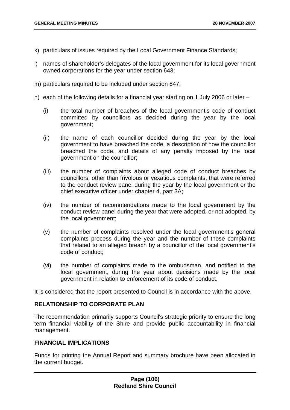- k) particulars of issues required by the Local Government Finance Standards;
- l) names of shareholder's delegates of the local government for its local government owned corporations for the year under section 643;
- m) particulars required to be included under section 847;
- n) each of the following details for a financial year starting on 1 July 2006 or later
	- (i) the total number of breaches of the local government's code of conduct committed by councillors as decided during the year by the local government;
	- (ii) the name of each councillor decided during the year by the local government to have breached the code, a description of how the councillor breached the code, and details of any penalty imposed by the local government on the councillor;
	- (iii) the number of complaints about alleged code of conduct breaches by councillors, other than frivolous or vexatious complaints, that were referred to the conduct review panel during the year by the local government or the chief executive officer under chapter 4, part 3A;
	- (iv) the number of recommendations made to the local government by the conduct review panel during the year that were adopted, or not adopted, by the local government;
	- (v) the number of complaints resolved under the local government's general complaints process during the year and the number of those complaints that related to an alleged breach by a councillor of the local government's code of conduct;
	- (vi) the number of complaints made to the ombudsman, and notified to the local government, during the year about decisions made by the local government in relation to enforcement of its code of conduct.

It is considered that the report presented to Council is in accordance with the above.

## **RELATIONSHIP TO CORPORATE PLAN**

The recommendation primarily supports Council's strategic priority to ensure the long term financial viability of the Shire and provide public accountability in financial management.

#### **FINANCIAL IMPLICATIONS**

Funds for printing the Annual Report and summary brochure have been allocated in the current budget.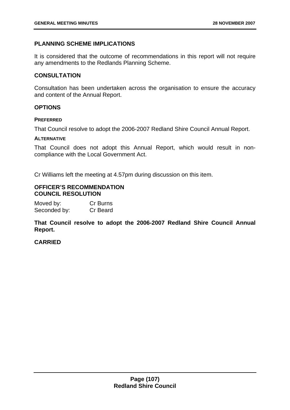# **PLANNING SCHEME IMPLICATIONS**

It is considered that the outcome of recommendations in this report will not require any amendments to the Redlands Planning Scheme.

# **CONSULTATION**

Consultation has been undertaken across the organisation to ensure the accuracy and content of the Annual Report.

## **OPTIONS**

### **PREFERRED**

That Council resolve to adopt the 2006-2007 Redland Shire Council Annual Report.

### **ALTERNATIVE**

That Council does not adopt this Annual Report, which would result in noncompliance with the Local Government Act.

Cr Williams left the meeting at 4.57pm during discussion on this item.

### **OFFICER'S RECOMMENDATION COUNCIL RESOLUTION**

| Moved by:    | Cr Burns |
|--------------|----------|
| Seconded by: | Cr Beard |

**That Council resolve to adopt the 2006-2007 Redland Shire Council Annual Report.**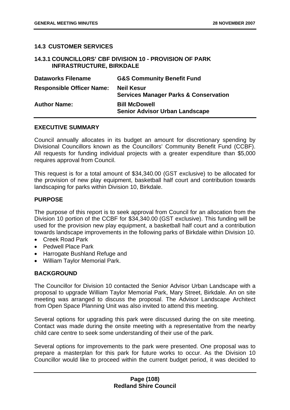# **14.3 CUSTOMER SERVICES**

### **14.3.1 COUNCILLORS' CBF DIVISION 10 - PROVISION OF PARK INFRASTRUCTURE, BIRKDALE**

| <b>Dataworks Filename</b>        | <b>G&amp;S Community Benefit Fund</b>                                 |
|----------------------------------|-----------------------------------------------------------------------|
| <b>Responsible Officer Name:</b> | <b>Neil Kesur</b><br><b>Services Manager Parks &amp; Conservation</b> |
| <b>Author Name:</b>              | <b>Bill McDowell</b><br><b>Senior Advisor Urban Landscape</b>         |

#### **EXECUTIVE SUMMARY**

Council annually allocates in its budget an amount for discretionary spending by Divisional Councillors known as the Councillors' Community Benefit Fund (CCBF). All requests for funding individual projects with a greater expenditure than \$5,000 requires approval from Council.

This request is for a total amount of \$34,340.00 (GST exclusive) to be allocated for the provision of new play equipment, basketball half court and contribution towards landscaping for parks within Division 10, Birkdale.

## **PURPOSE**

The purpose of this report is to seek approval from Council for an allocation from the Division 10 portion of the CCBF for \$34,340.00 (GST exclusive). This funding will be used for the provision new play equipment, a basketball half court and a contribution towards landscape improvements in the following parks of Birkdale within Division 10.

- Creek Road Park
- Pedwell Place Park
- Harrogate Bushland Refuge and
- William Taylor Memorial Park.

# **BACKGROUND**

The Councillor for Division 10 contacted the Senior Advisor Urban Landscape with a proposal to upgrade William Taylor Memorial Park, Mary Street, Birkdale. An on site meeting was arranged to discuss the proposal. The Advisor Landscape Architect from Open Space Planning Unit was also invited to attend this meeting.

Several options for upgrading this park were discussed during the on site meeting. Contact was made during the onsite meeting with a representative from the nearby child care centre to seek some understanding of their use of the park.

Several options for improvements to the park were presented. One proposal was to prepare a masterplan for this park for future works to occur. As the Division 10 Councillor would like to proceed within the current budget period, it was decided to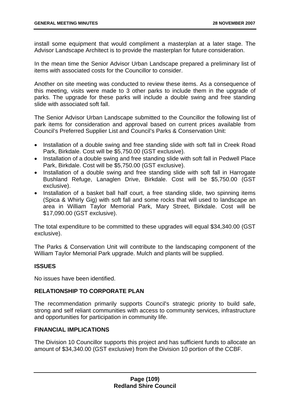install some equipment that would compliment a masterplan at a later stage. The Advisor Landscape Architect is to provide the masterplan for future consideration.

In the mean time the Senior Advisor Urban Landscape prepared a preliminary list of items with associated costs for the Councillor to consider.

Another on site meeting was conducted to review these items. As a consequence of this meeting, visits were made to 3 other parks to include them in the upgrade of parks. The upgrade for these parks will include a double swing and free standing slide with associated soft fall.

The Senior Advisor Urban Landscape submitted to the Councillor the following list of park items for consideration and approval based on current prices available from Council's Preferred Supplier List and Council's Parks & Conservation Unit:

- Installation of a double swing and free standing slide with soft fall in Creek Road Park, Birkdale. Cost will be \$5,750.00 (GST exclusive).
- Installation of a double swing and free standing slide with soft fall in Pedwell Place Park, Birkdale. Cost will be \$5,750.00 (GST exclusive).
- Installation of a double swing and free standing slide with soft fall in Harrogate Bushland Refuge, Lanaglen Drive, Birkdale. Cost will be \$5,750.00 (GST exclusive).
- Installation of a basket ball half court, a free standing slide, two spinning items (Spica & Whirly Gig) with soft fall and some rocks that will used to landscape an area in William Taylor Memorial Park, Mary Street, Birkdale. Cost will be \$17,090.00 (GST exclusive).

The total expenditure to be committed to these upgrades will equal \$34,340.00 (GST exclusive).

The Parks & Conservation Unit will contribute to the landscaping component of the William Taylor Memorial Park upgrade. Mulch and plants will be supplied.

# **ISSUES**

No issues have been identified.

## **RELATIONSHIP TO CORPORATE PLAN**

The recommendation primarily supports Council's strategic priority to build safe, strong and self reliant communities with access to community services, infrastructure and opportunities for participation in community life.

### **FINANCIAL IMPLICATIONS**

The Division 10 Councillor supports this project and has sufficient funds to allocate an amount of \$34,340.00 (GST exclusive) from the Division 10 portion of the CCBF.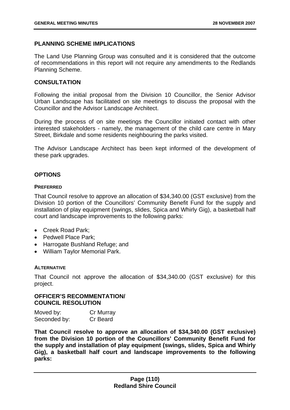# **PLANNING SCHEME IMPLICATIONS**

The Land Use Planning Group was consulted and it is considered that the outcome of recommendations in this report will not require any amendments to the Redlands Planning Scheme.

### **CONSULTATION**

Following the initial proposal from the Division 10 Councillor, the Senior Advisor Urban Landscape has facilitated on site meetings to discuss the proposal with the Councillor and the Advisor Landscape Architect.

During the process of on site meetings the Councillor initiated contact with other interested stakeholders - namely, the management of the child care centre in Mary Street, Birkdale and some residents neighbouring the parks visited.

The Advisor Landscape Architect has been kept informed of the development of these park upgrades.

## **OPTIONS**

#### **PREFERRED**

That Council resolve to approve an allocation of \$34,340.00 (GST exclusive) from the Division 10 portion of the Councillors' Community Benefit Fund for the supply and installation of play equipment (swings, slides, Spica and Whirly Gig), a basketball half court and landscape improvements to the following parks:

- Creek Road Park:
- Pedwell Place Park:
- Harrogate Bushland Refuge; and
- William Taylor Memorial Park.

### **ALTERNATIVE**

That Council not approve the allocation of \$34,340.00 (GST exclusive) for this project.

# **OFFICER'S RECOMMENTATION/ COUNCIL RESOLUTION**

| Moved by:    | Cr Murray |
|--------------|-----------|
| Seconded by: | Cr Beard  |

**That Council resolve to approve an allocation of \$34,340.00 (GST exclusive) from the Division 10 portion of the Councillors' Community Benefit Fund for the supply and installation of play equipment (swings, slides, Spica and Whirly Gig), a basketball half court and landscape improvements to the following parks:**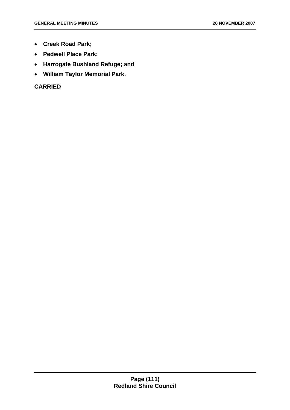- **Creek Road Park;**
- **Pedwell Place Park;**
- **Harrogate Bushland Refuge; and**
- **William Taylor Memorial Park.**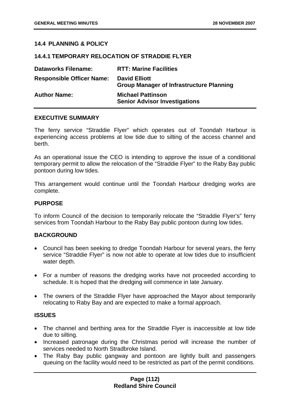# **14.4 PLANNING & POLICY**

### **14.4.1 TEMPORARY RELOCATION OF STRADDIE FLYER**

| <b>Dataworks Filename:</b>       | <b>RTT: Marine Facilities</b>                                           |
|----------------------------------|-------------------------------------------------------------------------|
| <b>Responsible Officer Name:</b> | <b>David Elliott</b><br><b>Group Manager of Infrastructure Planning</b> |
| <b>Author Name:</b>              | <b>Michael Pattinson</b><br><b>Senior Advisor Investigations</b>        |

#### **EXECUTIVE SUMMARY**

The ferry service "Straddie Flyer" which operates out of Toondah Harbour is experiencing access problems at low tide due to silting of the access channel and berth.

As an operational issue the CEO is intending to approve the issue of a conditional temporary permit to allow the relocation of the "Straddie Flyer" to the Raby Bay public pontoon during low tides.

This arrangement would continue until the Toondah Harbour dredging works are complete.

#### **PURPOSE**

To inform Council of the decision to temporarily relocate the "Straddie Flyer's" ferry services from Toondah Harbour to the Raby Bay public pontoon during low tides.

### **BACKGROUND**

- Council has been seeking to dredge Toondah Harbour for several years, the ferry service "Straddie Flyer" is now not able to operate at low tides due to insufficient water depth.
- For a number of reasons the dredging works have not proceeded according to schedule. It is hoped that the dredging will commence in late January.
- The owners of the Straddie Flyer have approached the Mayor about temporarily relocating to Raby Bay and are expected to make a formal approach.

### **ISSUES**

- The channel and berthing area for the Straddie Flyer is inaccessible at low tide due to silting.
- Increased patronage during the Christmas period will increase the number of services needed to North Stradbroke Island.
- The Raby Bay public gangway and pontoon are lightly built and passengers queuing on the facility would need to be restricted as part of the permit conditions.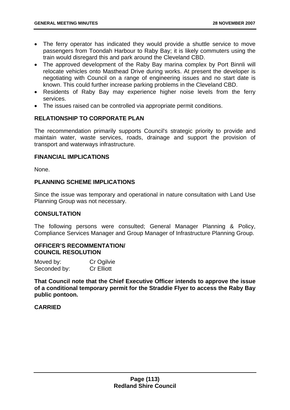- The ferry operator has indicated they would provide a shuttle service to move passengers from Toondah Harbour to Raby Bay; it is likely commuters using the train would disregard this and park around the Cleveland CBD.
- The approved development of the Raby Bay marina complex by Port Binnli will relocate vehicles onto Masthead Drive during works. At present the developer is negotiating with Council on a range of engineering issues and no start date is known. This could further increase parking problems in the Cleveland CBD.
- Residents of Raby Bay may experience higher noise levels from the ferry services.
- The issues raised can be controlled via appropriate permit conditions.

# **RELATIONSHIP TO CORPORATE PLAN**

The recommendation primarily supports Council's strategic priority to provide and maintain water, waste services, roads, drainage and support the provision of transport and waterways infrastructure.

### **FINANCIAL IMPLICATIONS**

None.

## **PLANNING SCHEME IMPLICATIONS**

Since the issue was temporary and operational in nature consultation with Land Use Planning Group was not necessary.

### **CONSULTATION**

The following persons were consulted; General Manager Planning & Policy, Compliance Services Manager and Group Manager of Infrastructure Planning Group.

# **OFFICER'S RECOMMENTATION/ COUNCIL RESOLUTION**

| Moved by:    | Cr Ogilvie        |
|--------------|-------------------|
| Seconded by: | <b>Cr Elliott</b> |

**That Council note that the Chief Executive Officer intends to approve the issue of a conditional temporary permit for the Straddie Flyer to access the Raby Bay public pontoon.**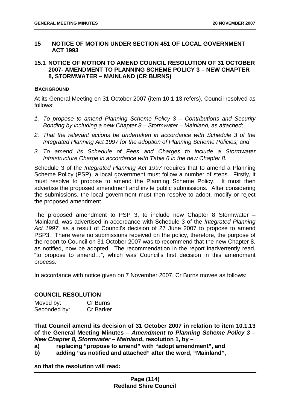# **15 NOTICE OF MOTION UNDER SECTION 451 OF LOCAL GOVERNMENT ACT 1993**

# **15.1 NOTICE OF MOTION TO AMEND COUNCIL RESOLUTION OF 31 OCTOBER 2007- AMENDMENT TO PLANNING SCHEME POLICY 3 – NEW CHAPTER 8, STORMWATER – MAINLAND (CR BURNS)**

### **BACKGROUND**

At its General Meeting on 31 October 2007 (item 10.1.13 refers), Council resolved as follows:

- *1. To propose to amend Planning Scheme Policy 3 Contributions and Security Bonding by including a new Chapter 8 – Stormwater – Mainland, as attached;*
- *2. That the relevant actions be undertaken in accordance with Schedule 3 of the Integrated Planning Act 1997 for the adoption of Planning Scheme Policies; and*
- *3. To amend its Schedule of Fees and Charges to include a Stormwater Infrastructure Charge in accordance with Table 6 in the new Chapter 8.*

Schedule 3 of the *Integrated Planning Act 1997* requires that to amend a Planning Scheme Policy (PSP), a local government must follow a number of steps. Firstly, it must resolve to propose to amend the Planning Scheme Policy. It must then advertise the proposed amendment and invite public submissions. After considering the submissions, the local government must then resolve to adopt, modify or reject the proposed amendment.

The proposed amendment to PSP 3, to include new Chapter 8 Stormwater – Mainland, was advertised in accordance with Schedule 3 of the *Integrated Planning Act 1997*, as a result of Council's decision of 27 June 2007 to propose to amend PSP3. There were no submissions received on the policy, therefore, the purpose of the report to Council on 31 October 2007 was to recommend that the new Chapter 8, as notified, now be adopted. The recommendation in the report inadvertently read, "to propose to amend…", which was Council's first decision in this amendment process.

In accordance with notice given on 7 November 2007, Cr Burns movee as follows:

# **COUNCIL RESOLUTION**

| Moved by:    | Cr Burns         |
|--------------|------------------|
| Seconded by: | <b>Cr Barker</b> |

**That Council amend its decision of 31 October 2007 in relation to item 10.1.13 of the General Meeting Minutes –** *Amendment to Planning Scheme Policy 3 – New Chapter 8, Stormwater – Mainland***, resolution 1, by –** 

- **a) replacing "propose to amend" with "adopt amendment", and**
- **b) adding "as notified and attached" after the word, "Mainland",**

**so that the resolution will read:**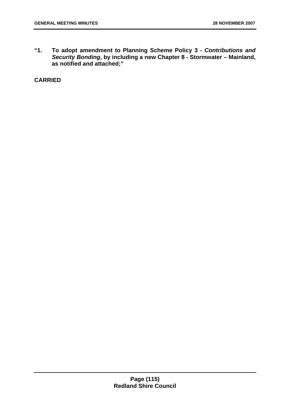**"1. To adopt amendment to Planning Scheme Policy 3 -** *Contributions and Security Bonding***, by including a new Chapter 8 - Stormwater – Mainland, as notified and attached;"**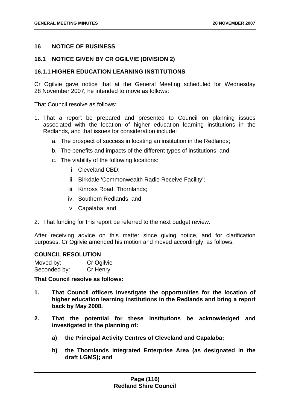### **16 NOTICE OF BUSINESS**

# **16.1 NOTICE GIVEN BY CR OGILVIE (DIVISION 2)**

### **16.1.1 HIGHER EDUCATION LEARNING INSTITUTIONS**

Cr Ogilvie gave notice that at the General Meeting scheduled for Wednesday 28 November 2007, he intended to move as follows:

That Council resolve as follows:

- 1. That a report be prepared and presented to Council on planning issues associated with the location of higher education learning institutions in the Redlands, and that issues for consideration include:
	- a. The prospect of success in locating an institution in the Redlands;
	- b. The benefits and impacts of the different types of institutions; and
	- c. The viability of the following locations:
		- i. Cleveland CBD;
		- ii. Birkdale 'Commonwealth Radio Receive Facility';
		- iii. Kinross Road, Thornlands;
		- iv. Southern Redlands; and
		- v. Capalaba; and
- 2. That funding for this report be referred to the next budget review.

After receiving advice on this matter since giving notice, and for clarification purposes, Cr Ogilvie amended his motion and moved accordingly, as follows.

### **COUNCIL RESOLUTION**

Moved by: Cr Ogilvie Seconded by: Cr Henry

**That Council resolve as follows:** 

- **1. That Council officers investigate the opportunities for the location of higher education learning institutions in the Redlands and bring a report back by May 2008.**
- **2. That the potential for these institutions be acknowledged and investigated in the planning of:** 
	- **a) the Principal Activity Centres of Cleveland and Capalaba;**
	- **b) the Thornlands Integrated Enterprise Area (as designated in the draft LGMS); and**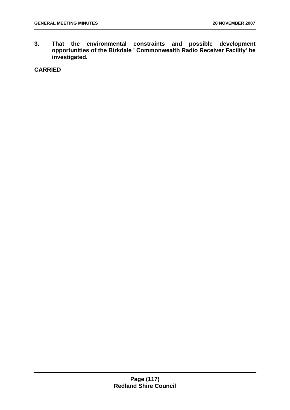**3. That the environmental constraints and possible development opportunities of the Birkdale ' Commonwealth Radio Receiver Facility' be investigated.**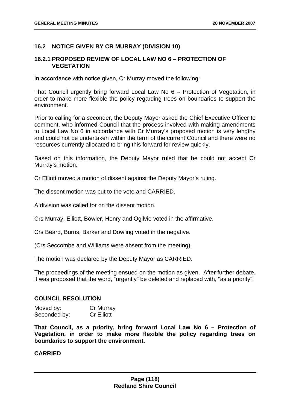# **16.2 NOTICE GIVEN BY CR MURRAY (DIVISION 10)**

## **16.2.1 PROPOSED REVIEW OF LOCAL LAW NO 6 – PROTECTION OF VEGETATION**

In accordance with notice given, Cr Murray moved the following:

That Council urgently bring forward Local Law No 6 – Protection of Vegetation, in order to make more flexible the policy regarding trees on boundaries to support the environment.

Prior to calling for a seconder, the Deputy Mayor asked the Chief Executive Officer to comment, who informed Council that the process involved with making amendments to Local Law No 6 in accordance with Cr Murray's proposed motion is very lengthy and could not be undertaken within the term of the current Council and there were no resources currently allocated to bring this forward for review quickly.

Based on this information, the Deputy Mayor ruled that he could not accept Cr Murray's motion.

Cr Elliott moved a motion of dissent against the Deputy Mayor's ruling.

The dissent motion was put to the vote and CARRIED.

A division was called for on the dissent motion.

Crs Murray, Elliott, Bowler, Henry and Ogilvie voted in the affirmative.

Crs Beard, Burns, Barker and Dowling voted in the negative.

(Crs Seccombe and Williams were absent from the meeting).

The motion was declared by the Deputy Mayor as CARRIED.

The proceedings of the meeting ensued on the motion as given. After further debate, it was proposed that the word, "urgently" be deleted and replaced with, "as a priority".

#### **COUNCIL RESOLUTION**

| Moved by:    | Cr Murray         |
|--------------|-------------------|
| Seconded by: | <b>Cr Elliott</b> |

**That Council, as a priority, bring forward Local Law No 6 – Protection of Vegetation, in order to make more flexible the policy regarding trees on boundaries to support the environment.**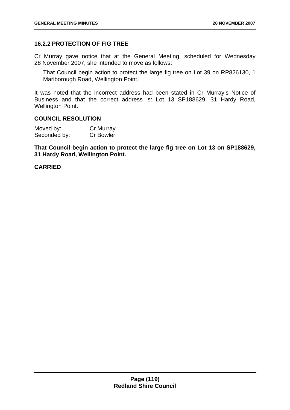# **16.2.2 PROTECTION OF FIG TREE**

Cr Murray gave notice that at the General Meeting, scheduled for Wednesday 28 November 2007, she intended to move as follows:

That Council begin action to protect the large fig tree on Lot 39 on RP826130, 1 Marlborough Road, Wellington Point.

It was noted that the incorrect address had been stated in Cr Murray's Notice of Business and that the correct address is: Lot 13 SP188629, 31 Hardy Road, Wellington Point.

#### **COUNCIL RESOLUTION**

| Moved by:    | Cr Murray        |
|--------------|------------------|
| Seconded by: | <b>Cr Bowler</b> |

**That Council begin action to protect the large fig tree on Lot 13 on SP188629, 31 Hardy Road, Wellington Point.**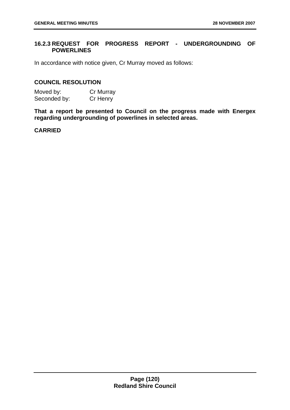# **16.2.3 REQUEST FOR PROGRESS REPORT - UNDERGROUNDING OF POWERLINES**

In accordance with notice given, Cr Murray moved as follows:

### **COUNCIL RESOLUTION**

Moved by: Cr Murray Seconded by: Cr Henry

**That a report be presented to Council on the progress made with Energex regarding undergrounding of powerlines in selected areas.**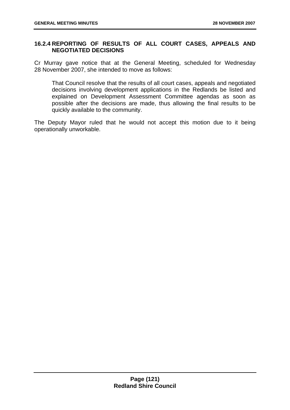# **16.2.4 REPORTING OF RESULTS OF ALL COURT CASES, APPEALS AND NEGOTIATED DECISIONS**

Cr Murray gave notice that at the General Meeting, scheduled for Wednesday 28 November 2007, she intended to move as follows:

That Council resolve that the results of all court cases, appeals and negotiated decisions involving development applications in the Redlands be listed and explained on Development Assessment Committee agendas as soon as possible after the decisions are made, thus allowing the final results to be quickly available to the community.

The Deputy Mayor ruled that he would not accept this motion due to it being operationally unworkable.